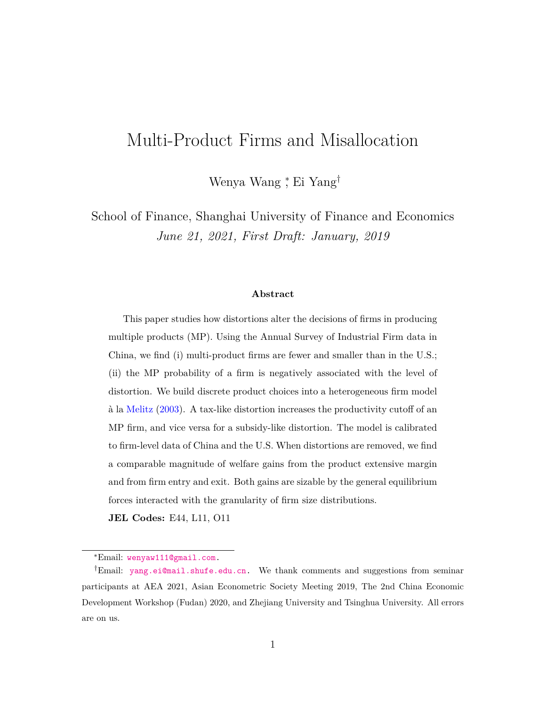# Multi-Product Firms and Misallocation

Wenya Wang <sup>∗</sup> , Ei Yang†

School of Finance, Shanghai University of Finance and Economics *June 21, 2021, First Draft: January, 2019*

#### **Abstract**

This paper studies how distortions alter the decisions of firms in producing multiple products (MP). Using the Annual Survey of Industrial Firm data in China, we find (i) multi-product firms are fewer and smaller than in the U.S.; (ii) the MP probability of a firm is negatively associated with the level of distortion. We build discrete product choices into a heterogeneous firm model à la [Melitz](#page-52-0) [\(2003\)](#page-52-0). A tax-like distortion increases the productivity cutoff of an MP firm, and vice versa for a subsidy-like distortion. The model is calibrated to firm-level data of China and the U.S. When distortions are removed, we find a comparable magnitude of welfare gains from the product extensive margin and from firm entry and exit. Both gains are sizable by the general equilibrium forces interacted with the granularity of firm size distributions.

**JEL Codes:** E44, L11, O11

<sup>∗</sup>Email: [wenyaw111@gmail.com.](mailto:wenyaw111@gmail.com)

<sup>†</sup>Email: [yang.ei@mail.shufe.edu.cn.](mailto:yang.ei@mail.shufe.edu.cn) We thank comments and suggestions from seminar participants at AEA 2021, Asian Econometric Society Meeting 2019, The 2nd China Economic Development Workshop (Fudan) 2020, and Zhejiang University and Tsinghua University. All errors are on us.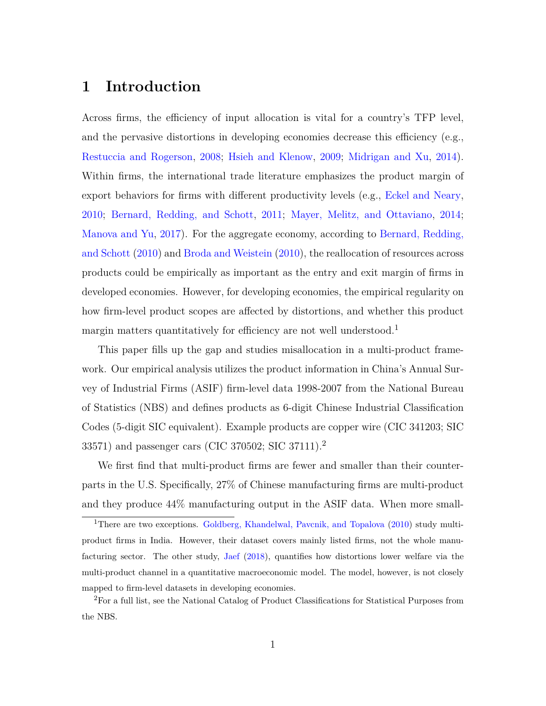# **1 Introduction**

Across firms, the efficiency of input allocation is vital for a country's TFP level, and the pervasive distortions in developing economies decrease this efficiency (e.g., [Restuccia and Rogerson,](#page-53-0) [2008;](#page-53-0) [Hsieh and Klenow,](#page-51-0) [2009;](#page-51-0) [Midrigan and Xu,](#page-52-1) [2014\)](#page-52-1). Within firms, the international trade literature emphasizes the product margin of export behaviors for firms with different productivity levels (e.g., [Eckel and Neary,](#page-51-1) [2010;](#page-51-1) [Bernard, Redding, and Schott,](#page-49-0) [2011;](#page-49-0) [Mayer, Melitz, and Ottaviano,](#page-52-2) [2014;](#page-52-2) [Manova and Yu,](#page-52-3) [2017\)](#page-52-3). For the aggregate economy, according to [Bernard, Redding,](#page-49-1) [and Schott](#page-49-1) [\(2010\)](#page-49-1) and [Broda and Weistein](#page-50-0) [\(2010\)](#page-50-0), the reallocation of resources across products could be empirically as important as the entry and exit margin of firms in developed economies. However, for developing economies, the empirical regularity on how firm-level product scopes are affected by distortions, and whether this product margin matters quantitatively for efficiency are not well understood.<sup>[1](#page-1-0)</sup>

This paper fills up the gap and studies misallocation in a multi-product framework. Our empirical analysis utilizes the product information in China's Annual Survey of Industrial Firms (ASIF) firm-level data 1998-2007 from the National Bureau of Statistics (NBS) and defines products as 6-digit Chinese Industrial Classification Codes (5-digit SIC equivalent). Example products are copper wire (CIC 341203; SIC 33571) and passenger cars (CIC 370502; SIC 37111).[2](#page-1-1)

We first find that multi-product firms are fewer and smaller than their counterparts in the U.S. Specifically, 27% of Chinese manufacturing firms are multi-product and they produce 44% manufacturing output in the ASIF data. When more small-

<span id="page-1-0"></span><sup>&</sup>lt;sup>1</sup>There are two exceptions. [Goldberg, Khandelwal, Pavcnik, and Topalova](#page-51-2) [\(2010\)](#page-51-2) study multiproduct firms in India. However, their dataset covers mainly listed firms, not the whole manufacturing sector. The other study, [Jaef](#page-52-4) [\(2018\)](#page-52-4), quantifies how distortions lower welfare via the multi-product channel in a quantitative macroeconomic model. The model, however, is not closely mapped to firm-level datasets in developing economies.

<span id="page-1-1"></span><sup>2</sup>For a full list, see the National Catalog of Product Classifications for Statistical Purposes from the NBS.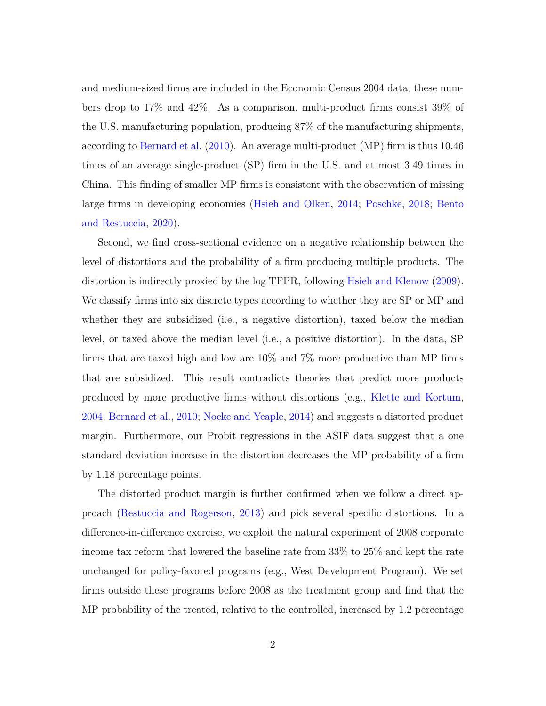and medium-sized firms are included in the Economic Census 2004 data, these numbers drop to 17% and 42%. As a comparison, multi-product firms consist 39% of the U.S. manufacturing population, producing 87% of the manufacturing shipments, according to [Bernard et al.](#page-49-1) [\(2010\)](#page-49-1). An average multi-product (MP) firm is thus 10.46 times of an average single-product (SP) firm in the U.S. and at most 3.49 times in China. This finding of smaller MP firms is consistent with the observation of missing large firms in developing economies [\(Hsieh and Olken,](#page-52-5) [2014;](#page-52-5) [Poschke,](#page-53-1) [2018;](#page-53-1) [Bento](#page-49-2) [and Restuccia,](#page-49-2) [2020\)](#page-49-2).

Second, we find cross-sectional evidence on a negative relationship between the level of distortions and the probability of a firm producing multiple products. The distortion is indirectly proxied by the log TFPR, following [Hsieh and Klenow](#page-51-0) [\(2009\)](#page-51-0). We classify firms into six discrete types according to whether they are SP or MP and whether they are subsidized (i.e., a negative distortion), taxed below the median level, or taxed above the median level (i.e., a positive distortion). In the data, SP firms that are taxed high and low are 10% and 7% more productive than MP firms that are subsidized. This result contradicts theories that predict more products produced by more productive firms without distortions (e.g., [Klette and Kortum,](#page-52-6) [2004;](#page-52-6) [Bernard et al.,](#page-49-1) [2010;](#page-49-1) [Nocke and Yeaple,](#page-53-2) [2014\)](#page-53-2) and suggests a distorted product margin. Furthermore, our Probit regressions in the ASIF data suggest that a one standard deviation increase in the distortion decreases the MP probability of a firm by 1.18 percentage points.

The distorted product margin is further confirmed when we follow a direct approach [\(Restuccia and Rogerson,](#page-53-3) [2013\)](#page-53-3) and pick several specific distortions. In a difference-in-difference exercise, we exploit the natural experiment of 2008 corporate income tax reform that lowered the baseline rate from 33% to 25% and kept the rate unchanged for policy-favored programs (e.g., West Development Program). We set firms outside these programs before 2008 as the treatment group and find that the MP probability of the treated, relative to the controlled, increased by 1.2 percentage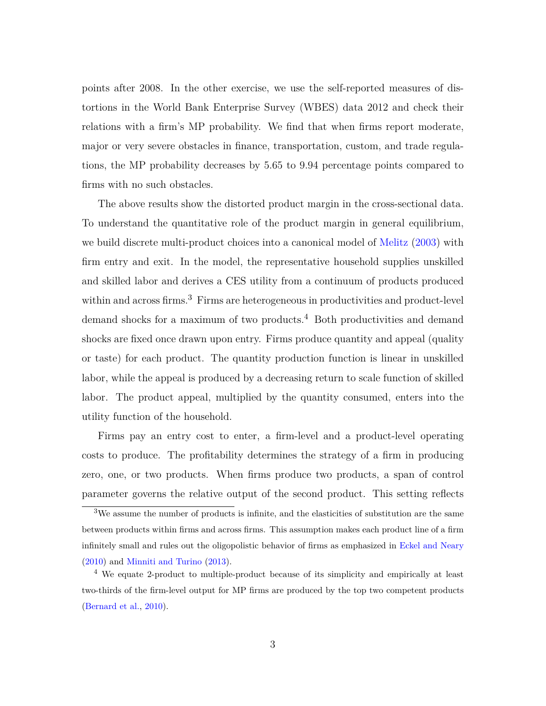points after 2008. In the other exercise, we use the self-reported measures of distortions in the World Bank Enterprise Survey (WBES) data 2012 and check their relations with a firm's MP probability. We find that when firms report moderate, major or very severe obstacles in finance, transportation, custom, and trade regulations, the MP probability decreases by 5.65 to 9.94 percentage points compared to firms with no such obstacles.

The above results show the distorted product margin in the cross-sectional data. To understand the quantitative role of the product margin in general equilibrium, we build discrete multi-product choices into a canonical model of [Melitz](#page-52-0) [\(2003\)](#page-52-0) with firm entry and exit. In the model, the representative household supplies unskilled and skilled labor and derives a CES utility from a continuum of products produced within and across firms.<sup>[3](#page-3-0)</sup> Firms are heterogeneous in productivities and product-level demand shocks for a maximum of two products.[4](#page-3-1) Both productivities and demand shocks are fixed once drawn upon entry. Firms produce quantity and appeal (quality or taste) for each product. The quantity production function is linear in unskilled labor, while the appeal is produced by a decreasing return to scale function of skilled labor. The product appeal, multiplied by the quantity consumed, enters into the utility function of the household.

Firms pay an entry cost to enter, a firm-level and a product-level operating costs to produce. The profitability determines the strategy of a firm in producing zero, one, or two products. When firms produce two products, a span of control parameter governs the relative output of the second product. This setting reflects

<span id="page-3-0"></span><sup>3</sup>We assume the number of products is infinite, and the elasticities of substitution are the same between products within firms and across firms. This assumption makes each product line of a firm infinitely small and rules out the oligopolistic behavior of firms as emphasized in [Eckel and Neary](#page-51-1) [\(2010\)](#page-51-1) and [Minniti and Turino](#page-52-7) [\(2013\)](#page-52-7).

<span id="page-3-1"></span><sup>4</sup> We equate 2-product to multiple-product because of its simplicity and empirically at least two-thirds of the firm-level output for MP firms are produced by the top two competent products [\(Bernard et al.,](#page-49-1) [2010\)](#page-49-1).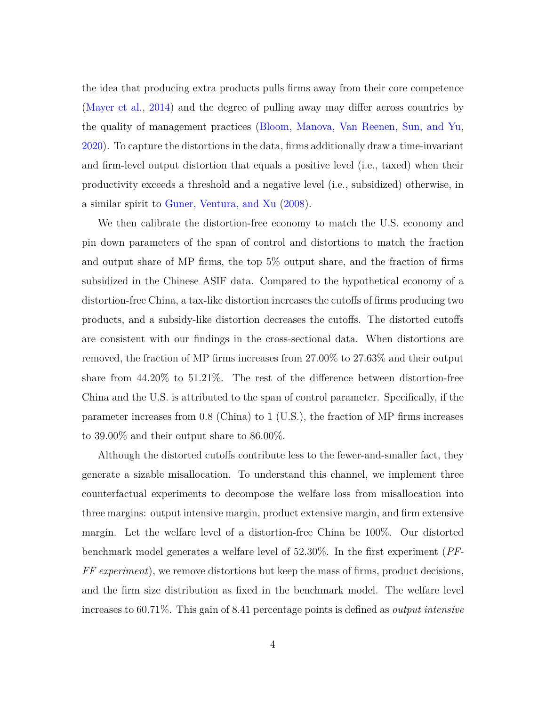the idea that producing extra products pulls firms away from their core competence [\(Mayer et al.,](#page-52-2) [2014\)](#page-52-2) and the degree of pulling away may differ across countries by the quality of management practices [\(Bloom, Manova, Van Reenen, Sun, and Yu,](#page-49-3) [2020\)](#page-49-3). To capture the distortions in the data, firms additionally draw a time-invariant and firm-level output distortion that equals a positive level (i.e., taxed) when their productivity exceeds a threshold and a negative level (i.e., subsidized) otherwise, in a similar spirit to [Guner, Ventura, and Xu](#page-51-3) [\(2008\)](#page-51-3).

We then calibrate the distortion-free economy to match the U.S. economy and pin down parameters of the span of control and distortions to match the fraction and output share of MP firms, the top 5% output share, and the fraction of firms subsidized in the Chinese ASIF data. Compared to the hypothetical economy of a distortion-free China, a tax-like distortion increases the cutoffs of firms producing two products, and a subsidy-like distortion decreases the cutoffs. The distorted cutoffs are consistent with our findings in the cross-sectional data. When distortions are removed, the fraction of MP firms increases from 27.00% to 27.63% and their output share from 44.20% to 51.21%. The rest of the difference between distortion-free China and the U.S. is attributed to the span of control parameter. Specifically, if the parameter increases from 0.8 (China) to 1 (U.S.), the fraction of MP firms increases to 39.00% and their output share to 86.00%.

Although the distorted cutoffs contribute less to the fewer-and-smaller fact, they generate a sizable misallocation. To understand this channel, we implement three counterfactual experiments to decompose the welfare loss from misallocation into three margins: output intensive margin, product extensive margin, and firm extensive margin. Let the welfare level of a distortion-free China be 100%. Our distorted benchmark model generates a welfare level of 52.30%. In the first experiment (*PF-FF experiment*), we remove distortions but keep the mass of firms, product decisions, and the firm size distribution as fixed in the benchmark model. The welfare level increases to 60.71%. This gain of 8.41 percentage points is defined as *output intensive*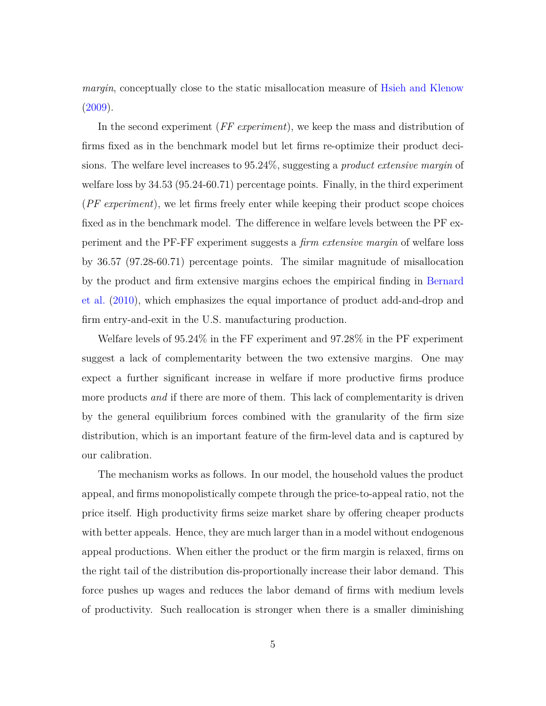*margin*, conceptually close to the static misallocation measure of [Hsieh and Klenow](#page-51-0)  $(2009).$  $(2009).$ 

In the second experiment (*FF experiment*), we keep the mass and distribution of firms fixed as in the benchmark model but let firms re-optimize their product decisions. The welfare level increases to 95.24%, suggesting a *product extensive margin* of welfare loss by 34.53 (95.24-60.71) percentage points. Finally, in the third experiment (*PF experiment*), we let firms freely enter while keeping their product scope choices fixed as in the benchmark model. The difference in welfare levels between the PF experiment and the PF-FF experiment suggests a *firm extensive margin* of welfare loss by 36.57 (97.28-60.71) percentage points. The similar magnitude of misallocation by the product and firm extensive margins echoes the empirical finding in [Bernard](#page-49-1) [et al.](#page-49-1) [\(2010\)](#page-49-1), which emphasizes the equal importance of product add-and-drop and firm entry-and-exit in the U.S. manufacturing production.

Welfare levels of 95.24% in the FF experiment and 97.28% in the PF experiment suggest a lack of complementarity between the two extensive margins. One may expect a further significant increase in welfare if more productive firms produce more products *and* if there are more of them. This lack of complementarity is driven by the general equilibrium forces combined with the granularity of the firm size distribution, which is an important feature of the firm-level data and is captured by our calibration.

The mechanism works as follows. In our model, the household values the product appeal, and firms monopolistically compete through the price-to-appeal ratio, not the price itself. High productivity firms seize market share by offering cheaper products with better appeals. Hence, they are much larger than in a model without endogenous appeal productions. When either the product or the firm margin is relaxed, firms on the right tail of the distribution dis-proportionally increase their labor demand. This force pushes up wages and reduces the labor demand of firms with medium levels of productivity. Such reallocation is stronger when there is a smaller diminishing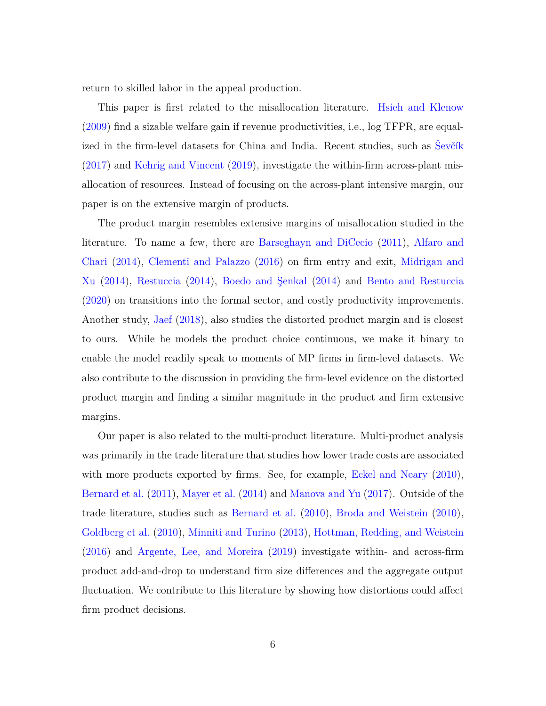return to skilled labor in the appeal production.

This paper is first related to the misallocation literature. [Hsieh and Klenow](#page-51-0) [\(2009\)](#page-51-0) find a sizable welfare gain if revenue productivities, i.e., log TFPR, are equalized in the firm-level datasets for China and India. Recent studies, such as [Ševčík](#page-53-4) [\(2017\)](#page-53-4) and [Kehrig and Vincent](#page-52-8) [\(2019\)](#page-52-8), investigate the within-firm across-plant misallocation of resources. Instead of focusing on the across-plant intensive margin, our paper is on the extensive margin of products.

The product margin resembles extensive margins of misallocation studied in the literature. To name a few, there are [Barseghayn and DiCecio](#page-49-4) [\(2011\)](#page-49-4), [Alfaro and](#page-49-5) [Chari](#page-49-5) [\(2014\)](#page-49-5), [Clementi and Palazzo](#page-50-1) [\(2016\)](#page-50-1) on firm entry and exit, [Midrigan and](#page-52-1) [Xu](#page-52-1) [\(2014\)](#page-52-1), [Restuccia](#page-53-5) [\(2014\)](#page-53-5), [Boedo and Şenkal](#page-50-2) [\(2014\)](#page-50-2) and [Bento and Restuccia](#page-49-2) [\(2020\)](#page-49-2) on transitions into the formal sector, and costly productivity improvements. Another study, [Jaef](#page-52-4) [\(2018\)](#page-52-4), also studies the distorted product margin and is closest to ours. While he models the product choice continuous, we make it binary to enable the model readily speak to moments of MP firms in firm-level datasets. We also contribute to the discussion in providing the firm-level evidence on the distorted product margin and finding a similar magnitude in the product and firm extensive margins.

Our paper is also related to the multi-product literature. Multi-product analysis was primarily in the trade literature that studies how lower trade costs are associated with more products exported by firms. See, for example, [Eckel and Neary](#page-51-1) [\(2010\)](#page-51-1), [Bernard et al.](#page-49-0) [\(2011\)](#page-49-0), [Mayer et al.](#page-52-2) [\(2014\)](#page-52-2) and [Manova and Yu](#page-52-3) [\(2017\)](#page-52-3). Outside of the trade literature, studies such as [Bernard et al.](#page-49-1) [\(2010\)](#page-49-1), [Broda and Weistein](#page-50-0) [\(2010\)](#page-50-0), [Goldberg et al.](#page-51-2) [\(2010\)](#page-51-2), [Minniti and Turino](#page-52-7) [\(2013\)](#page-52-7), [Hottman, Redding, and Weistein](#page-51-4) [\(2016\)](#page-51-4) and [Argente, Lee, and Moreira](#page-49-6) [\(2019\)](#page-49-6) investigate within- and across-firm product add-and-drop to understand firm size differences and the aggregate output fluctuation. We contribute to this literature by showing how distortions could affect firm product decisions.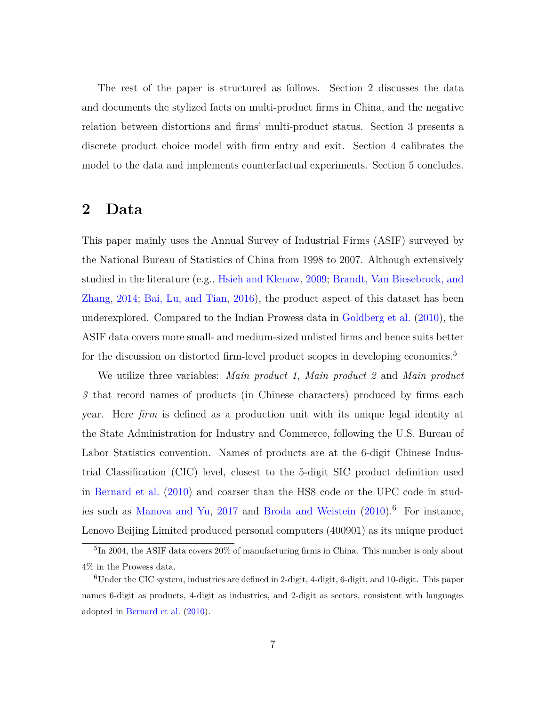The rest of the paper is structured as follows. Section 2 discusses the data and documents the stylized facts on multi-product firms in China, and the negative relation between distortions and firms' multi-product status. Section 3 presents a discrete product choice model with firm entry and exit. Section 4 calibrates the model to the data and implements counterfactual experiments. Section 5 concludes.

# **2 Data**

This paper mainly uses the Annual Survey of Industrial Firms (ASIF) surveyed by the National Bureau of Statistics of China from 1998 to 2007. Although extensively studied in the literature (e.g., [Hsieh and Klenow,](#page-51-0) [2009;](#page-51-0) [Brandt, Van Biesebrock, and](#page-50-3) [Zhang,](#page-50-3) [2014;](#page-50-3) [Bai, Lu, and Tian,](#page-49-7) [2016\)](#page-49-7), the product aspect of this dataset has been underexplored. Compared to the Indian Prowess data in [Goldberg et al.](#page-51-2) [\(2010\)](#page-51-2), the ASIF data covers more small- and medium-sized unlisted firms and hence suits better for the discussion on distorted firm-level product scopes in developing economies.<sup>[5](#page-7-0)</sup>

We utilize three variables: *Main product 1*, *Main product 2* and *Main product 3* that record names of products (in Chinese characters) produced by firms each year. Here *firm* is defined as a production unit with its unique legal identity at the State Administration for Industry and Commerce, following the U.S. Bureau of Labor Statistics convention. Names of products are at the 6-digit Chinese Industrial Classification (CIC) level, closest to the 5-digit SIC product definition used in [Bernard et al.](#page-49-1) [\(2010\)](#page-49-1) and coarser than the HS8 code or the UPC code in stud-ies such as [Manova and Yu,](#page-52-3) [2017](#page-52-3) and [Broda and Weistein](#page-50-0)  $(2010).<sup>6</sup>$  $(2010).<sup>6</sup>$  $(2010).<sup>6</sup>$  $(2010).<sup>6</sup>$  For instance, Lenovo Beijing Limited produced personal computers (400901) as its unique product

<span id="page-7-0"></span><sup>&</sup>lt;sup>5</sup>In 2004, the ASIF data covers 20% of manufacturing firms in China. This number is only about 4% in the Prowess data.

<span id="page-7-1"></span><sup>6</sup>Under the CIC system, industries are defined in 2-digit, 4-digit, 6-digit, and 10-digit. This paper names 6-digit as products, 4-digit as industries, and 2-digit as sectors, consistent with languages adopted in [Bernard et al.](#page-49-1) [\(2010\)](#page-49-1).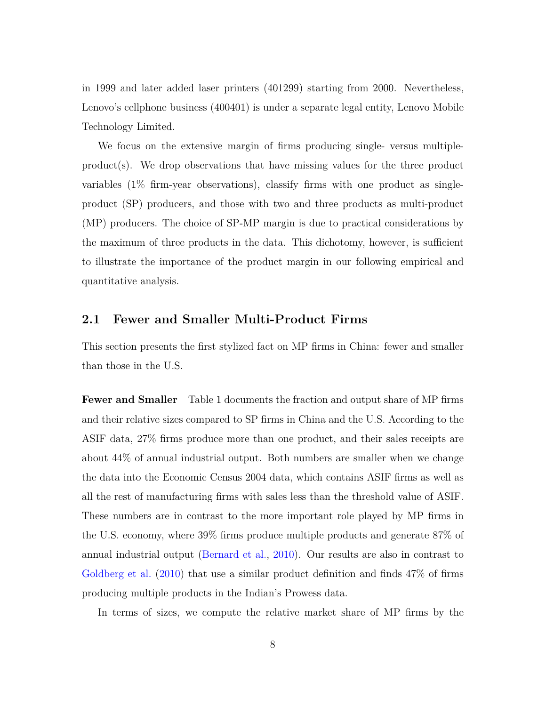in 1999 and later added laser printers (401299) starting from 2000. Nevertheless, Lenovo's cellphone business (400401) is under a separate legal entity, Lenovo Mobile Technology Limited.

We focus on the extensive margin of firms producing single- versus multipleproduct(s). We drop observations that have missing values for the three product variables (1% firm-year observations), classify firms with one product as singleproduct (SP) producers, and those with two and three products as multi-product (MP) producers. The choice of SP-MP margin is due to practical considerations by the maximum of three products in the data. This dichotomy, however, is sufficient to illustrate the importance of the product margin in our following empirical and quantitative analysis.

### **2.1 Fewer and Smaller Multi-Product Firms**

This section presents the first stylized fact on MP firms in China: fewer and smaller than those in the U.S.

**Fewer and Smaller** Table [1](#page-9-0) documents the fraction and output share of MP firms and their relative sizes compared to SP firms in China and the U.S. According to the ASIF data, 27% firms produce more than one product, and their sales receipts are about 44% of annual industrial output. Both numbers are smaller when we change the data into the Economic Census 2004 data, which contains ASIF firms as well as all the rest of manufacturing firms with sales less than the threshold value of ASIF. These numbers are in contrast to the more important role played by MP firms in the U.S. economy, where 39% firms produce multiple products and generate 87% of annual industrial output [\(Bernard et al.,](#page-49-1) [2010\)](#page-49-1). Our results are also in contrast to [Goldberg et al.](#page-51-2) [\(2010\)](#page-51-2) that use a similar product definition and finds 47% of firms producing multiple products in the Indian's Prowess data.

In terms of sizes, we compute the relative market share of MP firms by the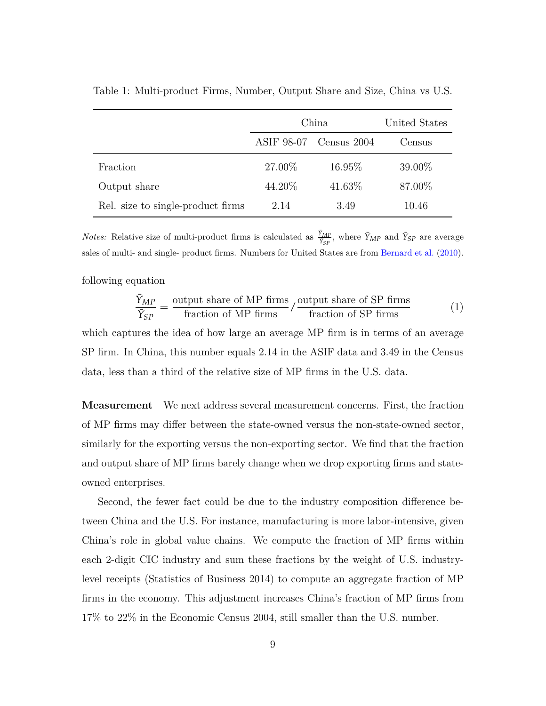|                                   | China      | United States |        |
|-----------------------------------|------------|---------------|--------|
|                                   | ASIF 98-07 | Census 2004   | Census |
| Fraction                          | 27.00%     | 16.95\%       | 39.00% |
| Output share                      | 44.20\%    | 41.63%        | 87.00% |
| Rel. size to single-product firms | 2.14       | 3.49          | 10.46  |

<span id="page-9-0"></span>Table 1: Multi-product Firms, Number, Output Share and Size, China vs U.S.

*Notes:* Relative size of multi-product firms is calculated as  $\frac{\tilde{\gamma}_{MP}}{\tilde{\gamma}_{SP}}$ , where  $\tilde{\gamma}_{MP}$  and  $\tilde{\gamma}_{SP}$  are average sales of multi- and single- product firms. Numbers for United States are from [Bernard et al.](#page-49-1) [\(2010\)](#page-49-1).

following equation

$$
\frac{\bar{Y}_{MP}}{\bar{Y}_{SP}} = \frac{\text{output share of MP firms}}{\text{fraction of MP firms}} / \frac{\text{output share of SP firms}}{\text{fraction of SP firms}} \tag{1}
$$

which captures the idea of how large an average MP firm is in terms of an average SP firm. In China, this number equals 2.14 in the ASIF data and 3.49 in the Census data, less than a third of the relative size of MP firms in the U.S. data.

**Measurement** We next address several measurement concerns. First, the fraction of MP firms may differ between the state-owned versus the non-state-owned sector, similarly for the exporting versus the non-exporting sector. We find that the fraction and output share of MP firms barely change when we drop exporting firms and stateowned enterprises.

Second, the fewer fact could be due to the industry composition difference between China and the U.S. For instance, manufacturing is more labor-intensive, given China's role in global value chains. We compute the fraction of MP firms within each 2-digit CIC industry and sum these fractions by the weight of U.S. industrylevel receipts (Statistics of Business 2014) to compute an aggregate fraction of MP firms in the economy. This adjustment increases China's fraction of MP firms from 17% to 22% in the Economic Census 2004, still smaller than the U.S. number.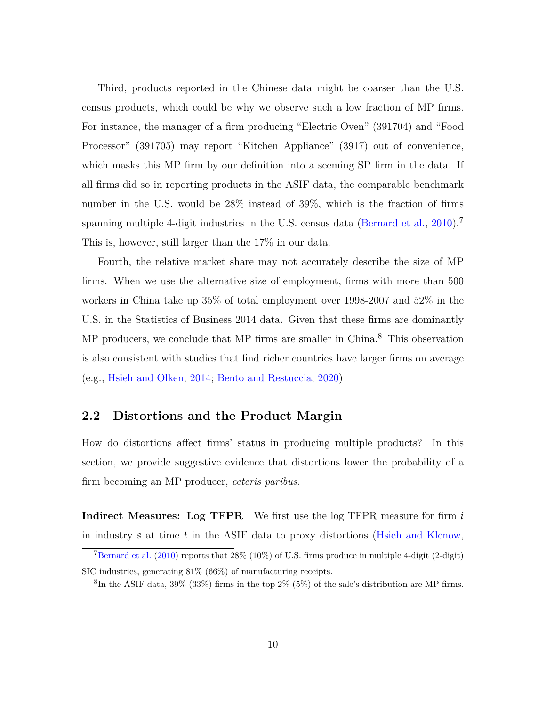Third, products reported in the Chinese data might be coarser than the U.S. census products, which could be why we observe such a low fraction of MP firms. For instance, the manager of a firm producing "Electric Oven" (391704) and "Food Processor" (391705) may report "Kitchen Appliance" (3917) out of convenience, which masks this MP firm by our definition into a seeming SP firm in the data. If all firms did so in reporting products in the ASIF data, the comparable benchmark number in the U.S. would be 28% instead of 39%, which is the fraction of firms spanning multiple 4-digit industries in the U.S. census data [\(Bernard et al.,](#page-49-1) [2010\)](#page-49-1).<sup>[7](#page-10-0)</sup> This is, however, still larger than the 17% in our data.

Fourth, the relative market share may not accurately describe the size of MP firms. When we use the alternative size of employment, firms with more than 500 workers in China take up 35% of total employment over 1998-2007 and 52% in the U.S. in the Statistics of Business 2014 data. Given that these firms are dominantly MP producers, we conclude that MP firms are smaller in China.<sup>[8](#page-10-1)</sup> This observation is also consistent with studies that find richer countries have larger firms on average (e.g., [Hsieh and Olken,](#page-52-5) [2014;](#page-52-5) [Bento and Restuccia,](#page-49-2) [2020\)](#page-49-2)

### **2.2 Distortions and the Product Margin**

How do distortions affect firms' status in producing multiple products? In this section, we provide suggestive evidence that distortions lower the probability of a firm becoming an MP producer, *ceteris paribus*.

**Indirect Measures: Log TFPR** We first use the log TFPR measure for firm *i* in industry *s* at time *t* in the ASIF data to proxy distortions [\(Hsieh and Klenow,](#page-51-0)

<span id="page-10-0"></span><sup>&</sup>lt;sup>7</sup>[Bernard et al.](#page-49-1)  $(2010)$  reports that  $28\%$   $(10\%)$  of U.S. firms produce in multiple 4-digit  $(2\text{-digit})$ SIC industries, generating 81% (66%) of manufacturing receipts.

<span id="page-10-1"></span> ${}^{8}$ In the ASIF data, 39% (33%) firms in the top 2% (5%) of the sale's distribution are MP firms.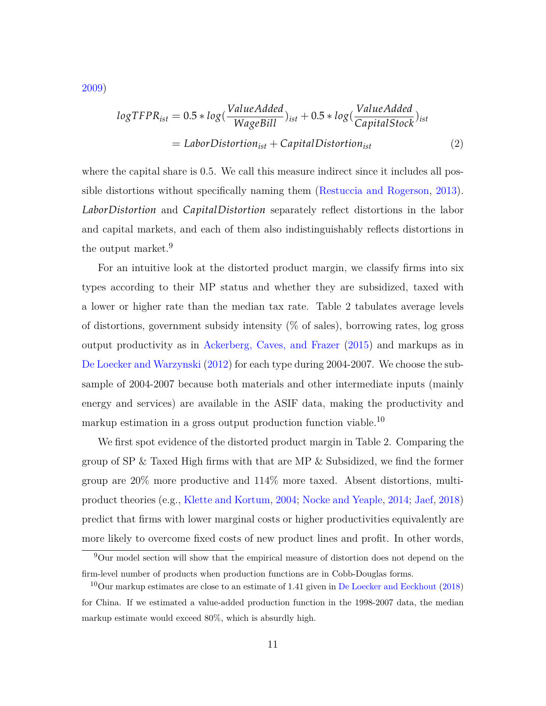[2009\)](#page-51-0)

<span id="page-11-2"></span>
$$
logTFPR_{ist} = 0.5 * log(\frac{ValueAdded}{WageBill})_{ist} + 0.5 * log(\frac{ValueAdded}{CapitalStock})_{ist}
$$

$$
= LaborDistortion_{ist} + CapitalDistortion_{ist}
$$
(2)

where the capital share is 0.5. We call this measure indirect since it includes all possible distortions without specifically naming them [\(Restuccia and Rogerson,](#page-53-3) [2013\)](#page-53-3). *LaborDistortion* and *CapitalDistortion* separately reflect distortions in the labor and capital markets, and each of them also indistinguishably reflects distortions in the output market.<sup>[9](#page-11-0)</sup>

For an intuitive look at the distorted product margin, we classify firms into six types according to their MP status and whether they are subsidized, taxed with a lower or higher rate than the median tax rate. Table [2](#page-13-0) tabulates average levels of distortions, government subsidy intensity (% of sales), borrowing rates, log gross output productivity as in [Ackerberg, Caves, and Frazer](#page-49-8) [\(2015\)](#page-49-8) and markups as in [De Loecker and Warzynski](#page-50-4) [\(2012\)](#page-50-4) for each type during 2004-2007. We choose the subsample of 2004-2007 because both materials and other intermediate inputs (mainly energy and services) are available in the ASIF data, making the productivity and markup estimation in a gross output production function viable.  $^{10}$  $^{10}$  $^{10}$ 

We first spot evidence of the distorted product margin in Table [2.](#page-13-0) Comparing the group of SP & Taxed High firms with that are MP & Subsidized, we find the former group are 20% more productive and 114% more taxed. Absent distortions, multiproduct theories (e.g., [Klette and Kortum,](#page-52-6) [2004;](#page-52-6) [Nocke and Yeaple,](#page-53-2) [2014;](#page-53-2) [Jaef,](#page-52-4) [2018\)](#page-52-4) predict that firms with lower marginal costs or higher productivities equivalently are more likely to overcome fixed costs of new product lines and profit. In other words,

<span id="page-11-0"></span><sup>9</sup>Our model section will show that the empirical measure of distortion does not depend on the firm-level number of products when production functions are in Cobb-Douglas forms.

<span id="page-11-1"></span><sup>&</sup>lt;sup>10</sup>Our markup estimates are close to an estimate of 1.41 given in [De Loecker and Eeckhout](#page-50-5) [\(2018\)](#page-50-5) for China. If we estimated a value-added production function in the 1998-2007 data, the median markup estimate would exceed 80%, which is absurdly high.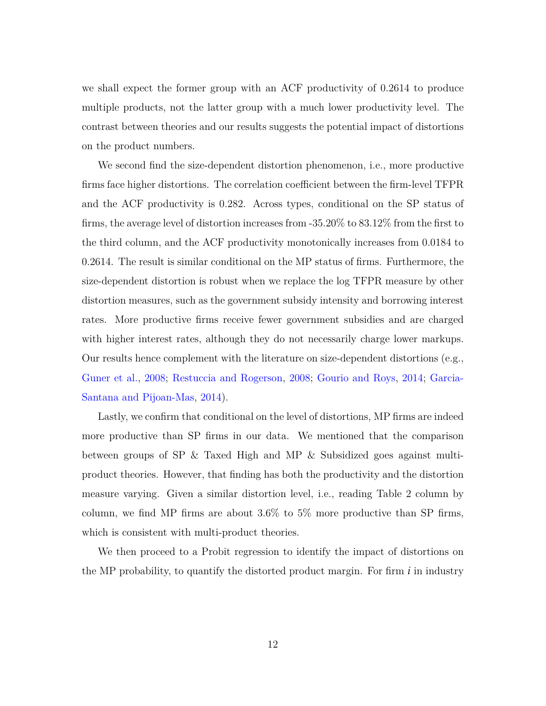we shall expect the former group with an ACF productivity of 0.2614 to produce multiple products, not the latter group with a much lower productivity level. The contrast between theories and our results suggests the potential impact of distortions on the product numbers.

We second find the size-dependent distortion phenomenon, i.e., more productive firms face higher distortions. The correlation coefficient between the firm-level TFPR and the ACF productivity is 0.282. Across types, conditional on the SP status of firms, the average level of distortion increases from -35.20% to 83.12% from the first to the third column, and the ACF productivity monotonically increases from 0.0184 to 0.2614. The result is similar conditional on the MP status of firms. Furthermore, the size-dependent distortion is robust when we replace the log TFPR measure by other distortion measures, such as the government subsidy intensity and borrowing interest rates. More productive firms receive fewer government subsidies and are charged with higher interest rates, although they do not necessarily charge lower markups. Our results hence complement with the literature on size-dependent distortions (e.g., [Guner et al.,](#page-51-3) [2008;](#page-51-3) [Restuccia and Rogerson,](#page-53-0) [2008;](#page-53-0) [Gourio and Roys,](#page-51-5) [2014;](#page-51-5) [Garcia-](#page-51-6)[Santana and Pijoan-Mas,](#page-51-6) [2014\)](#page-51-6).

Lastly, we confirm that conditional on the level of distortions, MP firms are indeed more productive than SP firms in our data. We mentioned that the comparison between groups of SP & Taxed High and MP & Subsidized goes against multiproduct theories. However, that finding has both the productivity and the distortion measure varying. Given a similar distortion level, i.e., reading Table [2](#page-13-0) column by column, we find MP firms are about  $3.6\%$  to  $5\%$  more productive than SP firms, which is consistent with multi-product theories.

We then proceed to a Probit regression to identify the impact of distortions on the MP probability, to quantify the distorted product margin. For firm *i* in industry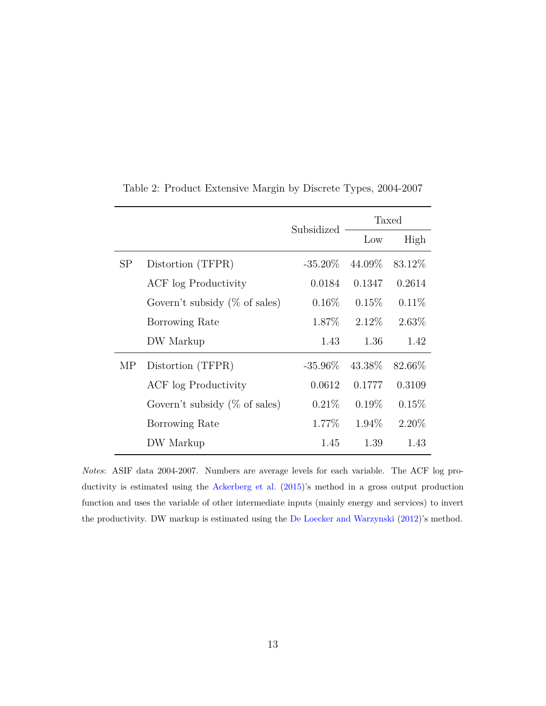|    |                                   | Subsidized | Taxed    |          |  |
|----|-----------------------------------|------------|----------|----------|--|
|    |                                   |            | Low      | High     |  |
| SP | Distortion (TFPR)                 | $-35.20\%$ | 44.09%   | 83.12\%  |  |
|    | ACF log Productivity              | 0.0184     | 0.1347   | 0.2614   |  |
|    | Govern't subsidy $(\%$ of sales)  | $0.16\%$   | $0.15\%$ | $0.11\%$ |  |
|    | Borrowing Rate                    | 1.87\%     | $2.12\%$ | $2.63\%$ |  |
|    | DW Markup                         | 1.43       | 1.36     | 1.42     |  |
| MP | Distortion (TFPR)                 | $-35.96\%$ | 43.38%   | 82.66%   |  |
|    | ACF log Productivity              | 0.0612     | 0.1777   | 0.3109   |  |
|    | Govern't subsidy ( $\%$ of sales) | $0.21\%$   | $0.19\%$ | 0.15%    |  |
|    | Borrowing Rate                    | 1.77%      | 1.94\%   | $2.20\%$ |  |
|    | DW Markup                         | 1.45       | 1.39     | 1.43     |  |

<span id="page-13-0"></span>Table 2: Product Extensive Margin by Discrete Types, 2004-2007

*Notes*: ASIF data 2004-2007. Numbers are average levels for each variable. The ACF log productivity is estimated using the [Ackerberg et al.](#page-49-8) [\(2015\)](#page-49-8)'s method in a gross output production function and uses the variable of other intermediate inputs (mainly energy and services) to invert the productivity. DW markup is estimated using the [De Loecker and Warzynski](#page-50-4) [\(2012\)](#page-50-4)'s method.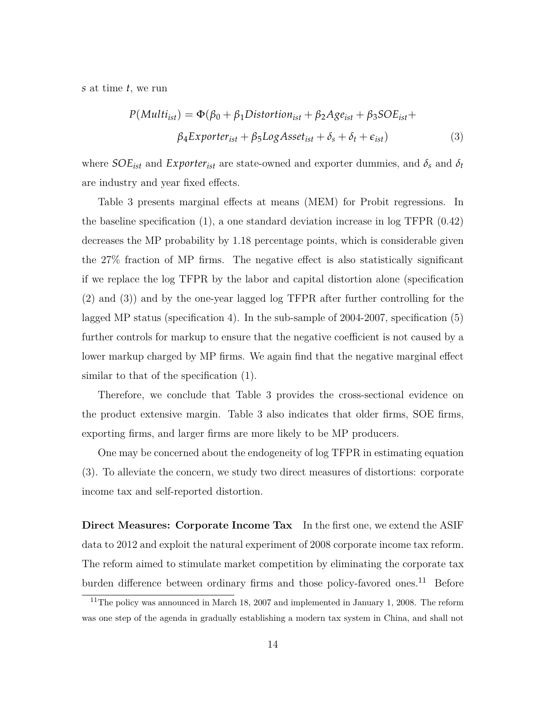*s* at time *t*, we run

<span id="page-14-1"></span>
$$
P(Multi_{ist}) = \Phi(\beta_0 + \beta_1 Distortion_{ist} + \beta_2 Age_{ist} + \beta_3 SOE_{ist} + \beta_4 Exporter_{ist} + \beta_5 Log Asset_{ist} + \delta_s + \delta_t + \epsilon_{ist})
$$
\n(3)

where  $SOE<sub>ist</sub>$  and  $Exporter<sub>ist</sub>$  are state-owned and exporter dummies, and  $\delta_s$  and  $\delta_t$ are industry and year fixed effects.

Table [3](#page-15-0) presents marginal effects at means (MEM) for Probit regressions. In the baseline specification (1), a one standard deviation increase in log TFPR (0.42) decreases the MP probability by 1.18 percentage points, which is considerable given the 27% fraction of MP firms. The negative effect is also statistically significant if we replace the log TFPR by the labor and capital distortion alone (specification (2) and (3)) and by the one-year lagged log TFPR after further controlling for the lagged MP status (specification 4). In the sub-sample of 2004-2007, specification (5) further controls for markup to ensure that the negative coefficient is not caused by a lower markup charged by MP firms. We again find that the negative marginal effect similar to that of the specification (1).

Therefore, we conclude that Table [3](#page-15-0) provides the cross-sectional evidence on the product extensive margin. Table [3](#page-15-0) also indicates that older firms, SOE firms, exporting firms, and larger firms are more likely to be MP producers.

One may be concerned about the endogeneity of log TFPR in estimating equation (3). To alleviate the concern, we study two direct measures of distortions: corporate income tax and self-reported distortion.

**Direct Measures: Corporate Income Tax** In the first one, we extend the ASIF data to 2012 and exploit the natural experiment of 2008 corporate income tax reform. The reform aimed to stimulate market competition by eliminating the corporate tax burden difference between ordinary firms and those policy-favored ones.<sup>[11](#page-14-0)</sup> Before

<span id="page-14-0"></span> $11$ The policy was announced in March 18, 2007 and implemented in January 1, 2008. The reform was one step of the agenda in gradually establishing a modern tax system in China, and shall not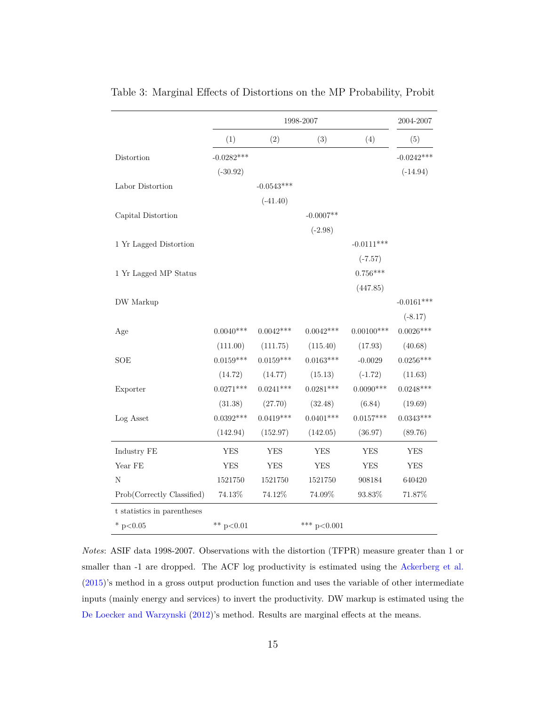|                             |              |              | 1998-2007     |               | 2004-2007    |
|-----------------------------|--------------|--------------|---------------|---------------|--------------|
|                             | (1)          | (2)          | (3)           | (4)           | (5)          |
| Distortion                  | $-0.0282***$ |              |               |               | $-0.0242***$ |
|                             | $(-30.92)$   |              |               |               | $(-14.94)$   |
| Labor Distortion            |              | $-0.0543***$ |               |               |              |
|                             |              | $(-41.40)$   |               |               |              |
| Capital Distortion          |              |              | $-0.0007**$   |               |              |
|                             |              |              | $(-2.98)$     |               |              |
| 1 Yr Lagged Distortion      |              |              |               | $-0.0111***$  |              |
|                             |              |              |               | $(-7.57)$     |              |
| 1 Yr Lagged MP Status       |              |              |               | $0.756***$    |              |
|                             |              |              |               | (447.85)      |              |
| DW Markup                   |              |              |               |               | $-0.0161***$ |
|                             |              |              |               |               | $(-8.17)$    |
| Age                         | $0.0040***$  | $0.0042***$  | $0.0042***$   | $0.00100$ *** | $0.0026***$  |
|                             | (111.00)     | (111.75)     | (115.40)      | (17.93)       | (40.68)      |
| SOE                         | $0.0159***$  | $0.0159***$  | $0.0163***$   | $-0.0029$     | $0.0256***$  |
|                             | (14.72)      | (14.77)      | (15.13)       | $(-1.72)$     | (11.63)      |
| Exporter                    | $0.0271***$  | $0.0241***$  | $0.0281***$   | $0.0090***$   | $0.0248***$  |
|                             | (31.38)      | (27.70)      | (32.48)       | (6.84)        | (19.69)      |
| Log Asset                   | $0.0392***$  | $0.0419***$  | $0.0401***$   | $0.0157***$   | $0.0343***$  |
|                             | (142.94)     | (152.97)     | (142.05)      | (36.97)       | (89.76)      |
| Industry FE                 | <b>YES</b>   | <b>YES</b>   | <b>YES</b>    | <b>YES</b>    | <b>YES</b>   |
| Year $FE$                   | <b>YES</b>   | <b>YES</b>   | <b>YES</b>    | <b>YES</b>    | <b>YES</b>   |
| N                           | 1521750      | 1521750      | 1521750       | 908184        | 640420       |
| Prob(Correctly Classified)  | $74.13\%$    | $74.12\%$    | $74.09\%$     | $93.83\%$     | $71.87\%$    |
| t statistics in parentheses |              |              |               |               |              |
| * $p<0.05$                  | ** $p<0.01$  |              | *** $p<0.001$ |               |              |

<span id="page-15-0"></span>Table 3: Marginal Effects of Distortions on the MP Probability, Probit

*Notes*: ASIF data 1998-2007. Observations with the distortion (TFPR) measure greater than 1 or smaller than -1 are dropped. The ACF log productivity is estimated using the [Ackerberg et al.](#page-49-8) [\(2015\)](#page-49-8)'s method in a gross output production function and uses the variable of other intermediate inputs (mainly energy and services) to invert the productivity. DW markup is estimated using the [De Loecker and Warzynski](#page-50-4) [\(2012\)](#page-50-4)'s method. Results are marginal effects at the means.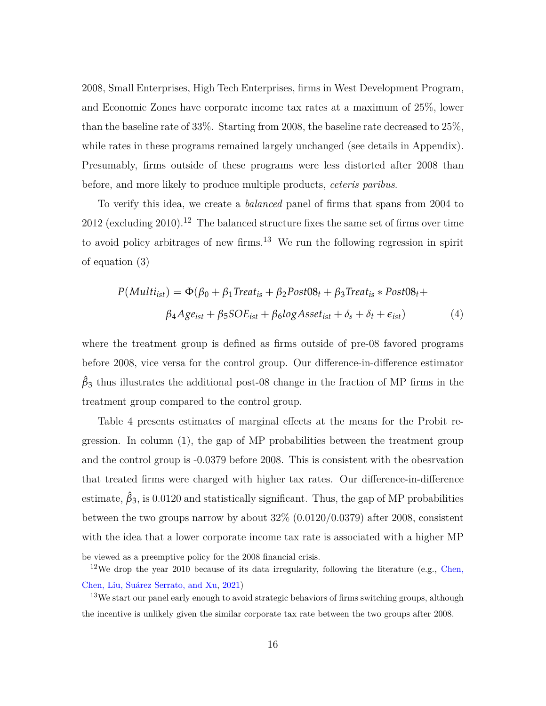2008, Small Enterprises, High Tech Enterprises, firms in West Development Program, and Economic Zones have corporate income tax rates at a maximum of 25%, lower than the baseline rate of 33%. Starting from 2008, the baseline rate decreased to 25%, while rates in these programs remained largely unchanged (see details in Appendix). Presumably, firms outside of these programs were less distorted after 2008 than before, and more likely to produce multiple products, *ceteris paribus*.

To verify this idea, we create a *balanced* panel of firms that spans from 2004 to 20[12](#page-16-0) (excluding 2010).<sup>12</sup> The balanced structure fixes the same set of firms over time to avoid policy arbitrages of new firms.<sup>[13](#page-16-1)</sup> We run the following regression in spirit of equation [\(3\)](#page-14-1)

<span id="page-16-2"></span>
$$
P(Multi_{ist}) = \Phi(\beta_0 + \beta_1 Treat_{is} + \beta_2 Post08_t + \beta_3 Treat_{is} * Post08_t + \beta_4 Age_{ist} + \beta_5 SOE_{ist} + \beta_6 log Asset_{ist} + \delta_s + \delta_t + \epsilon_{ist})
$$
\n
$$
(4)
$$

where the treatment group is defined as firms outside of pre-08 favored programs before 2008, vice versa for the control group. Our difference-in-difference estimator  $\hat{\beta}_3$  thus illustrates the additional post-08 change in the fraction of MP firms in the treatment group compared to the control group.

Table [4](#page-19-0) presents estimates of marginal effects at the means for the Probit regression. In column (1), the gap of MP probabilities between the treatment group and the control group is -0.0379 before 2008. This is consistent with the obesrvation that treated firms were charged with higher tax rates. Our difference-in-difference estimate,  $\hat{\beta}_3$ , is 0.0120 and statistically significant. Thus, the gap of MP probabilities between the two groups narrow by about  $32\%$   $(0.0120/0.0379)$  after 2008, consistent with the idea that a lower corporate income tax rate is associated with a higher MP

<span id="page-16-0"></span>be viewed as a preemptive policy for the 2008 financial crisis.

<sup>&</sup>lt;sup>12</sup>We drop the year 2010 because of its data irregularity, following the literature (e.g., [Chen,](#page-50-6) [Chen, Liu, Suárez Serrato, and Xu,](#page-50-6) [2021\)](#page-50-6)

<span id="page-16-1"></span><sup>&</sup>lt;sup>13</sup>We start our panel early enough to avoid strategic behaviors of firms switching groups, although the incentive is unlikely given the similar corporate tax rate between the two groups after 2008.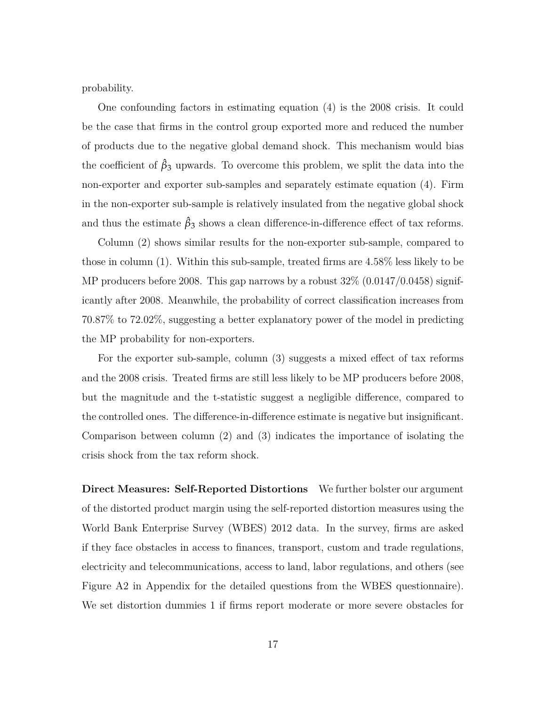probability.

One confounding factors in estimating equation [\(4\)](#page-16-2) is the 2008 crisis. It could be the case that firms in the control group exported more and reduced the number of products due to the negative global demand shock. This mechanism would bias the coefficient of  $\hat{\beta}_3$  upwards. To overcome this problem, we split the data into the non-exporter and exporter sub-samples and separately estimate equation [\(4\)](#page-16-2). Firm in the non-exporter sub-sample is relatively insulated from the negative global shock and thus the estimate  $\hat{\beta}_3$  shows a clean difference-in-difference effect of tax reforms.

Column (2) shows similar results for the non-exporter sub-sample, compared to those in column (1). Within this sub-sample, treated firms are 4.58% less likely to be MP producers before 2008. This gap narrows by a robust  $32\%$  (0.0147/0.0458) significantly after 2008. Meanwhile, the probability of correct classification increases from 70.87% to 72.02%, suggesting a better explanatory power of the model in predicting the MP probability for non-exporters.

For the exporter sub-sample, column (3) suggests a mixed effect of tax reforms and the 2008 crisis. Treated firms are still less likely to be MP producers before 2008, but the magnitude and the t-statistic suggest a negligible difference, compared to the controlled ones. The difference-in-difference estimate is negative but insignificant. Comparison between column (2) and (3) indicates the importance of isolating the crisis shock from the tax reform shock.

**Direct Measures: Self-Reported Distortions** We further bolster our argument of the distorted product margin using the self-reported distortion measures using the World Bank Enterprise Survey (WBES) 2012 data. In the survey, firms are asked if they face obstacles in access to finances, transport, custom and trade regulations, electricity and telecommunications, access to land, labor regulations, and others (see Figure [A2](#page-56-0) in Appendix for the detailed questions from the WBES questionnaire). We set distortion dummies 1 if firms report moderate or more severe obstacles for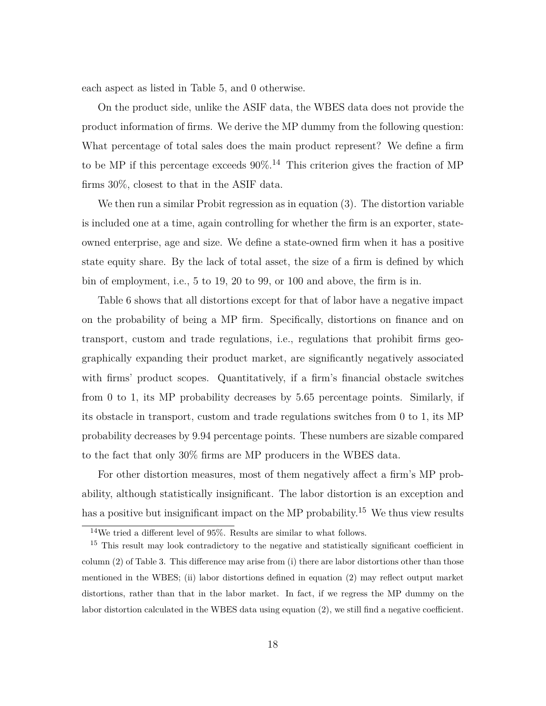each aspect as listed in Table [5,](#page-20-0) and 0 otherwise.

On the product side, unlike the ASIF data, the WBES data does not provide the product information of firms. We derive the MP dummy from the following question: What percentage of total sales does the main product represent? We define a firm to be MP if this percentage exceeds  $90\%$ .<sup>[14](#page-18-0)</sup> This criterion gives the fraction of MP firms 30%, closest to that in the ASIF data.

We then run a similar Probit regression as in equation [\(3\)](#page-14-1). The distortion variable is included one at a time, again controlling for whether the firm is an exporter, stateowned enterprise, age and size. We define a state-owned firm when it has a positive state equity share. By the lack of total asset, the size of a firm is defined by which bin of employment, i.e., 5 to 19, 20 to 99, or 100 and above, the firm is in.

Table [6](#page-20-1) shows that all distortions except for that of labor have a negative impact on the probability of being a MP firm. Specifically, distortions on finance and on transport, custom and trade regulations, i.e., regulations that prohibit firms geographically expanding their product market, are significantly negatively associated with firms' product scopes. Quantitatively, if a firm's financial obstacle switches from 0 to 1, its MP probability decreases by 5.65 percentage points. Similarly, if its obstacle in transport, custom and trade regulations switches from 0 to 1, its MP probability decreases by 9.94 percentage points. These numbers are sizable compared to the fact that only 30% firms are MP producers in the WBES data.

For other distortion measures, most of them negatively affect a firm's MP probability, although statistically insignificant. The labor distortion is an exception and has a positive but insignificant impact on the MP probability.<sup>[15](#page-18-1)</sup> We thus view results

<span id="page-18-1"></span><span id="page-18-0"></span><sup>14</sup>We tried a different level of 95%. Results are similar to what follows.

<sup>&</sup>lt;sup>15</sup> This result may look contradictory to the negative and statistically significant coefficient in column (2) of Table [3.](#page-15-0) This difference may arise from (i) there are labor distortions other than those mentioned in the WBES; (ii) labor distortions defined in equation [\(2\)](#page-11-2) may reflect output market distortions, rather than that in the labor market. In fact, if we regress the MP dummy on the labor distortion calculated in the WBES data using equation [\(2\)](#page-11-2), we still find a negative coefficient.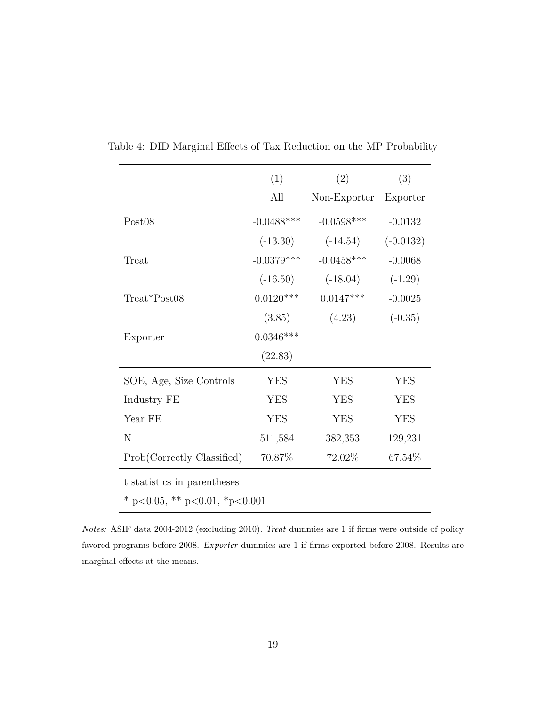|                               | (1)           | (2)          | (3)         |
|-------------------------------|---------------|--------------|-------------|
|                               | All           | Non-Exporter | Exporter    |
| Post <sub>08</sub>            | $-0.0488$ *** | $-0.0598***$ | $-0.0132$   |
|                               | $(-13.30)$    | $(-14.54)$   | $(-0.0132)$ |
| Treat                         | $-0.0379***$  | $-0.0458***$ | $-0.0068$   |
|                               | $(-16.50)$    | $(-18.04)$   | $(-1.29)$   |
| Treat*Post08                  | $0.0120***$   | $0.0147***$  | $-0.0025$   |
|                               | (3.85)        | (4.23)       | $(-0.35)$   |
| Exporter                      | $0.0346***$   |              |             |
|                               | (22.83)       |              |             |
| SOE, Age, Size Controls       | <b>YES</b>    | <b>YES</b>   | <b>YES</b>  |
| Industry FE                   | <b>YES</b>    | <b>YES</b>   | <b>YES</b>  |
| Year FE                       | <b>YES</b>    | <b>YES</b>   | <b>YES</b>  |
| N                             | 511,584       | 382,353      | 129,231     |
| Prob(Correctly Classified)    | 70.87%        | 72.02%       | 67.54%      |
| t statistics in parentheses   |               |              |             |
| * p<0.05, ** p<0.01, *p<0.001 |               |              |             |

<span id="page-19-0"></span>Table 4: DID Marginal Effects of Tax Reduction on the MP Probability

*Notes:* ASIF data 2004-2012 (excluding 2010). *Treat* dummies are 1 if firms were outside of policy favored programs before 2008. *Exporter* dummies are 1 if firms exported before 2008. Results are marginal effects at the means.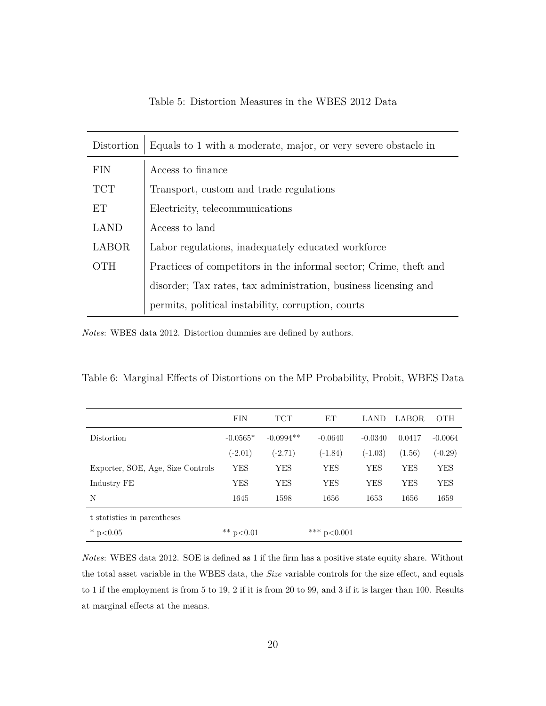<span id="page-20-0"></span>

| Distortion   | Equals to 1 with a moderate, major, or very severe obstacle in    |
|--------------|-------------------------------------------------------------------|
| <b>FIN</b>   | Access to finance                                                 |
| <b>TCT</b>   | Transport, custom and trade regulations                           |
| ET           | Electricity, telecommunications                                   |
| <b>LAND</b>  | Access to land                                                    |
| <b>LABOR</b> | Labor regulations, inadequately educated workforce                |
| <b>OTH</b>   | Practices of competitors in the informal sector; Crime, theft and |
|              | disorder; Tax rates, tax administration, business licensing and   |
|              | permits, political instability, corruption, courts                |

Table 5: Distortion Measures in the WBES 2012 Data

*Notes*: WBES data 2012. Distortion dummies are defined by authors.

<span id="page-20-1"></span>

|  |  |  | Table 6: Marginal Effects of Distortions on the MP Probability, Probit, WBES Data |
|--|--|--|-----------------------------------------------------------------------------------|
|  |  |  |                                                                                   |

|                                   | <b>FIN</b>  | <b>TCT</b>  | ET            | LAND       | LABOR  | <b>OTH</b> |
|-----------------------------------|-------------|-------------|---------------|------------|--------|------------|
| Distortion                        | $-0.0565*$  | $-0.0994**$ | $-0.0640$     | $-0.0340$  | 0.0417 | $-0.0064$  |
|                                   | $(-2.01)$   | $(-2.71)$   | $(-1.84)$     | $(-1.03)$  | (1.56) | $(-0.29)$  |
| Exporter, SOE, Age, Size Controls | <b>YES</b>  | YES         | YES           | <b>YES</b> | YES    | YES        |
| Industry FE                       | YES         | YES         | YES           | YES        | YES    | YES        |
| N                                 | 1645        | 1598        | 1656          | 1653       | 1656   | 1659       |
| t statistics in parentheses       |             |             |               |            |        |            |
| * $p<0.05$                        | ** $p<0.01$ |             | *** $p<0.001$ |            |        |            |

*Notes*: WBES data 2012. SOE is defined as 1 if the firm has a positive state equity share. Without the total asset variable in the WBES data, the *Size* variable controls for the size effect, and equals to 1 if the employment is from 5 to 19, 2 if it is from 20 to 99, and 3 if it is larger than 100. Results at marginal effects at the means.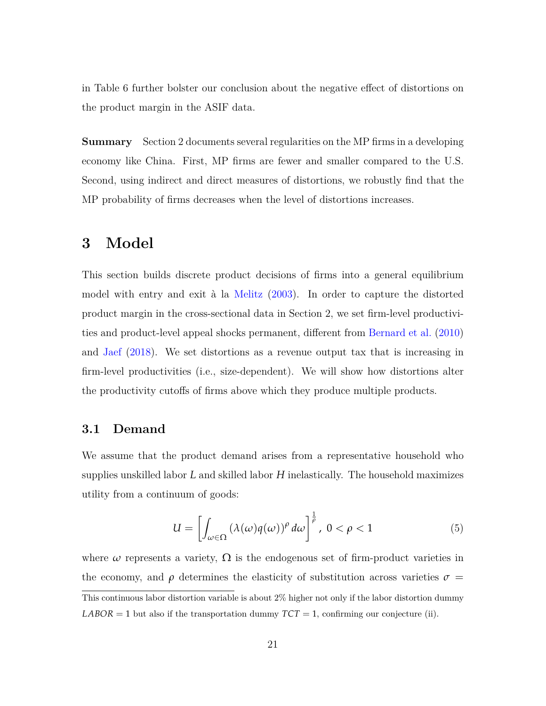in Table [6](#page-20-1) further bolster our conclusion about the negative effect of distortions on the product margin in the ASIF data.

**Summary** Section 2 documents several regularities on the MP firms in a developing economy like China. First, MP firms are fewer and smaller compared to the U.S. Second, using indirect and direct measures of distortions, we robustly find that the MP probability of firms decreases when the level of distortions increases.

# **3 Model**

This section builds discrete product decisions of firms into a general equilibrium model with entry and exit à la [Melitz](#page-52-0) [\(2003\)](#page-52-0). In order to capture the distorted product margin in the cross-sectional data in Section 2, we set firm-level productivities and product-level appeal shocks permanent, different from [Bernard et al.](#page-49-1) [\(2010\)](#page-49-1) and [Jaef](#page-52-4) [\(2018\)](#page-52-4). We set distortions as a revenue output tax that is increasing in firm-level productivities (i.e., size-dependent). We will show how distortions alter the productivity cutoffs of firms above which they produce multiple products.

### **3.1 Demand**

We assume that the product demand arises from a representative household who supplies unskilled labor *L* and skilled labor *H* inelastically. The household maximizes utility from a continuum of goods:

$$
U = \left[ \int_{\omega \in \Omega} \left( \lambda(\omega) q(\omega) \right)^{\rho} d\omega \right]^{\frac{1}{\rho}}, \ 0 < \rho < 1 \tag{5}
$$

where  $\omega$  represents a variety,  $\Omega$  is the endogenous set of firm-product varieties in the economy, and  $\rho$  determines the elasticity of substitution across varieties  $\sigma$  = This continuous labor distortion variable is about 2% higher not only if the labor distortion dummy *LABOR* = 1 but also if the transportation dummy  $TCT = 1$ , confirming our conjecture (ii).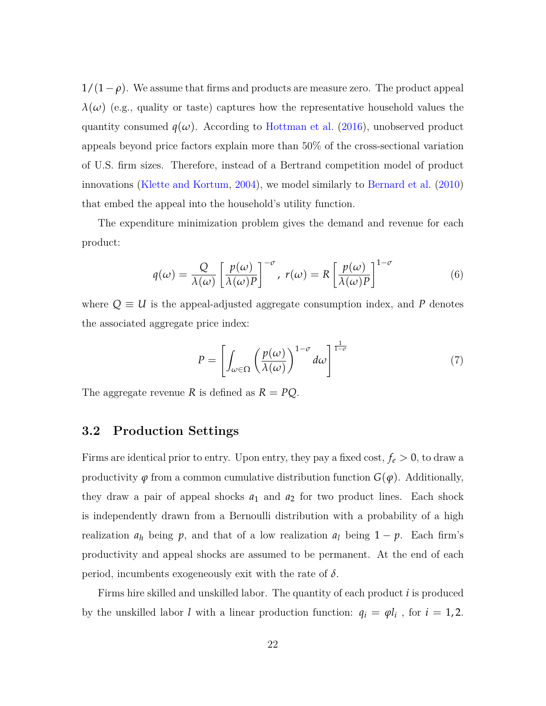$1/(1-\rho)$ . We assume that firms and products are measure zero. The product appeal  $\lambda(\omega)$  (e.g., quality or taste) captures how the representative household values the quantity consumed  $q(\omega)$ . According to [Hottman et al.](#page-51-4) [\(2016\)](#page-51-4), unobserved product appeals beyond price factors explain more than 50% of the cross-sectional variation of U.S. firm sizes. Therefore, instead of a Bertrand competition model of product innovations [\(Klette and Kortum,](#page-52-6) [2004\)](#page-52-6), we model similarly to [Bernard et al.](#page-49-1) [\(2010\)](#page-49-1) that embed the appeal into the household's utility function.

The expenditure minimization problem gives the demand and revenue for each product:

$$
q(\omega) = \frac{Q}{\lambda(\omega)} \left[ \frac{p(\omega)}{\lambda(\omega)P} \right]^{-\sigma}, \ r(\omega) = R \left[ \frac{p(\omega)}{\lambda(\omega)P} \right]^{1-\sigma} \tag{6}
$$

where  $Q \equiv U$  is the appeal-adjusted aggregate consumption index, and P denotes the associated aggregate price index:

$$
P = \left[ \int_{\omega \in \Omega} \left( \frac{p(\omega)}{\lambda(\omega)} \right)^{1-\sigma} d\omega \right]^{\frac{1}{1-\sigma}} \tag{7}
$$

The aggregate revenue *R* is defined as  $R = PQ$ .

### **3.2 Production Settings**

Firms are identical prior to entry. Upon entry, they pay a fixed cost,  $f_e > 0$ , to draw a productivity  $\varphi$  from a common cumulative distribution function  $G(\varphi)$ . Additionally, they draw a pair of appeal shocks  $a_1$  and  $a_2$  for two product lines. Each shock is independently drawn from a Bernoulli distribution with a probability of a high realization  $a_h$  being  $p$ , and that of a low realization  $a_l$  being  $1 - p$ . Each firm's productivity and appeal shocks are assumed to be permanent. At the end of each period, incumbents exogeneously exit with the rate of  $\delta$ .

Firms hire skilled and unskilled labor. The quantity of each product *i* is produced by the unskilled labor *l* with a linear production function:  $q_i = \varphi l_i$ , for  $i = 1, 2$ .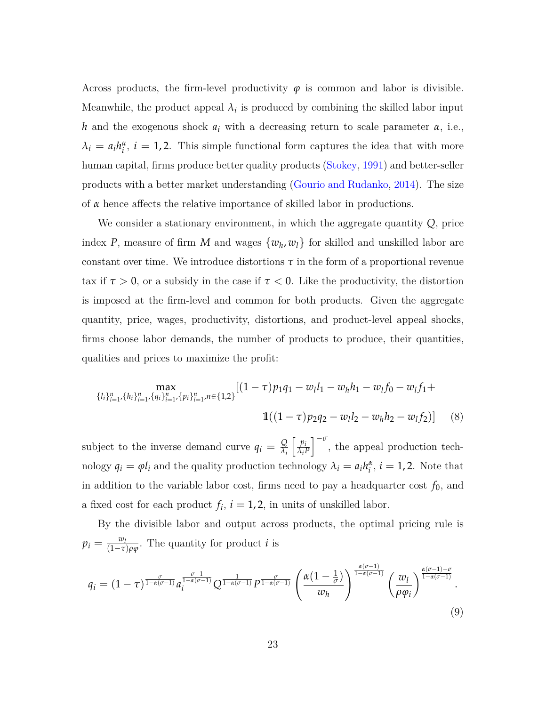Across products, the firm-level productivity  $\varphi$  is common and labor is divisible. Meanwhile, the product appeal  $\lambda_i$  is produced by combining the skilled labor input *h* and the exogenous shock *a<sup>i</sup>* with a decreasing return to scale parameter *α*, i.e.,  $\lambda_i = a_i h_i^{\alpha}, i = 1, 2$ . This simple functional form captures the idea that with more human capital, firms produce better quality products [\(Stokey,](#page-53-6) [1991\)](#page-53-6) and better-seller products with a better market understanding [\(Gourio and Rudanko,](#page-51-7) [2014\)](#page-51-7). The size of *α* hence affects the relative importance of skilled labor in productions.

We consider a stationary environment, in which the aggregate quantity *Q*, price index *P*, measure of firm *M* and wages  $\{w_h, w_l\}$  for skilled and unskilled labor are constant over time. We introduce distortions  $\tau$  in the form of a proportional revenue tax if  $\tau > 0$ , or a subsidy in the case if  $\tau < 0$ . Like the productivity, the distortion is imposed at the firm-level and common for both products. Given the aggregate quantity, price, wages, productivity, distortions, and product-level appeal shocks, firms choose labor demands, the number of products to produce, their quantities, qualities and prices to maximize the profit:

$$
\max_{\{l_i\}_{i=1}^n,\{h_i\}_{i=1}^n,\{q_i\}_{i=1}^n,\{p_i\}_{i=1}^n} [(1-\tau)p_1q_1-w_ll_1-w_hh_1-w_lf_0-w_lf_1+\n\n\mathbb{1}((1-\tau)p_2q_2-w_ll_2-w_hh_2-w_lf_2)] \tag{8}
$$

subject to the inverse demand curve  $q_i = \frac{Q}{\lambda_i}$ *λi*  $\int p_i$ *λiP*  $\int_{-\infty}^{-\sigma}$ , the appeal production technology  $q_i = \varphi l_i$  and the quality production technology  $\lambda_i = a_i h_i^{\alpha}, i = 1, 2$ . Note that in addition to the variable labor cost, firms need to pay a headquarter cost  $f_0$ , and a fixed cost for each product  $f_i$ ,  $i = 1, 2$ , in units of unskilled labor.

By the divisible labor and output across products, the optimal pricing rule is  $p_i = \frac{w_i}{(1-\tau)}$  $\frac{w_l}{(1-\tau)\rho\varphi}$ . The quantity for product *i* is

<span id="page-23-0"></span>
$$
q_i = (1 - \tau)^{\frac{\sigma}{1 - \alpha(\sigma - 1)}} a_i^{\frac{\sigma - 1}{1 - \alpha(\sigma - 1)}} Q^{\frac{1}{1 - \alpha(\sigma - 1)}} P^{\frac{\sigma}{1 - \alpha(\sigma - 1)}} \left(\frac{\alpha (1 - \frac{1}{\sigma})}{w_h}\right)^{\frac{\alpha(\sigma - 1)}{1 - \alpha(\sigma - 1)}} \left(\frac{w_l}{\rho \varphi_i}\right)^{\frac{\alpha(\sigma - 1) - \sigma}{1 - \alpha(\sigma - 1)}}.
$$
\n(9)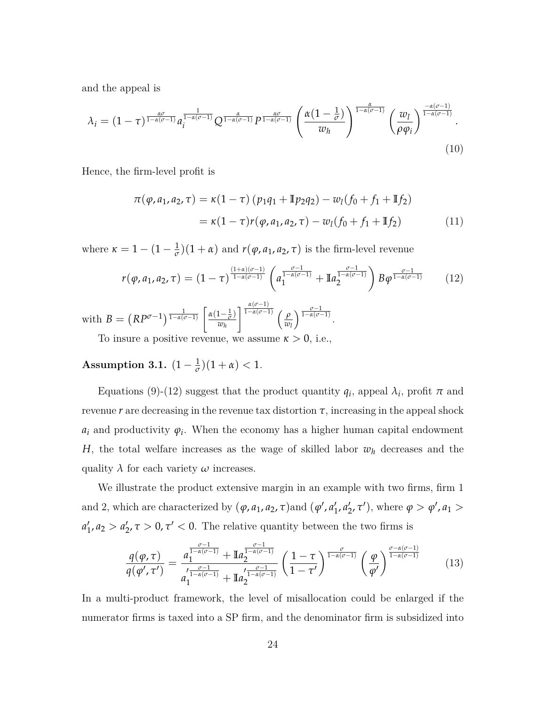and the appeal is

$$
\lambda_i = (1 - \tau)^{\frac{\alpha \sigma}{1 - \alpha(\sigma - 1)}} a_i^{\frac{1}{1 - \alpha(\sigma - 1)}} Q^{\frac{\alpha}{1 - \alpha(\sigma - 1)}} P^{\frac{\alpha \sigma}{1 - \alpha(\sigma - 1)}} \left(\frac{\alpha (1 - \frac{1}{\sigma})}{w_h}\right)^{\frac{\alpha}{1 - \alpha(\sigma - 1)}} \left(\frac{w_l}{\rho \varphi_i}\right)^{\frac{-\alpha(\sigma - 1)}{1 - \alpha(\sigma - 1)}}.
$$
\n(10)

Hence, the firm-level profit is

<span id="page-24-1"></span><span id="page-24-0"></span>
$$
\pi(\varphi, a_1, a_2, \tau) = \kappa(1-\tau) (p_1q_1 + \mathbb{I}p_2q_2) - w_l(f_0 + f_1 + \mathbb{I}f_2)
$$
  
=  $\kappa(1-\tau)r(\varphi, a_1, a_2, \tau) - w_l(f_0 + f_1 + \mathbb{I}f_2)$  (11)

where  $\kappa = 1 - (1 - \frac{1}{\sigma})(1 + \alpha)$  and  $r(\varphi, a_1, a_2, \tau)$  is the firm-level revenue

$$
r(\varphi, a_1, a_2, \tau) = (1 - \tau)^{\frac{(1 + \alpha)(\sigma - 1)}{1 - \alpha(\sigma - 1)}} \left( a_1^{\frac{\sigma - 1}{1 - \alpha(\sigma - 1)}} + \mathbb{I} a_2^{\frac{\sigma - 1}{1 - \alpha(\sigma - 1)}} \right) B \varphi^{\frac{\sigma - 1}{1 - \alpha(\sigma - 1)}} \tag{12}
$$

with  $B = \left( RP^{\sigma-1} \right) \frac{1}{1-\alpha(\sigma-1)} \left[ \frac{\alpha(1-\frac{1}{\sigma})}{w} \right]$ *wh*  $\int \frac{\alpha(\sigma-1)}{1-\alpha(\sigma-1)}$   $\int$   $\rho$ *wl*  $\sqrt{\frac{\sigma-1}{1-\alpha(\sigma-1)}}$ .

To insure a positive revenue, we assume  $\kappa > 0$ , i.e.,

# **Assumption 3.1.**  $(1 - \frac{1}{\sigma})(1 + \alpha) < 1$ *.*

Equations [\(9\)](#page-23-0)-[\(12\)](#page-24-0) suggest that the product quantity  $q_i$ , appeal  $\lambda_i$ , profit  $\pi$  and revenue  $r$  are decreasing in the revenue tax distortion  $\tau$ , increasing in the appeal shock  $a_i$  and productivity  $\varphi_i$ . When the economy has a higher human capital endowment *H*, the total welfare increases as the wage of skilled labor  $w_h$  decreases and the quality  $\lambda$  for each variety  $\omega$  increases.

We illustrate the product extensive margin in an example with two firms, firm 1 and 2, which are characterized by  $(\varphi, a_1, a_2, \tau)$  and  $(\varphi', a_1')$  $'_{1}$ ,  $a'_{2}$  $\mathcal{L}_2^{\prime}$ , *τ'*), where  $\varphi > \varphi^{\prime}$ ,  $a_1 >$  $a'_1$  $a'_1$ ,  $a_2 > a'_2$  $\gamma_2$ ,  $\tau > 0$ ,  $\tau' < 0$ . The relative quantity between the two firms is

$$
\frac{q(\varphi,\tau)}{q(\varphi',\tau')} = \frac{a_1^{\frac{\sigma-1}{1-\alpha(\sigma-1)}} + \mathbb{I}a_2^{\frac{\sigma-1}{1-\alpha(\sigma-1)}}}{a_1^{\frac{\sigma-1}{1-\alpha(\sigma-1)}} + \mathbb{I}a_2^{\frac{\sigma-1}{1-\alpha(\sigma-1)}}} \left(\frac{1-\tau}{1-\tau'}\right)^{\frac{\sigma}{1-\alpha(\sigma-1)}} \left(\frac{\varphi}{\varphi'}\right)^{\frac{\sigma-\alpha(\sigma-1)}{1-\alpha(\sigma-1)}} \tag{13}
$$

In a multi-product framework, the level of misallocation could be enlarged if the numerator firms is taxed into a SP firm, and the denominator firm is subsidized into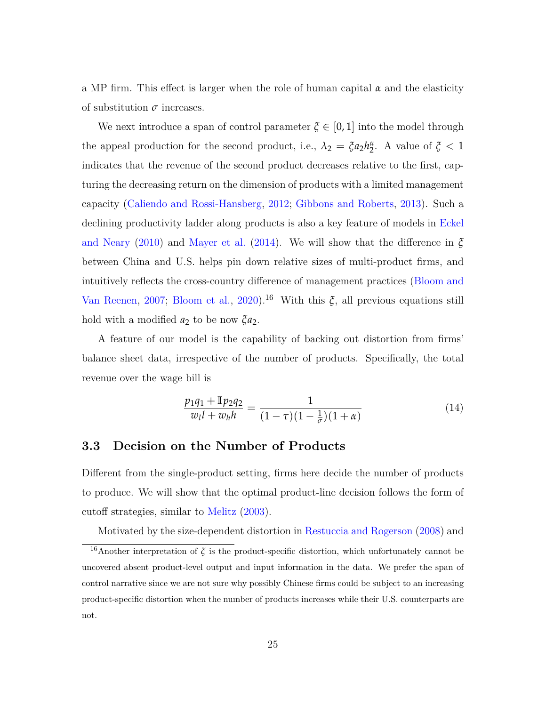a MP firm. This effect is larger when the role of human capital *α* and the elasticity of substitution  $\sigma$  increases.

We next introduce a span of control parameter  $\xi \in [0,1]$  into the model through the appeal production for the second product, i.e.,  $\lambda_2 = \xi a_2 h_2^{\alpha}$ . A value of  $\xi < 1$ indicates that the revenue of the second product decreases relative to the first, capturing the decreasing return on the dimension of products with a limited management capacity [\(Caliendo and Rossi-Hansberg,](#page-50-7) [2012;](#page-50-7) [Gibbons and Roberts,](#page-51-8) [2013\)](#page-51-8). Such a declining productivity ladder along products is also a key feature of models in [Eckel](#page-51-1) [and Neary](#page-51-1) [\(2010\)](#page-51-1) and [Mayer et al.](#page-52-2) [\(2014\)](#page-52-2). We will show that the difference in *ξ* between China and U.S. helps pin down relative sizes of multi-product firms, and intuitively reflects the cross-country difference of management practices [\(Bloom and](#page-50-8) [Van Reenen,](#page-50-8) [2007;](#page-50-8) [Bloom et al.,](#page-49-3) [2020\)](#page-49-3).<sup>[16](#page-25-0)</sup> With this  $\xi$ , all previous equations still hold with a modified  $a_2$  to be now  $\zeta a_2$ .

A feature of our model is the capability of backing out distortion from firms' balance sheet data, irrespective of the number of products. Specifically, the total revenue over the wage bill is

$$
\frac{p_1q_1 + \mathbb{I}p_2q_2}{w_l l + w_h h} = \frac{1}{(1-\tau)(1-\frac{1}{\sigma})(1+\alpha)}\tag{14}
$$

### **3.3 Decision on the Number of Products**

Different from the single-product setting, firms here decide the number of products to produce. We will show that the optimal product-line decision follows the form of cutoff strategies, similar to [Melitz](#page-52-0) [\(2003\)](#page-52-0).

<span id="page-25-0"></span>Motivated by the size-dependent distortion in [Restuccia and Rogerson](#page-53-0) [\(2008\)](#page-53-0) and

<sup>&</sup>lt;sup>16</sup>Another interpretation of  $\xi$  is the product-specific distortion, which unfortunately cannot be uncovered absent product-level output and input information in the data. We prefer the span of control narrative since we are not sure why possibly Chinese firms could be subject to an increasing product-specific distortion when the number of products increases while their U.S. counterparts are not.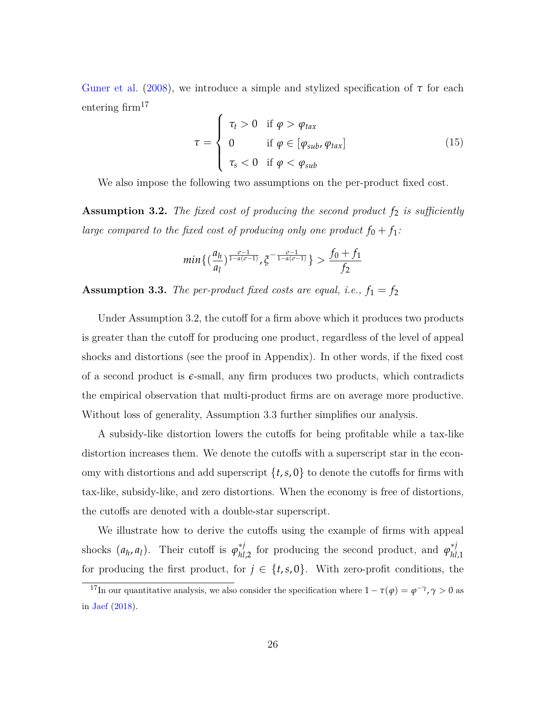[Guner et al.](#page-51-3) [\(2008\)](#page-51-3), we introduce a simple and stylized specification of  $\tau$  for each entering  $\text{firm}^{17}$  $\text{firm}^{17}$  $\text{firm}^{17}$ 

$$
\tau = \begin{cases}\n\tau_t > 0 & \text{if } \varphi > \varphi_{tax} \\
0 & \text{if } \varphi \in [\varphi_{sub}, \varphi_{tax}] \\
\tau_s < 0 & \text{if } \varphi < \varphi_{sub}\n\end{cases}
$$
\n(15)

We also impose the following two assumptions on the per-product fixed cost.

<span id="page-26-1"></span>**Assumption 3.2.** *The fixed cost of producing the second product f*<sup>2</sup> *is sufficiently large compared to the fixed cost of producing only one product*  $f_0 + f_1$ :

$$
min\{(\frac{a_h}{a_l})^{\frac{\sigma-1}{1-\alpha(\sigma-1)}}, \xi^{-\frac{\sigma-1}{1-\alpha(\sigma-1)}}\} > \frac{f_0+f_1}{f_2}
$$

<span id="page-26-2"></span>**Assumption 3.3.** *The per-product fixed costs are equal, i.e.,*  $f_1 = f_2$ 

Under Assumption [3.2,](#page-26-1) the cutoff for a firm above which it produces two products is greater than the cutoff for producing one product, regardless of the level of appeal shocks and distortions (see the proof in Appendix). In other words, if the fixed cost of a second product is  $\epsilon$ -small, any firm produces two products, which contradicts the empirical observation that multi-product firms are on average more productive. Without loss of generality, Assumption [3.3](#page-26-2) further simplifies our analysis.

A subsidy-like distortion lowers the cutoffs for being profitable while a tax-like distortion increases them. We denote the cutoffs with a superscript star in the economy with distortions and add superscript  $\{t, s, 0\}$  to denote the cutoffs for firms with tax-like, subsidy-like, and zero distortions. When the economy is free of distortions, the cutoffs are denoted with a double-star superscript.

We illustrate how to derive the cutoffs using the example of firms with appeal shocks  $(a_h, a_l)$ . Their cutoff is  $\varphi_{hl,2}^{*j}$  for producing the second product, and  $\varphi_{hl}^{*j}$ *hl*,1 for producing the first product, for  $j \in \{t, s, 0\}$ . With zero-profit conditions, the

<span id="page-26-0"></span><sup>&</sup>lt;sup>17</sup>In our quantitative analysis, we also consider the specification where  $1 - \tau(\varphi) = \varphi^{-\gamma}, \gamma > 0$  as in [Jaef](#page-52-4) [\(2018\)](#page-52-4).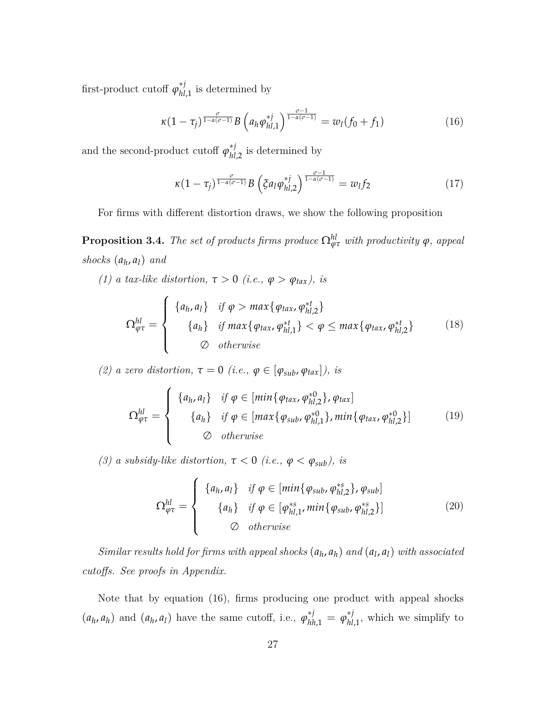first-product cutoff  $\varphi_{hl,1}^{*j}$  is determined by

$$
\kappa (1 - \tau_j)^{\frac{\sigma}{1 - \alpha(\sigma - 1)}} B\left(a_h \varphi_{hl, 1}^{*j}\right)^{\frac{\sigma - 1}{1 - \alpha(\sigma - 1)}} = w_l(f_0 + f_1) \tag{16}
$$

and the second-product cutoff  $\varphi_{hl,2}^{*j}$  is determined by

<span id="page-27-1"></span><span id="page-27-0"></span>
$$
\kappa (1 - \tau_j)^{\frac{\sigma}{1 - \alpha(\sigma - 1)}} B\left(\xi a_l \varphi_{hl,2}^{*j}\right)^{\frac{\sigma - 1}{1 - \alpha(\sigma - 1)}} = w_l f_2 \tag{17}
$$

For firms with different distortion draws, we show the following proposition

**Proposition 3.4.** *The set of products firms produce*  $\Omega_{\varphi\tau}^{hl}$  *with productivity*  $\varphi$ *, appeal shocks* (*a<sup>h</sup>* , *al*) *and*

*(1) a tax-like distortion,*  $\tau > 0$  *(i.e.,*  $\varphi > \varphi_{\text{tax}}$ *), is* 

$$
\Omega_{\varphi\tau}^{hl} = \begin{cases} \n\left\{ a_h, a_l \right\} & \text{if } \varphi > \max\left\{ \varphi_{tax}, \varphi_{hl,2}^{*t} \right\} \\ \n\left\{ a_h \right\} & \text{if } \max\left\{ \varphi_{tax}, \varphi_{hl,1}^{*t} \right\} < \varphi \leq \max\left\{ \varphi_{tax}, \varphi_{hl,2}^{*t} \right\} \\ \n\varphi & \text{otherwise} \n\end{cases} \tag{18}
$$

*(2) a zero distortion,*  $\tau = 0$  *(i.e.,*  $\varphi \in [\varphi_{sub}, \varphi_{tax}]$ *), is* 

$$
\Omega_{\varphi\tau}^{hl} = \begin{cases}\n\{a_h, a_l\} & \text{if } \varphi \in [min\{\varphi_{tax}, \varphi_{hl,2}^{*0}\}, \varphi_{tax}] \\
\{a_h\} & \text{if } \varphi \in [max\{\varphi_{sub}, \varphi_{hl,1}^{*0}\}, min\{\varphi_{tax}, \varphi_{hl,2}^{*0}\}] \\
\varnothing & otherwise\n\end{cases}
$$
\n(19)

*(3) a subsidy-like distortion,*  $\tau < 0$  *(i.e.,*  $\varphi < \varphi_{sub}$ *), is* 

$$
\Omega_{\varphi\tau}^{hl} = \begin{cases}\n\left\{ a_h, a_l \right\} & \text{if } \varphi \in [min\{\varphi_{sub}, \varphi_{hl,2}^{*s} \}, \varphi_{sub}] \\
\left\{ a_h \right\} & \text{if } \varphi \in [\varphi_{hl,1}^{*s}, min\{\varphi_{sub}, \varphi_{hl,2}^{*s} \} ] \\
\varnothing & \text{otherwise}\n\end{cases}
$$
\n(20)

*Similar results hold for firms with appeal shocks*  $(a_h, a_h)$  *and*  $(a_l, a_l)$  *with associated cutoffs. See proofs in Appendix.*

Note that by equation [\(16\)](#page-27-0), firms producing one product with appeal shocks  $(a_h, a_h)$  and  $(a_h, a_l)$  have the same cutoff, i.e.,  $\varphi_{hh,1}^{*j} = \varphi_{hl,1}^{*j}$ , which we simplify to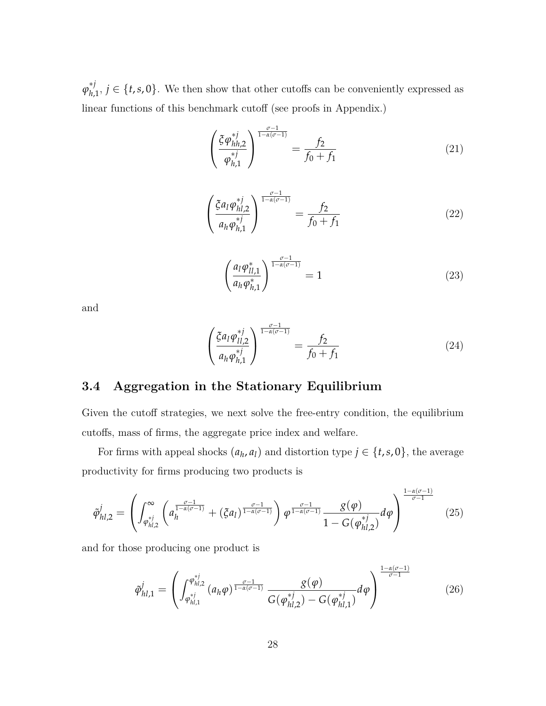$\varphi_{h,1}^{*j}, j \in \{t, s, 0\}$ . We then show that other cutoffs can be conveniently expressed as linear functions of this benchmark cutoff (see proofs in Appendix.)

$$
\left(\frac{\xi \varphi_{hh,2}^{*j}}{\varphi_{h,1}^{*j}}\right)^{\frac{\sigma-1}{1-\alpha(\sigma-1)}} = \frac{f_2}{f_0 + f_1} \tag{21}
$$

$$
\left(\frac{\xi a_l \varphi_{hl,2}^{*j}}{a_h \varphi_{hl,1}^{*j}}\right)^{\frac{\sigma-1}{1-\alpha(\sigma-1)}} = \frac{f_2}{f_0 + f_1} \tag{22}
$$

$$
\left(\frac{a_l \varphi_{ll,1}^*}{a_h \varphi_{h,1}^*}\right)^{\frac{\sigma-1}{1-\alpha(\sigma-1)}} = 1
$$
\n(23)

and

$$
\left(\frac{\xi a_l \varphi_{l l, 2}^{*j}}{a_h \varphi_{h, 1}^{*j}}\right)^{\frac{\sigma - 1}{1 - \alpha(\sigma - 1)}} = \frac{f_2}{f_0 + f_1} \tag{24}
$$

## **3.4 Aggregation in the Stationary Equilibrium**

Given the cutoff strategies, we next solve the free-entry condition, the equilibrium cutoffs, mass of firms, the aggregate price index and welfare.

For firms with appeal shocks  $(a_h, a_l)$  and distortion type  $j \in \{t, s, 0\}$ , the average productivity for firms producing two products is

$$
\tilde{\varphi}_{hl,2}^{j} = \left( \int_{\varphi_{hl,2}^{*j}}^{\infty} \left( a_{h}^{\frac{\sigma-1}{1-\alpha(\sigma-1)}} + (\xi a_{l})^{\frac{\sigma-1}{1-\alpha(\sigma-1)}} \right) \varphi^{\frac{\sigma-1}{1-\alpha(\sigma-1)}} \frac{\varphi(\varphi)}{1 - G(\varphi_{hl,2}^{*j})} d\varphi \right)^{\frac{1-\alpha(\sigma-1)}{\sigma-1}} \tag{25}
$$

and for those producing one product is

$$
\tilde{\varphi}_{hl,1}^{j} = \left( \int_{\varphi_{hl,1}^{*j}}^{\varphi_{hl,2}^{*j}} (a_h \varphi)^{\frac{\sigma-1}{1-\alpha(\sigma-1)}} \frac{g(\varphi)}{G(\varphi_{hl,2}^{*j}) - G(\varphi_{hl,1}^{*j})} d\varphi \right)^{\frac{1-\alpha(\sigma-1)}{\sigma-1}}
$$
(26)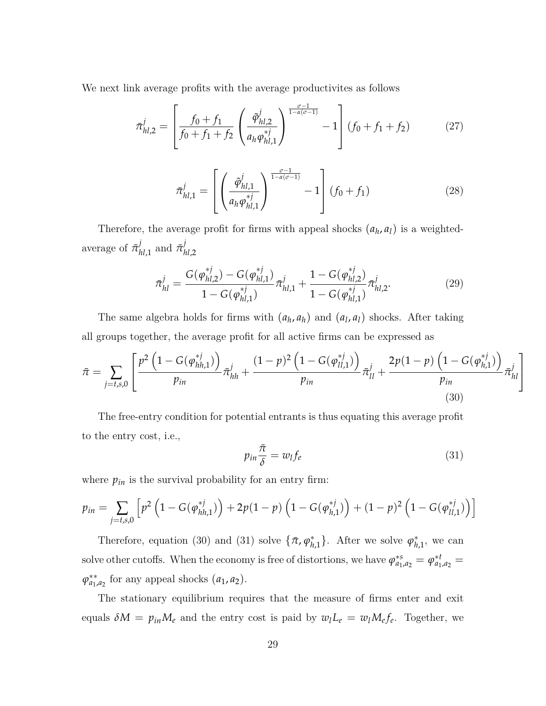We next link average profits with the average productivites as follows

$$
\bar{\pi}_{hl,2}^j = \left[ \frac{f_0 + f_1}{f_0 + f_1 + f_2} \left( \frac{\tilde{\varphi}_{hl,2}^j}{a_h \varphi_{hl,1}^{*j}} \right)^{\frac{\sigma - 1}{1 - \alpha(\sigma - 1)}} - 1 \right] (f_0 + f_1 + f_2)
$$
(27)

$$
\bar{\pi}_{hl,1}^j = \left[ \left( \frac{\tilde{\varphi}_{hl,1}^j}{a_h \varphi_{hl,1}^{*j}} \right)^{\frac{\sigma - 1}{1 - \alpha(\sigma - 1)}} - 1 \right] (f_0 + f_1) \tag{28}
$$

Therefore, the average profit for firms with appeal shocks  $(a_h, a_l)$  is a weightedaverage of  $\bar{\pi}_{hl,1}^j$  and  $\bar{\pi}_{lh}^j$ *hl*,2

$$
\bar{\pi}_{hl}^j = \frac{G(\varphi_{hl,2}^{*j}) - G(\varphi_{hl,1}^{*j})}{1 - G(\varphi_{hl,1}^{*j})} \bar{\pi}_{hl,1}^j + \frac{1 - G(\varphi_{hl,2}^{*j})}{1 - G(\varphi_{hl,1}^{*j})} \bar{\pi}_{hl,2}^j.
$$
\n(29)

The same algebra holds for firms with  $(a_h, a_h)$  and  $(a_l, a_l)$  shocks. After taking all groups together, the average profit for all active firms can be expressed as

<span id="page-29-0"></span>
$$
\bar{\pi} = \sum_{j=t,s,0} \left[ \frac{p^2 \left(1 - G(\varphi_{hh,1}^{*j})\right)}{p_{in}} \bar{\pi}_{hh}^j + \frac{(1-p)^2 \left(1 - G(\varphi_{ll,1}^{*j})\right)}{p_{in}} \bar{\pi}_{ll}^j + \frac{2p(1-p) \left(1 - G(\varphi_{h,1}^{*j})\right)}{p_{in}} \bar{\pi}_{hl}^j \right]
$$
(30)

The free-entry condition for potential entrants is thus equating this average profit to the entry cost, i.e.,

<span id="page-29-1"></span>
$$
p_{in}\frac{\bar{\pi}}{\delta} = w_l f_e \tag{31}
$$

where  $p_{in}$  is the survival probability for an entry firm:

$$
p_{in} = \sum_{j=t,s,0} \left[ p^2 \left( 1 - G(\varphi_{hh,1}^{*j}) \right) + 2p(1-p) \left( 1 - G(\varphi_{h,1}^{*j}) \right) + (1-p)^2 \left( 1 - G(\varphi_{ll,1}^{*j}) \right) \right]
$$

Therefore, equation [\(30\)](#page-29-0) and [\(31\)](#page-29-1) solve  $\{\bar{\pi}, \varphi_{h,1}^*\}$ . After we solve  $\varphi_{h,1}^*$ , we can solve other cutoffs. When the economy is free of distortions, we have  $\varphi_{a_1}^{*s}$  $a_{1}^{*s} = \varphi_{a_1}^{*t}$  $a_{1}^{*t} =$  $\varphi_{a_1}^{**}$  $a_{1}^{**}$  for any appeal shocks  $(a_{1}, a_{2})$ .

The stationary equilibrium requires that the measure of firms enter and exit equals  $\delta M = p_{in}M_e$  and the entry cost is paid by  $w_lL_e = w_lM_e f_e$ . Together, we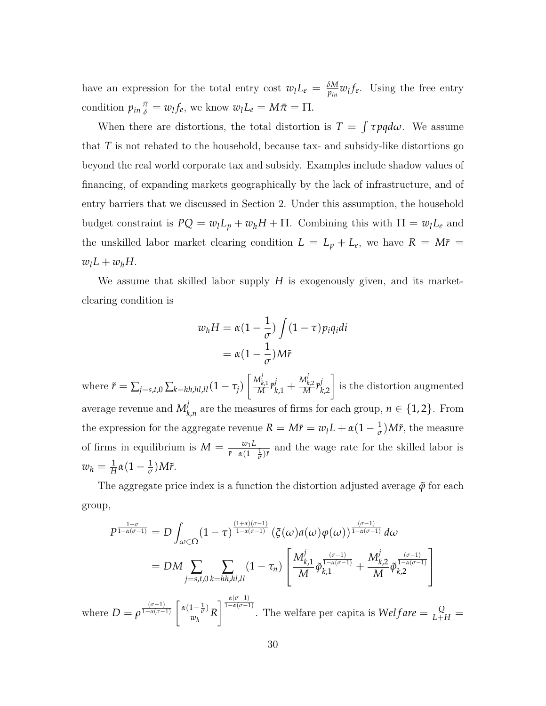have an expression for the total entry cost  $w_l L_e = \frac{\delta M}{p_{in}} w_l f_e$ . Using the free entry condition  $p_{in} \frac{\bar{\pi}}{\delta} = w_l f_e$ , we know  $w_l L_e = M \bar{\pi} = \Pi$ .

When there are distortions, the total distortion is  $T = \int \tau p q d\omega$ . We assume that *T* is not rebated to the household, because tax- and subsidy-like distortions go beyond the real world corporate tax and subsidy. Examples include shadow values of financing, of expanding markets geographically by the lack of infrastructure, and of entry barriers that we discussed in Section 2. Under this assumption, the household budget constraint is  $PQ = w_l L_p + w_h H + \Pi$ . Combining this with  $\Pi = w_l L_e$  and the unskilled labor market clearing condition  $L = L_p + L_e$ , we have  $R = M\bar{r}$  $w_lL + w_hH$ .

We assume that skilled labor supply *H* is exogenously given, and its marketclearing condition is

$$
w_h H = \alpha \left(1 - \frac{1}{\sigma}\right) \int (1 - \tau) p_i q_i di
$$

$$
= \alpha \left(1 - \frac{1}{\sigma}\right) M \tilde{r}
$$

where  $\tilde{r} = \sum_{j=s,t,0} \sum_{k=hh,hl,ll} (1 - \tau_j) \left[ \frac{M_k^j}{M_k^j} \right]$  $\frac{M^j_{k,1}}{M} \bar{r}^j_{k,1} + \frac{M^j_k}{M}$  $\left(\frac{M_{k,2}^j}{M}\bar{r}_{k,2}^j\right]$  is the distortion augmented average revenue and  $M_k^j$  $\mathcal{L}_{k,n}$  are the measures of firms for each group,  $n \in \{1,2\}$ . From the expression for the aggregate revenue  $R = M\bar{r} = w_l L + \alpha (1 - \frac{1}{\sigma}) M\tilde{r}$ , the measure of firms in equilibrium is  $M = \frac{w_1 L}{m_1}$  $\frac{w_1 L}{\bar{r} - \alpha (1 - \frac{1}{\sigma}) \bar{r}}$  and the wage rate for the skilled labor is  $w_h = \frac{1}{H} \alpha (1 - \frac{1}{\sigma}) M \tilde{r}$ .

The aggregate price index is a function the distortion adjusted average  $\tilde{\varphi}$  for each group,

$$
P^{\frac{1-\sigma}{1-\alpha(\sigma-1)}} = D \int_{\omega \in \Omega} (1-\tau)^{\frac{(1+\alpha)(\sigma-1)}{1-\alpha(\sigma-1)}} (\xi(\omega)a(\omega)\varphi(\omega))^{\frac{(\sigma-1)}{1-\alpha(\sigma-1)}} d\omega
$$
  
\n
$$
= DM \sum_{j=s,t,0} \sum_{k=hh,hl,ll} (1-\tau_n) \left[ \frac{M_{k,1}^j}{M} \tilde{\varphi}_{k,1}^{\frac{(\sigma-1)}{1-\alpha(\sigma-1)}} + \frac{M_{k,2}^j}{M} \tilde{\varphi}_{k,2}^{\frac{(\sigma-1)}{1-\alpha(\sigma-1)}} \right]
$$
  
\nwhere  $D = \rho^{\frac{(\sigma-1)}{1-\alpha(\sigma-1)}} \left[ \frac{\alpha(1-\frac{1}{\sigma})}{w_h} R \right]^{\frac{\alpha(\sigma-1)}{1-\alpha(\sigma-1)}}$ . The welfare per capita is  $Welfare = \frac{Q}{L+H} =$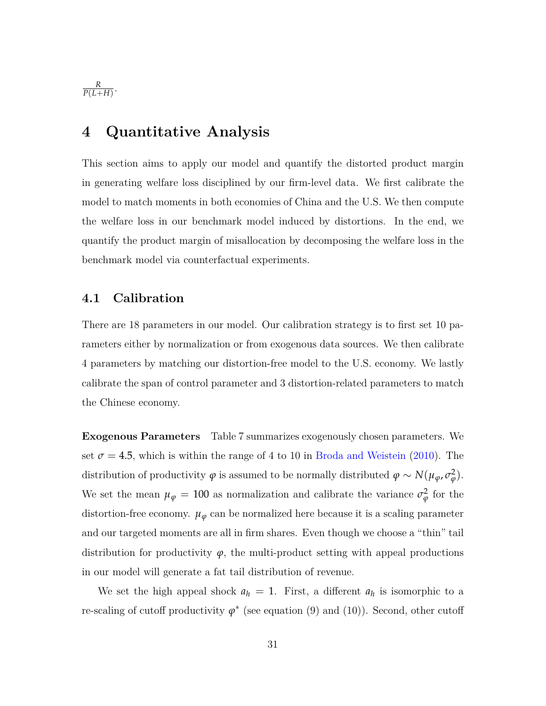*R*  $\frac{R}{P(L+H)}$ .

## **4 Quantitative Analysis**

This section aims to apply our model and quantify the distorted product margin in generating welfare loss disciplined by our firm-level data. We first calibrate the model to match moments in both economies of China and the U.S. We then compute the welfare loss in our benchmark model induced by distortions. In the end, we quantify the product margin of misallocation by decomposing the welfare loss in the benchmark model via counterfactual experiments.

### **4.1 Calibration**

There are 18 parameters in our model. Our calibration strategy is to first set 10 parameters either by normalization or from exogenous data sources. We then calibrate 4 parameters by matching our distortion-free model to the U.S. economy. We lastly calibrate the span of control parameter and 3 distortion-related parameters to match the Chinese economy.

**Exogenous Parameters** Table [7](#page-32-0) summarizes exogenously chosen parameters. We set  $\sigma = 4.5$ , which is within the range of 4 to 10 in [Broda and Weistein](#page-50-0) [\(2010\)](#page-50-0). The distribution of productivity  $\varphi$  is assumed to be normally distributed  $\varphi \sim N(\mu_{\varphi}, \sigma_{\varphi}^2)$ *ϕ* ). We set the mean  $\mu_{\varphi} = 100$  as normalization and calibrate the variance  $\sigma_{\varphi}^2$  $\frac{2}{\varphi}$  for the distortion-free economy.  $\mu_{\varphi}$  can be normalized here because it is a scaling parameter and our targeted moments are all in firm shares. Even though we choose a "thin" tail distribution for productivity  $\varphi$ , the multi-product setting with appeal productions in our model will generate a fat tail distribution of revenue.

We set the high appeal shock  $a_h = 1$ . First, a different  $a_h$  is isomorphic to a re-scaling of cutoff productivity  $\varphi^*$  (see equation [\(9\)](#page-23-0) and [\(10\)](#page-24-1)). Second, other cutoff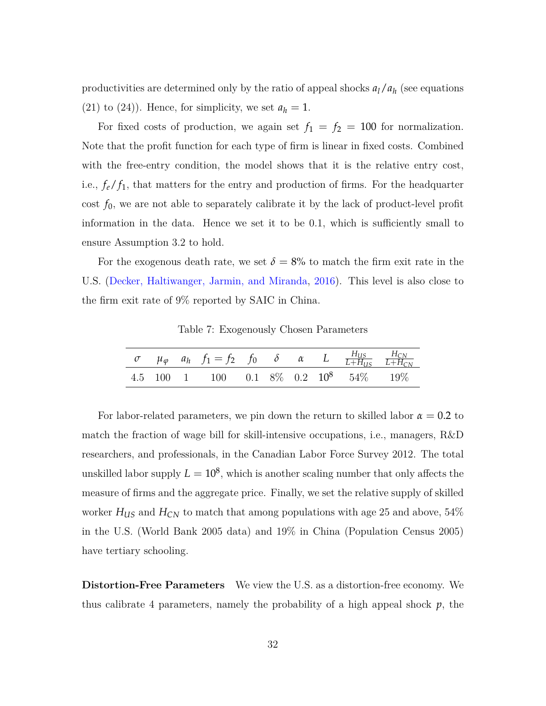productivities are determined only by the ratio of appeal shocks  $a_l/a_h$  (see equations (21) to (24)). Hence, for simplicity, we set  $a_h = 1$ .

For fixed costs of production, we again set  $f_1 = f_2 = 100$  for normalization. Note that the profit function for each type of firm is linear in fixed costs. Combined with the free-entry condition, the model shows that it is the relative entry cost, i.e.,  $f_e/f_1$ , that matters for the entry and production of firms. For the headquarter cost  $f_0$ , we are not able to separately calibrate it by the lack of product-level profit information in the data. Hence we set it to be 0.1, which is sufficiently small to ensure Assumption 3.2 to hold.

<span id="page-32-0"></span>For the exogenous death rate, we set  $\delta = 8\%$  to match the firm exit rate in the U.S. [\(Decker, Haltiwanger, Jarmin, and Miranda,](#page-51-9) [2016\)](#page-51-9). This level is also close to the firm exit rate of 9% reported by SAIC in China.

Table 7: Exogenously Chosen Parameters

|  | $\sigma$ $\mu_{\varphi}$ $a_h$ $f_1 = f_2$ $f_0$ $\delta$ $\alpha$ $L$ $\frac{H_{US}}{L + H_{US}}$ $\frac{H_{CN}}{L + H_{CN}}$ |  |  |  |
|--|--------------------------------------------------------------------------------------------------------------------------------|--|--|--|
|  | 4.5 100 1 100 0.1 8\% 0.2 10 <sup>8</sup> 54\% 19\%                                                                            |  |  |  |

For labor-related parameters, we pin down the return to skilled labor  $\alpha = 0.2$  to match the fraction of wage bill for skill-intensive occupations, i.e., managers, R&D researchers, and professionals, in the Canadian Labor Force Survey 2012. The total unskilled labor supply  $L = 10^8$ , which is another scaling number that only affects the measure of firms and the aggregate price. Finally, we set the relative supply of skilled worker  $H_{US}$  and  $H_{CN}$  to match that among populations with age 25 and above, 54% in the U.S. (World Bank 2005 data) and 19% in China (Population Census 2005) have tertiary schooling.

**Distortion-Free Parameters** We view the U.S. as a distortion-free economy. We thus calibrate 4 parameters, namely the probability of a high appeal shock  $p$ , the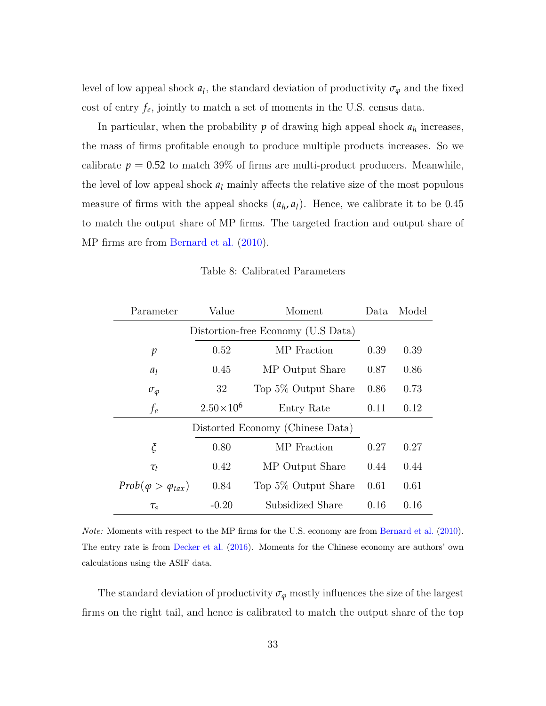level of low appeal shock  $a_l$ , the standard deviation of productivity  $\sigma_{\varphi}$  and the fixed cost of entry  $f_e$ , jointly to match a set of moments in the U.S. census data.

In particular, when the probability  $p$  of drawing high appeal shock  $a_h$  increases, the mass of firms profitable enough to produce multiple products increases. So we calibrate  $p = 0.52$  to match 39% of firms are multi-product producers. Meanwhile, the level of low appeal shock  $a_l$  mainly affects the relative size of the most populous measure of firms with the appeal shocks  $(a_h, a_l)$ . Hence, we calibrate it to be 0.45 to match the output share of MP firms. The targeted fraction and output share of MP firms are from [Bernard et al.](#page-49-1) [\(2010\)](#page-49-1).

<span id="page-33-0"></span>

| Parameter                          | Value              | Moment                           | Data | Model |
|------------------------------------|--------------------|----------------------------------|------|-------|
| Distortion-free Economy (U.S Data) |                    |                                  |      |       |
| $\mathcal{p}$                      | 0.52               | MP Fraction                      | 0.39 | 0.39  |
| $a_l$                              | 0.45               | MP Output Share                  | 0.87 | 0.86  |
| $\sigma_{\varphi}$                 | 32                 | Top 5\% Output Share             | 0.86 | 0.73  |
| $f_e$                              | $2.50\times10^{6}$ | Entry Rate                       | 0.11 | 0.12  |
|                                    |                    | Distorted Economy (Chinese Data) |      |       |
| $\boldsymbol{\tilde{\zeta}}$       | 0.80               | MP Fraction                      | 0.27 | 0.27  |
| $\tau_t$                           | 0.42               | MP Output Share                  | 0.44 | 0.44  |
| $Prob(\varphi > \varphi_{tax})$    | 0.84               | Top 5\% Output Share             | 0.61 | 0.61  |
| $\tau_s$                           | $-0.20$            | Subsidized Share                 | 0.16 | 0.16  |

Table 8: Calibrated Parameters

*Note:* Moments with respect to the MP firms for the U.S. economy are from [Bernard et al.](#page-49-1) [\(2010\)](#page-49-1). The entry rate is from [Decker et al.](#page-51-9) [\(2016\)](#page-51-9). Moments for the Chinese economy are authors' own calculations using the ASIF data.

The standard deviation of productivity  $\sigma_{\varphi}$  mostly influences the size of the largest firms on the right tail, and hence is calibrated to match the output share of the top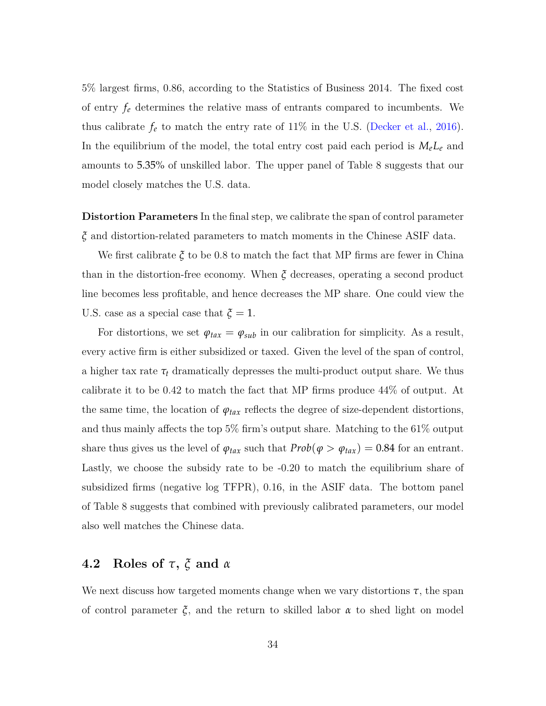5% largest firms, 0.86, according to the Statistics of Business 2014. The fixed cost of entry *f<sup>e</sup>* determines the relative mass of entrants compared to incumbents. We thus calibrate  $f_e$  to match the entry rate of 11% in the U.S. [\(Decker et al.,](#page-51-9) [2016\)](#page-51-9). In the equilibrium of the model, the total entry cost paid each period is  $M_eL_e$  and amounts to 5.35% of unskilled labor. The upper panel of Table [8](#page-33-0) suggests that our model closely matches the U.S. data.

**Distortion Parameters** In the final step, we calibrate the span of control parameter *ξ* and distortion-related parameters to match moments in the Chinese ASIF data.

We first calibrate  $\xi$  to be 0.8 to match the fact that MP firms are fewer in China than in the distortion-free economy. When  $\xi$  decreases, operating a second product line becomes less profitable, and hence decreases the MP share. One could view the U.S. case as a special case that  $\zeta = 1$ .

For distortions, we set  $\varphi_{\text{tax}} = \varphi_{\text{sub}}$  in our calibration for simplicity. As a result, every active firm is either subsidized or taxed. Given the level of the span of control, a higher tax rate  $\tau_t$  dramatically depresses the multi-product output share. We thus calibrate it to be 0.42 to match the fact that MP firms produce 44% of output. At the same time, the location of  $\varphi_{\text{tax}}$  reflects the degree of size-dependent distortions, and thus mainly affects the top 5% firm's output share. Matching to the 61% output share thus gives us the level of  $\varphi_{\text{tax}}$  such that  $Prob(\varphi > \varphi_{\text{tax}}) = 0.84$  for an entrant. Lastly, we choose the subsidy rate to be -0.20 to match the equilibrium share of subsidized firms (negative log TFPR), 0.16, in the ASIF data. The bottom panel of Table [8](#page-33-0) suggests that combined with previously calibrated parameters, our model also well matches the Chinese data.

## **4.2 Roles of** *τ***,** *ξ* **and** *α*

We next discuss how targeted moments change when we vary distortions  $\tau$ , the span of control parameter *ξ*, and the return to skilled labor *α* to shed light on model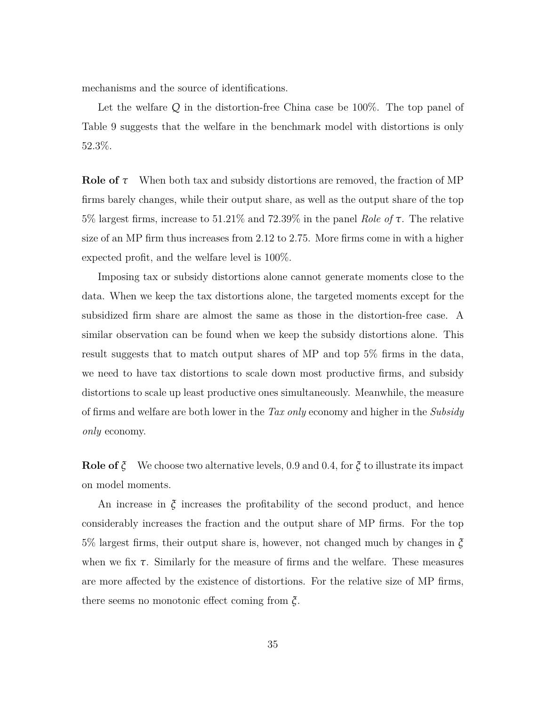mechanisms and the source of identifications.

Let the welfare *Q* in the distortion-free China case be 100%. The top panel of Table [9](#page-37-0) suggests that the welfare in the benchmark model with distortions is only 52.3%.

**Role of** *τ* When both tax and subsidy distortions are removed, the fraction of MP firms barely changes, while their output share, as well as the output share of the top 5% largest firms, increase to 51.21% and 72.39% in the panel *Role of τ*. The relative size of an MP firm thus increases from 2.12 to 2.75. More firms come in with a higher expected profit, and the welfare level is 100%.

Imposing tax or subsidy distortions alone cannot generate moments close to the data. When we keep the tax distortions alone, the targeted moments except for the subsidized firm share are almost the same as those in the distortion-free case. A similar observation can be found when we keep the subsidy distortions alone. This result suggests that to match output shares of MP and top 5% firms in the data, we need to have tax distortions to scale down most productive firms, and subsidy distortions to scale up least productive ones simultaneously. Meanwhile, the measure of firms and welfare are both lower in the *Tax only* economy and higher in the *Subsidy only* economy.

**Role of** *ξ* We choose two alternative levels, 0.9 and 0.4, for *ξ* to illustrate its impact on model moments.

An increase in *ξ* increases the profitability of the second product, and hence considerably increases the fraction and the output share of MP firms. For the top 5% largest firms, their output share is, however, not changed much by changes in *ξ* when we fix  $\tau$ . Similarly for the measure of firms and the welfare. These measures are more affected by the existence of distortions. For the relative size of MP firms, there seems no monotonic effect coming from *ξ*.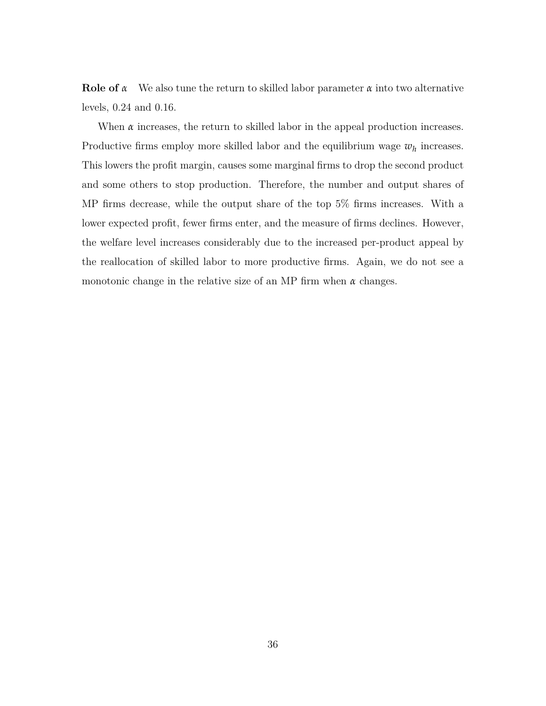**Role of** *α* We also tune the return to skilled labor parameter *α* into two alternative levels, 0.24 and 0.16.

When  $\alpha$  increases, the return to skilled labor in the appeal production increases. Productive firms employ more skilled labor and the equilibrium wage  $w_h$  increases. This lowers the profit margin, causes some marginal firms to drop the second product and some others to stop production. Therefore, the number and output shares of MP firms decrease, while the output share of the top 5% firms increases. With a lower expected profit, fewer firms enter, and the measure of firms declines. However, the welfare level increases considerably due to the increased per-product appeal by the reallocation of skilled labor to more productive firms. Again, we do not see a monotonic change in the relative size of an MP firm when *α* changes.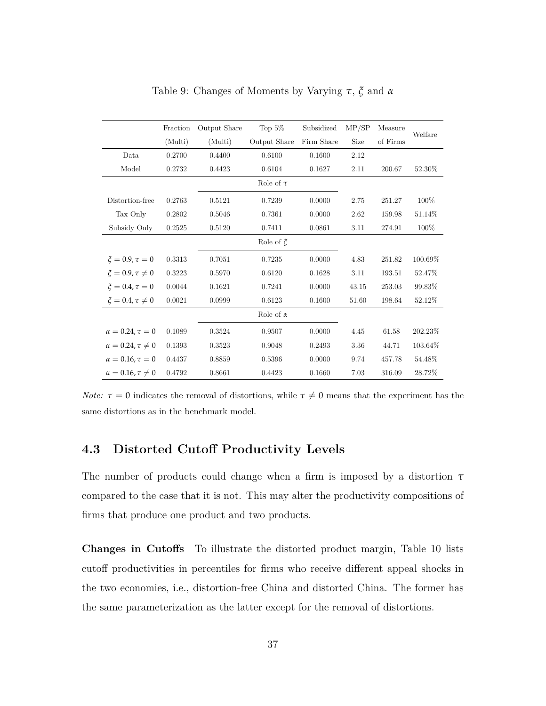<span id="page-37-0"></span>

|                                 | Fraction | Output Share | Top $5\%$        | Subsidized | MP/SP | Measure  | Welfare |
|---------------------------------|----------|--------------|------------------|------------|-------|----------|---------|
|                                 | (Multi)  | (Multi)      | Output Share     | Firm Share | Size  | of Firms |         |
| Data                            | 0.2700   | 0.4400       | 0.6100           | 0.1600     | 2.12  |          |         |
| Model                           | 0.2732   | 0.4423       | 0.6104           | 0.1627     | 2.11  | 200.67   | 52.30%  |
|                                 |          |              | Role of $\tau$   |            |       |          |         |
| Distortion-free                 | 0.2763   | 0.5121       | 0.7239           | 0.0000     | 2.75  | 251.27   | 100%    |
| Tax Only                        | 0.2802   | 0.5046       | 0.7361           | 0.0000     | 2.62  | 159.98   | 51.14%  |
| Subsidy Only                    | 0.2525   | 0.5120       | 0.7411           | 0.0861     | 3.11  | 274.91   | 100%    |
|                                 |          |              | Role of $\xi$    |            |       |          |         |
| $\xi = 0.9, \tau = 0$           | 0.3313   | 0.7051       | 0.7235           | 0.0000     | 4.83  | 251.82   | 100.69% |
| $\xi = 0.9, \tau \neq 0$        | 0.3223   | 0.5970       | 0.6120           | 0.1628     | 3.11  | 193.51   | 52.47%  |
| $\xi = 0.4, \tau = 0$           | 0.0044   | 0.1621       | 0.7241           | 0.0000     | 43.15 | 253.03   | 99.83%  |
| $\xi = 0.4, \tau \neq 0$        | 0.0021   | 0.0999       | 0.6123           | 0.1600     | 51.60 | 198.64   | 52.12%  |
|                                 |          |              | Role of $\alpha$ |            |       |          |         |
| $\alpha = 0.24, \tau = 0$       | 0.1089   | 0.3524       | 0.9507           | 0.0000     | 4.45  | 61.58    | 202.23% |
| $\alpha = 0.24$ , $\tau \neq 0$ | 0.1393   | 0.3523       | 0.9048           | 0.2493     | 3.36  | 44.71    | 103.64% |
| $\alpha = 0.16, \tau = 0$       | 0.4437   | 0.8859       | 0.5396           | 0.0000     | 9.74  | 457.78   | 54.48%  |
| $\alpha = 0.16$ , $\tau \neq 0$ | 0.4792   | 0.8661       | 0.4423           | 0.1660     | 7.03  | 316.09   | 28.72%  |

Table 9: Changes of Moments by Varying *τ*, *ξ* and *α*

*Note:*  $\tau = 0$  indicates the removal of distortions, while  $\tau \neq 0$  means that the experiment has the same distortions as in the benchmark model.

## **4.3 Distorted Cutoff Productivity Levels**

The number of products could change when a firm is imposed by a distortion *τ* compared to the case that it is not. This may alter the productivity compositions of firms that produce one product and two products.

**Changes in Cutoffs** To illustrate the distorted product margin, Table [10](#page-39-0) lists cutoff productivities in percentiles for firms who receive different appeal shocks in the two economies, i.e., distortion-free China and distorted China. The former has the same parameterization as the latter except for the removal of distortions.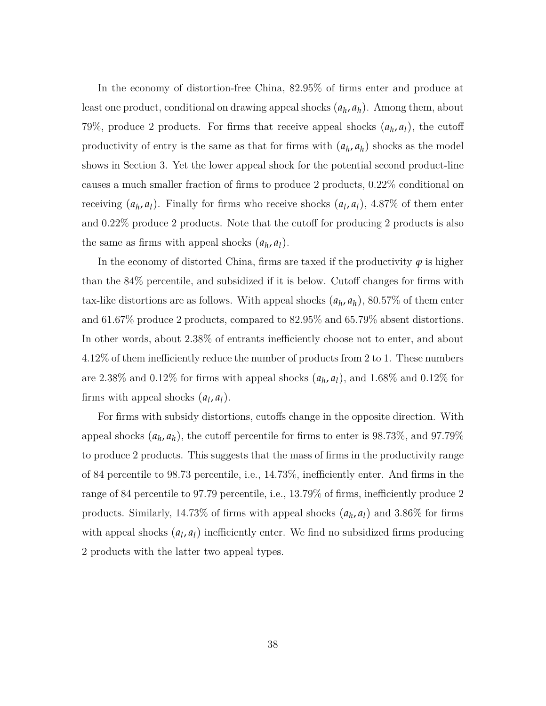In the economy of distortion-free China, 82.95% of firms enter and produce at least one product, conditional on drawing appeal shocks  $(a_h, a_h)$ . Among them, about 79%, produce 2 products. For firms that receive appeal shocks  $(a_h, a_l)$ , the cutoff productivity of entry is the same as that for firms with  $(a_h, a_h)$  shocks as the model shows in Section 3. Yet the lower appeal shock for the potential second product-line causes a much smaller fraction of firms to produce 2 products, 0.22% conditional on receiving  $(a_h, a_l)$ . Finally for firms who receive shocks  $(a_l, a_l)$ , 4.87% of them enter and 0.22% produce 2 products. Note that the cutoff for producing 2 products is also the same as firms with appeal shocks  $(a_h, a_l)$ .

In the economy of distorted China, firms are taxed if the productivity  $\varphi$  is higher than the 84% percentile, and subsidized if it is below. Cutoff changes for firms with tax-like distortions are as follows. With appeal shocks  $(a_h, a_h)$ , 80.57% of them enter and 61.67% produce 2 products, compared to 82.95% and 65.79% absent distortions. In other words, about 2.38% of entrants inefficiently choose not to enter, and about 4.12% of them inefficiently reduce the number of products from 2 to 1. These numbers are 2.38% and 0.12% for firms with appeal shocks  $(a_h, a_l)$ , and 1.68% and 0.12% for firms with appeal shocks  $(a_l, a_l)$ .

For firms with subsidy distortions, cutoffs change in the opposite direction. With appeal shocks  $(a_h, a_h)$ , the cutoff percentile for firms to enter is 98.73%, and 97.79% to produce 2 products. This suggests that the mass of firms in the productivity range of 84 percentile to 98.73 percentile, i.e., 14.73%, inefficiently enter. And firms in the range of 84 percentile to 97.79 percentile, i.e., 13.79% of firms, inefficiently produce 2 products. Similarly, 14.73% of firms with appeal shocks  $(a_h, a_l)$  and 3.86% for firms with appeal shocks  $(a_l, a_l)$  inefficiently enter. We find no subsidized firms producing 2 products with the latter two appeal types.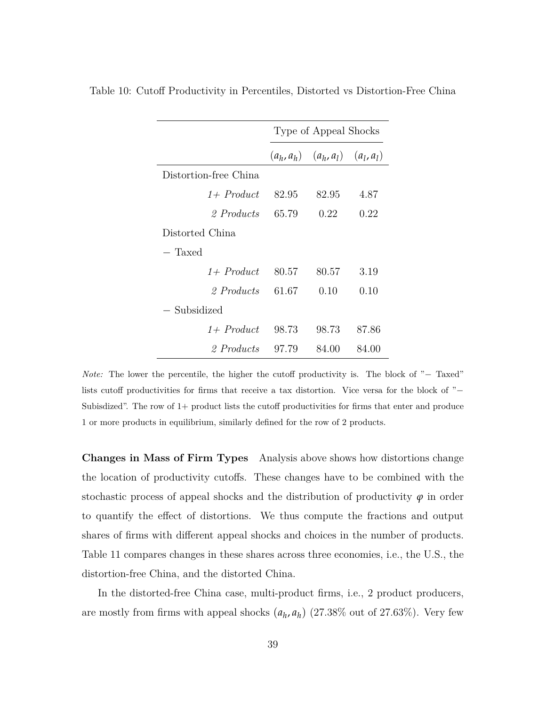|                       | Type of Appeal Shocks |                                        |       |  |  |
|-----------------------|-----------------------|----------------------------------------|-------|--|--|
|                       |                       | $(a_h, a_h)$ $(a_h, a_l)$ $(a_l, a_l)$ |       |  |  |
| Distortion-free China |                       |                                        |       |  |  |
| $1+$ Product          | 82.95                 | 82.95                                  | 4.87  |  |  |
| 2 Products            | 65.79                 | 0.22                                   | 0.22  |  |  |
| Distorted China       |                       |                                        |       |  |  |
| - Taxed               |                       |                                        |       |  |  |
| $1+$ Product          | 80.57                 | 80.57                                  | 3.19  |  |  |
| 2 Products            | 61.67                 | 0.10                                   | 0.10  |  |  |
| — Subsidized          |                       |                                        |       |  |  |
| $1+$ Product          | 98.73                 | 98.73                                  | 87.86 |  |  |
| 2 Products            | 97.79                 | 84.00                                  | 84.00 |  |  |

<span id="page-39-0"></span>Table 10: Cutoff Productivity in Percentiles, Distorted vs Distortion-Free China

*Note:* The lower the percentile, the higher the cutoff productivity is. The block of "− Taxed" lists cutoff productivities for firms that receive a tax distortion. Vice versa for the block of "− Subisdized". The row of  $1+$  product lists the cutoff productivities for firms that enter and produce 1 or more products in equilibrium, similarly defined for the row of 2 products.

**Changes in Mass of Firm Types** Analysis above shows how distortions change the location of productivity cutoffs. These changes have to be combined with the stochastic process of appeal shocks and the distribution of productivity  $\varphi$  in order to quantify the effect of distortions. We thus compute the fractions and output shares of firms with different appeal shocks and choices in the number of products. Table [11](#page-41-0) compares changes in these shares across three economies, i.e., the U.S., the distortion-free China, and the distorted China.

In the distorted-free China case, multi-product firms, i.e., 2 product producers, are mostly from firms with appeal shocks  $(a_h, a_h)$  (27.38% out of 27.63%). Very few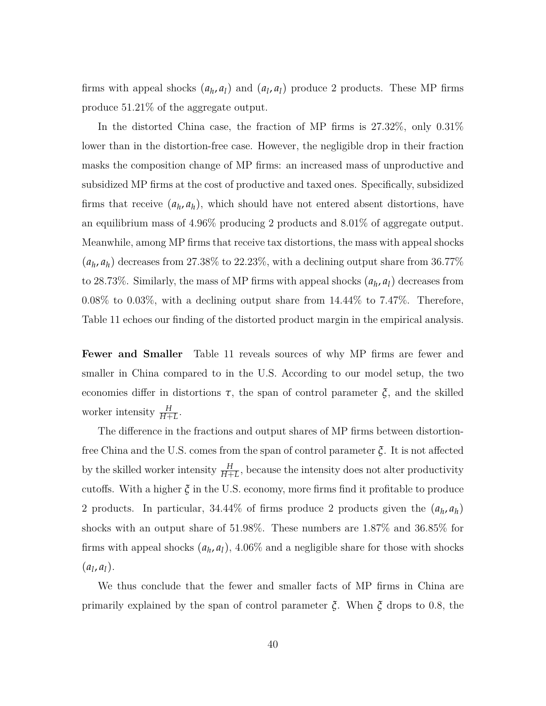firms with appeal shocks  $(a_h, a_l)$  and  $(a_l, a_l)$  produce 2 products. These MP firms produce 51.21% of the aggregate output.

In the distorted China case, the fraction of MP firms is 27.32%, only 0.31% lower than in the distortion-free case. However, the negligible drop in their fraction masks the composition change of MP firms: an increased mass of unproductive and subsidized MP firms at the cost of productive and taxed ones. Specifically, subsidized firms that receive  $(a_h, a_h)$ , which should have not entered absent distortions, have an equilibrium mass of 4.96% producing 2 products and 8.01% of aggregate output. Meanwhile, among MP firms that receive tax distortions, the mass with appeal shocks  $(a_h, a_h)$  decreases from 27.38% to 22.23%, with a declining output share from 36.77% to 28.73%. Similarly, the mass of MP firms with appeal shocks  $(a_h, a_l)$  decreases from 0.08% to 0.03%, with a declining output share from 14.44% to 7.47%. Therefore, Table [11](#page-41-0) echoes our finding of the distorted product margin in the empirical analysis.

**Fewer and Smaller** Table [11](#page-41-0) reveals sources of why MP firms are fewer and smaller in China compared to in the U.S. According to our model setup, the two economies differ in distortions  $\tau$ , the span of control parameter  $\xi$ , and the skilled worker intensity  $\frac{H}{H+L}$ .

The difference in the fractions and output shares of MP firms between distortionfree China and the U.S. comes from the span of control parameter *ξ*. It is not affected by the skilled worker intensity  $\frac{H}{H+L}$ , because the intensity does not alter productivity cutoffs. With a higher *ξ* in the U.S. economy, more firms find it profitable to produce 2 products. In particular,  $34.44\%$  of firms produce 2 products given the  $(a_h, a_h)$ shocks with an output share of 51.98%. These numbers are 1.87% and 36.85% for firms with appeal shocks  $(a_h, a_l)$ , 4.06% and a negligible share for those with shocks  $(a_l, a_l).$ 

We thus conclude that the fewer and smaller facts of MP firms in China are primarily explained by the span of control parameter *ξ*. When *ξ* drops to 0.8, the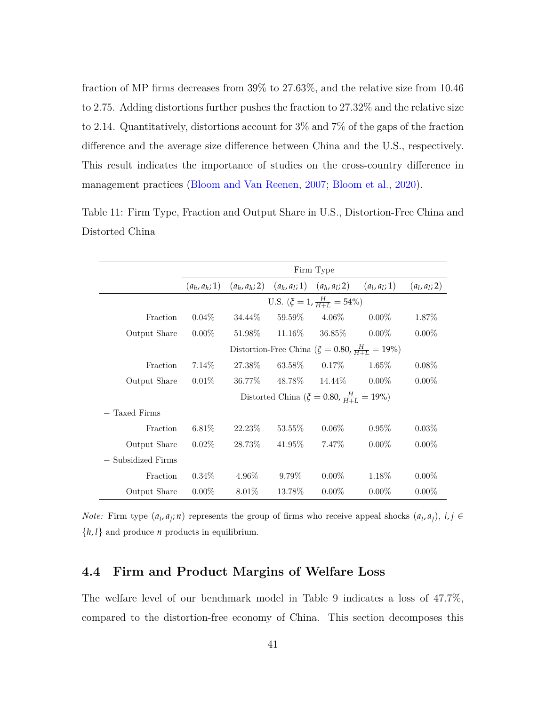fraction of MP firms decreases from 39% to 27.63%, and the relative size from 10.46 to 2.75. Adding distortions further pushes the fraction to 27.32% and the relative size to 2.14. Quantitatively, distortions account for 3% and 7% of the gaps of the fraction difference and the average size difference between China and the U.S., respectively. This result indicates the importance of studies on the cross-country difference in management practices [\(Bloom and Van Reenen,](#page-50-8) [2007;](#page-50-8) [Bloom et al.,](#page-49-3) [2020\)](#page-49-3).

|                    |                                                                   |          |         | Firm Type                                                       |          |                 |  |
|--------------------|-------------------------------------------------------------------|----------|---------|-----------------------------------------------------------------|----------|-----------------|--|
|                    | $(a_h, a_h; 1)$                                                   |          |         | $(a_h, a_h; 2)$ $(a_h, a_l; 1)$ $(a_h, a_l; 2)$ $(a_l, a_l; 1)$ |          | $(a_l, a_l; 2)$ |  |
|                    |                                                                   |          |         | U.S. $(\xi = 1, \frac{H}{H+I}) = 54\%)$                         |          |                 |  |
| Fraction           | $0.04\%$                                                          | 34.44\%  | 59.59%  | $4.06\%$                                                        | $0.00\%$ | 1.87%           |  |
| Output Share       | $0.00\%$                                                          | 51.98%   | 11.16%  | 36.85%                                                          | $0.00\%$ | $0.00\%$        |  |
|                    | Distortion-Free China ( $\zeta = 0.80$ , $\frac{H}{H+L} = 19\%$ ) |          |         |                                                                 |          |                 |  |
| Fraction           | $7.14\%$                                                          | 27.38%   | 63.58\% | $0.17\%$                                                        | $1.65\%$ | $0.08\%$        |  |
| Output Share       | $0.01\%$                                                          | 36.77%   | 48.78%  | 14.44%                                                          | $0.00\%$ | $0.00\%$        |  |
|                    |                                                                   |          |         | Distorted China ( $\zeta = 0.80$ , $\frac{H}{H+L} = 19\%)$      |          |                 |  |
| — Taxed Firms      |                                                                   |          |         |                                                                 |          |                 |  |
| Fraction           | $6.81\%$                                                          | 22.23\%  | 53.55%  | $0.06\%$                                                        | $0.95\%$ | $0.03\%$        |  |
| Output Share       | $0.02\%$                                                          | 28.73%   | 41.95%  | 7.47\%                                                          | $0.00\%$ | $0.00\%$        |  |
| - Subsidized Firms |                                                                   |          |         |                                                                 |          |                 |  |
| Fraction           | $0.34\%$                                                          | $4.96\%$ | 9.79%   | $0.00\%$                                                        | 1.18\%   | $0.00\%$        |  |
| Output Share       | $0.00\%$                                                          | 8.01\%   | 13.78%  | $0.00\%$                                                        | $0.00\%$ | $0.00\%$        |  |

<span id="page-41-0"></span>Table 11: Firm Type, Fraction and Output Share in U.S., Distortion-Free China and Distorted China

*Note:* Firm type  $(a_i, a_j; n)$  represents the group of firms who receive appeal shocks  $(a_i, a_j)$ ,  $i, j \in$  $\{h, l\}$  and produce *n* products in equilibrium.

## **4.4 Firm and Product Margins of Welfare Loss**

The welfare level of our benchmark model in Table [9](#page-37-0) indicates a loss of 47.7%, compared to the distortion-free economy of China. This section decomposes this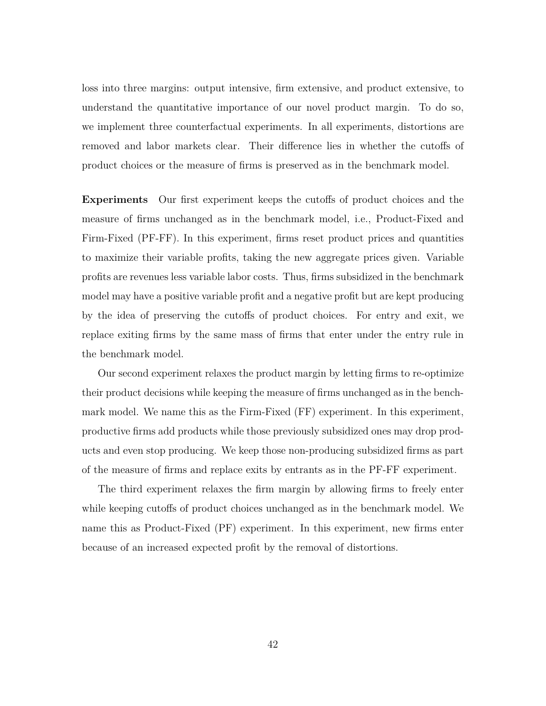loss into three margins: output intensive, firm extensive, and product extensive, to understand the quantitative importance of our novel product margin. To do so, we implement three counterfactual experiments. In all experiments, distortions are removed and labor markets clear. Their difference lies in whether the cutoffs of product choices or the measure of firms is preserved as in the benchmark model.

**Experiments** Our first experiment keeps the cutoffs of product choices and the measure of firms unchanged as in the benchmark model, i.e., Product-Fixed and Firm-Fixed (PF-FF). In this experiment, firms reset product prices and quantities to maximize their variable profits, taking the new aggregate prices given. Variable profits are revenues less variable labor costs. Thus, firms subsidized in the benchmark model may have a positive variable profit and a negative profit but are kept producing by the idea of preserving the cutoffs of product choices. For entry and exit, we replace exiting firms by the same mass of firms that enter under the entry rule in the benchmark model.

Our second experiment relaxes the product margin by letting firms to re-optimize their product decisions while keeping the measure of firms unchanged as in the benchmark model. We name this as the Firm-Fixed (FF) experiment. In this experiment, productive firms add products while those previously subsidized ones may drop products and even stop producing. We keep those non-producing subsidized firms as part of the measure of firms and replace exits by entrants as in the PF-FF experiment.

The third experiment relaxes the firm margin by allowing firms to freely enter while keeping cutoffs of product choices unchanged as in the benchmark model. We name this as Product-Fixed (PF) experiment. In this experiment, new firms enter because of an increased expected profit by the removal of distortions.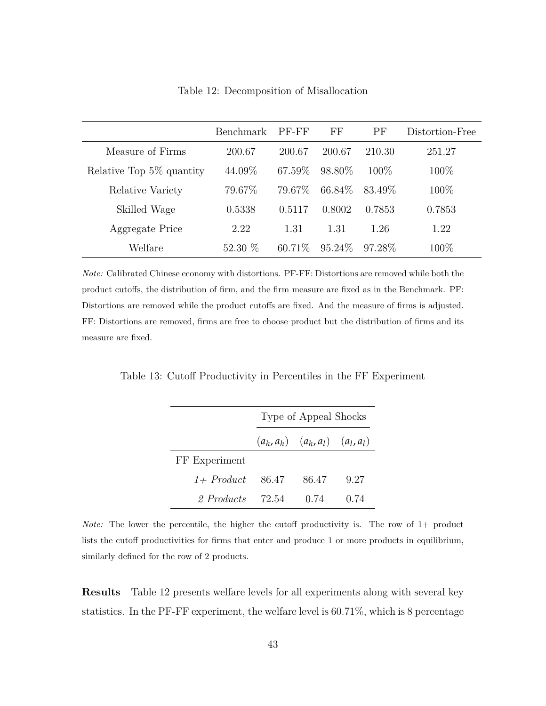<span id="page-43-0"></span>

|                          | Benchmark | PF-FF   | $\overline{\rm FF}$ | PF      | Distortion-Free |
|--------------------------|-----------|---------|---------------------|---------|-----------------|
| Measure of Firms         | 200.67    | 200.67  | 200.67              | 210.30  | 251.27          |
| Relative Top 5% quantity | 44.09%    | 67.59\% | 98.80\%             | $100\%$ | 100\%           |
| Relative Variety         | 79.67%    | 79.67\% | 66.84\%             | 83.49\% | 100\%           |
| Skilled Wage             | 0.5338    | 0.5117  | 0.8002              | 0.7853  | 0.7853          |
| Aggregate Price          | 2.22      | 1.31    | 1.31                | 1.26    | 1.22            |
| Welfare                  | 52.30 $%$ | 60.71\% | $95.24\%$           | 97.28\% | $100\%$         |

Table 12: Decomposition of Misallocation

*Note:* Calibrated Chinese economy with distortions. PF-FF: Distortions are removed while both the product cutoffs, the distribution of firm, and the firm measure are fixed as in the Benchmark. PF: Distortions are removed while the product cutoffs are fixed. And the measure of firms is adjusted. FF: Distortions are removed, firms are free to choose product but the distribution of firms and its measure are fixed.

<span id="page-43-1"></span>Table 13: Cutoff Productivity in Percentiles in the FF Experiment

|               | Type of Appeal Shocks |                                        |      |  |
|---------------|-----------------------|----------------------------------------|------|--|
|               |                       | $(a_h, a_h)$ $(a_h, a_l)$ $(a_l, a_l)$ |      |  |
| FF Experiment |                       |                                        |      |  |
| $1+$ Product  | -86.47                | 86.47                                  | 9.27 |  |
| 2 Products    | 72.54                 | 0.74                                   | 0.74 |  |

*Note:* The lower the percentile, the higher the cutoff productivity is. The row of 1+ product lists the cutoff productivities for firms that enter and produce 1 or more products in equilibrium, similarly defined for the row of 2 products.

**Results** Table [12](#page-43-0) presents welfare levels for all experiments along with several key statistics. In the PF-FF experiment, the welfare level is 60.71%, which is 8 percentage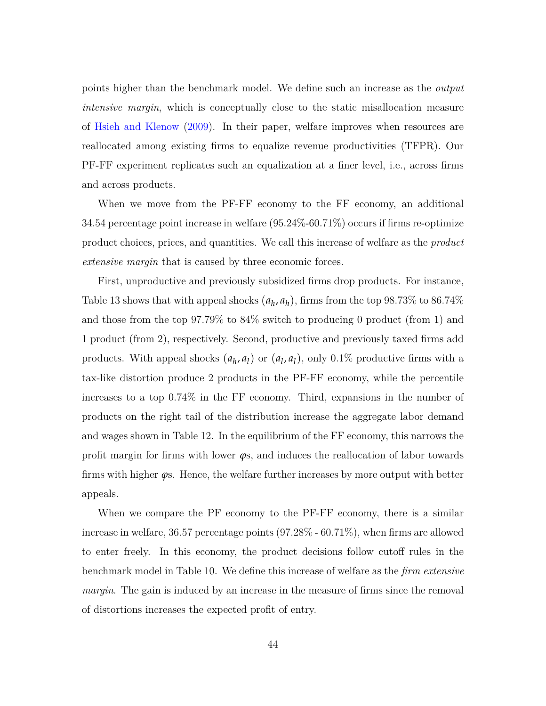points higher than the benchmark model. We define such an increase as the *output intensive margin*, which is conceptually close to the static misallocation measure of [Hsieh and Klenow](#page-51-0) [\(2009\)](#page-51-0). In their paper, welfare improves when resources are reallocated among existing firms to equalize revenue productivities (TFPR). Our PF-FF experiment replicates such an equalization at a finer level, i.e., across firms and across products.

When we move from the PF-FF economy to the FF economy, an additional 34.54 percentage point increase in welfare (95.24%-60.71%) occurs if firms re-optimize product choices, prices, and quantities. We call this increase of welfare as the *product extensive margin* that is caused by three economic forces.

First, unproductive and previously subsidized firms drop products. For instance, Table [13](#page-43-1) shows that with appeal shocks  $(a_h, a_h)$ , firms from the top 98.73% to 86.74% and those from the top 97.79% to 84% switch to producing 0 product (from 1) and 1 product (from 2), respectively. Second, productive and previously taxed firms add products. With appeal shocks  $(a_h, a_l)$  or  $(a_l, a_l)$ , only 0.1% productive firms with a tax-like distortion produce 2 products in the PF-FF economy, while the percentile increases to a top 0.74% in the FF economy. Third, expansions in the number of products on the right tail of the distribution increase the aggregate labor demand and wages shown in Table [12.](#page-43-0) In the equilibrium of the FF economy, this narrows the profit margin for firms with lower  $\varphi$ s, and induces the reallocation of labor towards firms with higher *ϕ*s. Hence, the welfare further increases by more output with better appeals.

When we compare the PF economy to the PF-FF economy, there is a similar increase in welfare, 36.57 percentage points (97.28% - 60.71%), when firms are allowed to enter freely. In this economy, the product decisions follow cutoff rules in the benchmark model in Table [10.](#page-39-0) We define this increase of welfare as the *firm extensive margin*. The gain is induced by an increase in the measure of firms since the removal of distortions increases the expected profit of entry.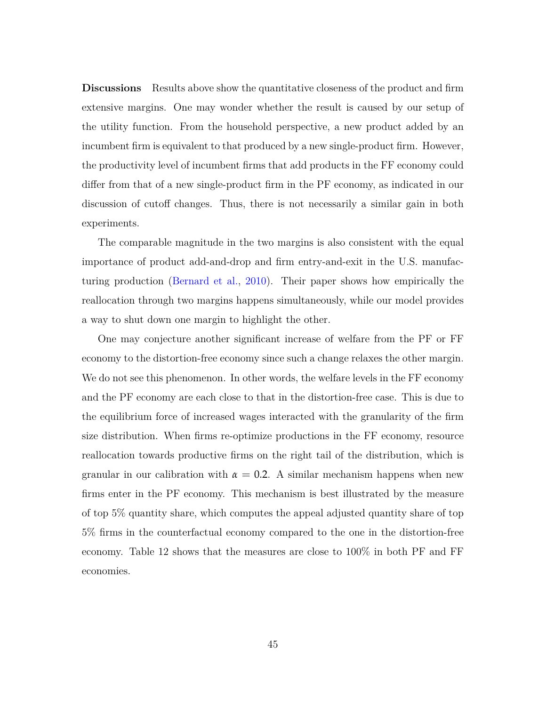**Discussions** Results above show the quantitative closeness of the product and firm extensive margins. One may wonder whether the result is caused by our setup of the utility function. From the household perspective, a new product added by an incumbent firm is equivalent to that produced by a new single-product firm. However, the productivity level of incumbent firms that add products in the FF economy could differ from that of a new single-product firm in the PF economy, as indicated in our discussion of cutoff changes. Thus, there is not necessarily a similar gain in both experiments.

The comparable magnitude in the two margins is also consistent with the equal importance of product add-and-drop and firm entry-and-exit in the U.S. manufacturing production [\(Bernard et al.,](#page-49-1) [2010\)](#page-49-1). Their paper shows how empirically the reallocation through two margins happens simultaneously, while our model provides a way to shut down one margin to highlight the other.

One may conjecture another significant increase of welfare from the PF or FF economy to the distortion-free economy since such a change relaxes the other margin. We do not see this phenomenon. In other words, the welfare levels in the FF economy and the PF economy are each close to that in the distortion-free case. This is due to the equilibrium force of increased wages interacted with the granularity of the firm size distribution. When firms re-optimize productions in the FF economy, resource reallocation towards productive firms on the right tail of the distribution, which is granular in our calibration with  $\alpha = 0.2$ . A similar mechanism happens when new firms enter in the PF economy. This mechanism is best illustrated by the measure of top 5% quantity share, which computes the appeal adjusted quantity share of top 5% firms in the counterfactual economy compared to the one in the distortion-free economy. Table [12](#page-43-0) shows that the measures are close to 100% in both PF and FF economies.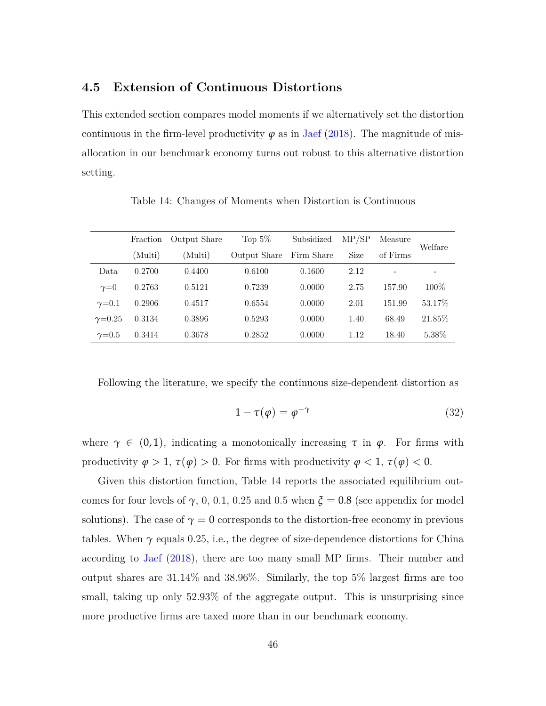### **4.5 Extension of Continuous Distortions**

This extended section compares model moments if we alternatively set the distortion continuous in the firm-level productivity  $\varphi$  as in [Jaef](#page-52-4) [\(2018\)](#page-52-4). The magnitude of misallocation in our benchmark economy turns out robust to this alternative distortion setting.

<span id="page-46-0"></span>Fraction Output Share Top 5% Subsidized MP/SP Measure Welfare (Multi) (Multi) Output Share Firm Share Size of Firms Data 0.2700 0.4400 0.6100 0.1600 2.12 - *γ*=0 0.2763 0.5121 0.7239 0.0000 2.75 157.90 100% *γ*=0.1 0.2906 0.4517 0.6554 0.0000 2.01 151.99 53.17%  $\gamma$ =0.25 0.3134 0.3896 0.5293 0.0000 1.40 68.49 21.85% *γ*=0.5 0.3414 0.3678 0.2852 0.0000 1.12 18.40 5.38%

Table 14: Changes of Moments when Distortion is Continuous

Following the literature, we specify the continuous size-dependent distortion as

$$
1 - \tau(\varphi) = \varphi^{-\gamma} \tag{32}
$$

where  $\gamma \in (0,1)$ , indicating a monotonically increasing  $\tau$  in  $\varphi$ . For firms with productivity  $\varphi > 1$ ,  $\tau(\varphi) > 0$ . For firms with productivity  $\varphi < 1$ ,  $\tau(\varphi) < 0$ .

Given this distortion function, Table [14](#page-46-0) reports the associated equilibrium outcomes for four levels of  $\gamma$ , 0, 0.1, 0.25 and 0.5 when  $\xi = 0.8$  (see appendix for model solutions). The case of  $\gamma = 0$  corresponds to the distortion-free economy in previous tables. When  $\gamma$  equals 0.25, i.e., the degree of size-dependence distortions for China according to [Jaef](#page-52-4) [\(2018\)](#page-52-4), there are too many small MP firms. Their number and output shares are 31.14% and 38.96%. Similarly, the top 5% largest firms are too small, taking up only 52.93% of the aggregate output. This is unsurprising since more productive firms are taxed more than in our benchmark economy.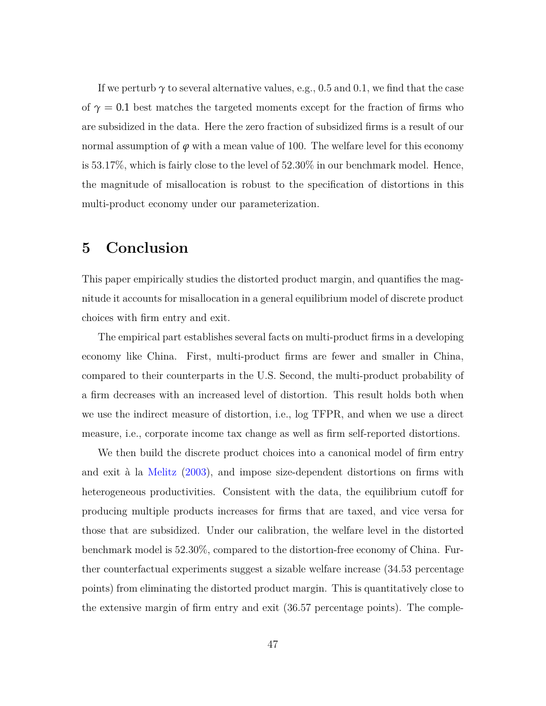If we perturb  $\gamma$  to several alternative values, e.g., 0.5 and 0.1, we find that the case of  $\gamma = 0.1$  best matches the targeted moments except for the fraction of firms who are subsidized in the data. Here the zero fraction of subsidized firms is a result of our normal assumption of  $\varphi$  with a mean value of 100. The welfare level for this economy is 53.17%, which is fairly close to the level of 52.30% in our benchmark model. Hence, the magnitude of misallocation is robust to the specification of distortions in this multi-product economy under our parameterization.

# **5 Conclusion**

This paper empirically studies the distorted product margin, and quantifies the magnitude it accounts for misallocation in a general equilibrium model of discrete product choices with firm entry and exit.

The empirical part establishes several facts on multi-product firms in a developing economy like China. First, multi-product firms are fewer and smaller in China, compared to their counterparts in the U.S. Second, the multi-product probability of a firm decreases with an increased level of distortion. This result holds both when we use the indirect measure of distortion, i.e., log TFPR, and when we use a direct measure, i.e., corporate income tax change as well as firm self-reported distortions.

We then build the discrete product choices into a canonical model of firm entry and exit à la [Melitz](#page-52-0) [\(2003\)](#page-52-0), and impose size-dependent distortions on firms with heterogeneous productivities. Consistent with the data, the equilibrium cutoff for producing multiple products increases for firms that are taxed, and vice versa for those that are subsidized. Under our calibration, the welfare level in the distorted benchmark model is 52.30%, compared to the distortion-free economy of China. Further counterfactual experiments suggest a sizable welfare increase (34.53 percentage points) from eliminating the distorted product margin. This is quantitatively close to the extensive margin of firm entry and exit (36.57 percentage points). The comple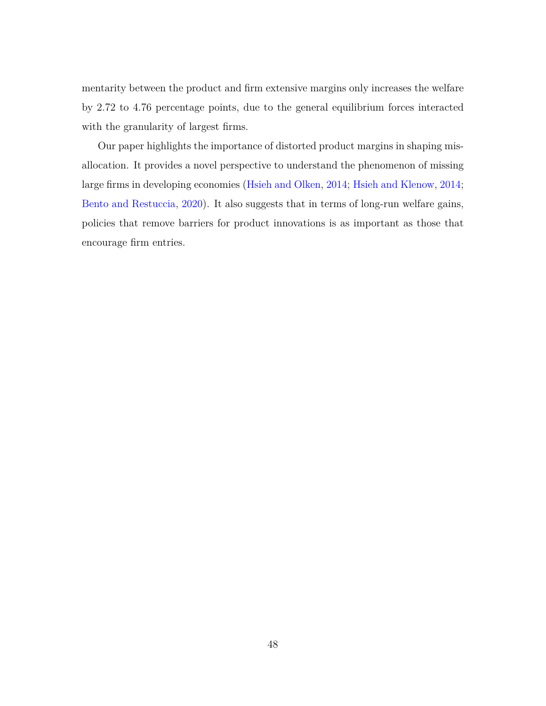mentarity between the product and firm extensive margins only increases the welfare by 2.72 to 4.76 percentage points, due to the general equilibrium forces interacted with the granularity of largest firms.

Our paper highlights the importance of distorted product margins in shaping misallocation. It provides a novel perspective to understand the phenomenon of missing large firms in developing economies [\(Hsieh and Olken,](#page-52-5) [2014;](#page-52-5) [Hsieh and Klenow,](#page-52-9) [2014;](#page-52-9) [Bento and Restuccia,](#page-49-2) [2020\)](#page-49-2). It also suggests that in terms of long-run welfare gains, policies that remove barriers for product innovations is as important as those that encourage firm entries.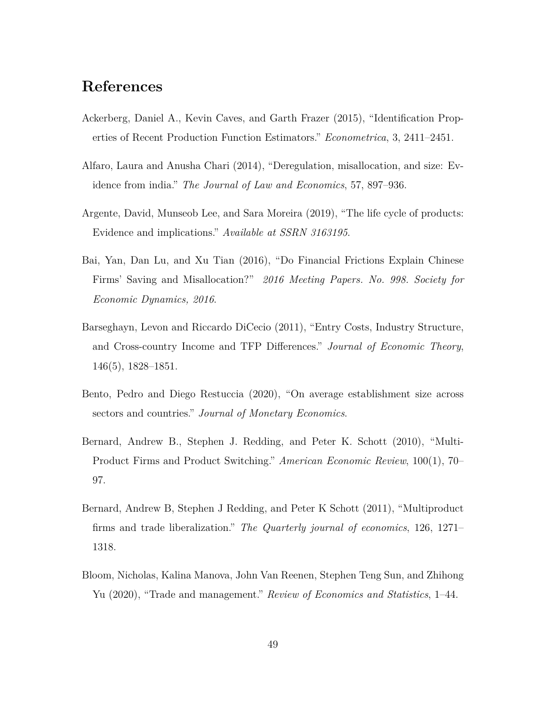# **References**

- <span id="page-49-8"></span>Ackerberg, Daniel A., Kevin Caves, and Garth Frazer (2015), "Identification Properties of Recent Production Function Estimators." *Econometrica*, 3, 2411–2451.
- <span id="page-49-5"></span>Alfaro, Laura and Anusha Chari (2014), "Deregulation, misallocation, and size: Evidence from india." *The Journal of Law and Economics*, 57, 897–936.
- <span id="page-49-6"></span>Argente, David, Munseob Lee, and Sara Moreira (2019), "The life cycle of products: Evidence and implications." *Available at SSRN 3163195*.
- <span id="page-49-7"></span>Bai, Yan, Dan Lu, and Xu Tian (2016), "Do Financial Frictions Explain Chinese Firms' Saving and Misallocation?" *2016 Meeting Papers. No. 998. Society for Economic Dynamics, 2016*.
- <span id="page-49-4"></span>Barseghayn, Levon and Riccardo DiCecio (2011), "Entry Costs, Industry Structure, and Cross-country Income and TFP Differences." *Journal of Economic Theory*, 146(5), 1828–1851.
- <span id="page-49-2"></span>Bento, Pedro and Diego Restuccia (2020), "On average establishment size across sectors and countries." *Journal of Monetary Economics*.
- <span id="page-49-1"></span>Bernard, Andrew B., Stephen J. Redding, and Peter K. Schott (2010), "Multi-Product Firms and Product Switching." *American Economic Review*, 100(1), 70– 97.
- <span id="page-49-0"></span>Bernard, Andrew B, Stephen J Redding, and Peter K Schott (2011), "Multiproduct firms and trade liberalization." *The Quarterly journal of economics*, 126, 1271– 1318.
- <span id="page-49-3"></span>Bloom, Nicholas, Kalina Manova, John Van Reenen, Stephen Teng Sun, and Zhihong Yu (2020), "Trade and management." *Review of Economics and Statistics*, 1–44.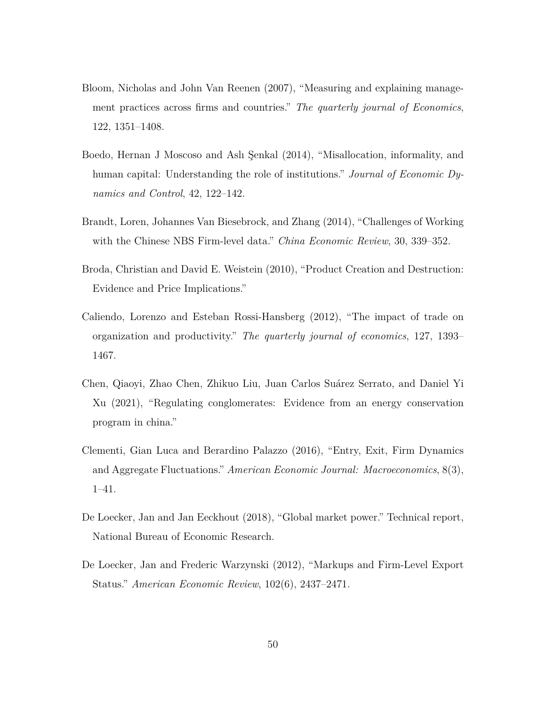- <span id="page-50-8"></span>Bloom, Nicholas and John Van Reenen (2007), "Measuring and explaining management practices across firms and countries." *The quarterly journal of Economics*, 122, 1351–1408.
- <span id="page-50-2"></span>Boedo, Hernan J Moscoso and Aslı Şenkal (2014), "Misallocation, informality, and human capital: Understanding the role of institutions." *Journal of Economic Dynamics and Control*, 42, 122–142.
- <span id="page-50-3"></span>Brandt, Loren, Johannes Van Biesebrock, and Zhang (2014), "Challenges of Working with the Chinese NBS Firm-level data." *China Economic Review*, 30, 339–352.
- <span id="page-50-0"></span>Broda, Christian and David E. Weistein (2010), "Product Creation and Destruction: Evidence and Price Implications."
- <span id="page-50-7"></span>Caliendo, Lorenzo and Esteban Rossi-Hansberg (2012), "The impact of trade on organization and productivity." *The quarterly journal of economics*, 127, 1393– 1467.
- <span id="page-50-6"></span>Chen, Qiaoyi, Zhao Chen, Zhikuo Liu, Juan Carlos Suárez Serrato, and Daniel Yi Xu (2021), "Regulating conglomerates: Evidence from an energy conservation program in china."
- <span id="page-50-1"></span>Clementi, Gian Luca and Berardino Palazzo (2016), "Entry, Exit, Firm Dynamics and Aggregate Fluctuations." *American Economic Journal: Macroeconomics*, 8(3), 1–41.
- <span id="page-50-5"></span>De Loecker, Jan and Jan Eeckhout (2018), "Global market power." Technical report, National Bureau of Economic Research.
- <span id="page-50-4"></span>De Loecker, Jan and Frederic Warzynski (2012), "Markups and Firm-Level Export Status." *American Economic Review*, 102(6), 2437–2471.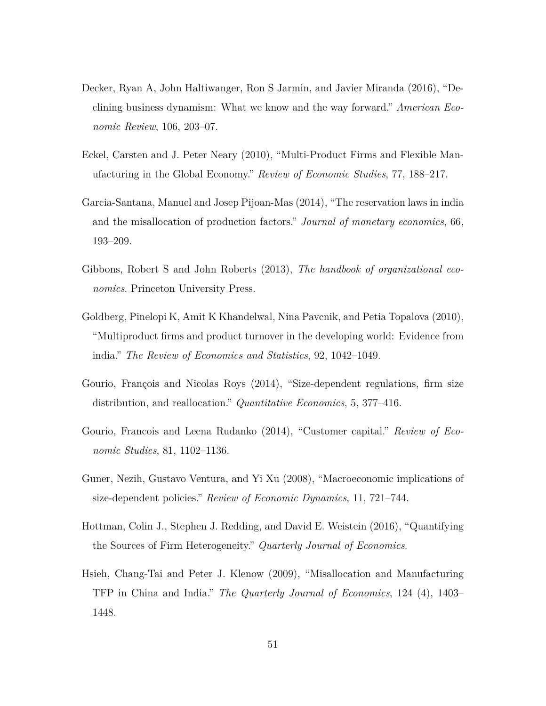- <span id="page-51-9"></span>Decker, Ryan A, John Haltiwanger, Ron S Jarmin, and Javier Miranda (2016), "Declining business dynamism: What we know and the way forward." *American Economic Review*, 106, 203–07.
- <span id="page-51-1"></span>Eckel, Carsten and J. Peter Neary (2010), "Multi-Product Firms and Flexible Manufacturing in the Global Economy." *Review of Economic Studies*, 77, 188–217.
- <span id="page-51-6"></span>Garcia-Santana, Manuel and Josep Pijoan-Mas (2014), "The reservation laws in india and the misallocation of production factors." *Journal of monetary economics*, 66, 193–209.
- <span id="page-51-8"></span>Gibbons, Robert S and John Roberts (2013), *The handbook of organizational economics*. Princeton University Press.
- <span id="page-51-2"></span>Goldberg, Pinelopi K, Amit K Khandelwal, Nina Pavcnik, and Petia Topalova (2010), "Multiproduct firms and product turnover in the developing world: Evidence from india." *The Review of Economics and Statistics*, 92, 1042–1049.
- <span id="page-51-5"></span>Gourio, François and Nicolas Roys (2014), "Size-dependent regulations, firm size distribution, and reallocation." *Quantitative Economics*, 5, 377–416.
- <span id="page-51-7"></span>Gourio, Francois and Leena Rudanko (2014), "Customer capital." *Review of Economic Studies*, 81, 1102–1136.
- <span id="page-51-3"></span>Guner, Nezih, Gustavo Ventura, and Yi Xu (2008), "Macroeconomic implications of size-dependent policies." *Review of Economic Dynamics*, 11, 721–744.
- <span id="page-51-4"></span>Hottman, Colin J., Stephen J. Redding, and David E. Weistein (2016), "Quantifying the Sources of Firm Heterogeneity." *Quarterly Journal of Economics*.
- <span id="page-51-0"></span>Hsieh, Chang-Tai and Peter J. Klenow (2009), "Misallocation and Manufacturing TFP in China and India." *The Quarterly Journal of Economics*, 124 (4), 1403– 1448.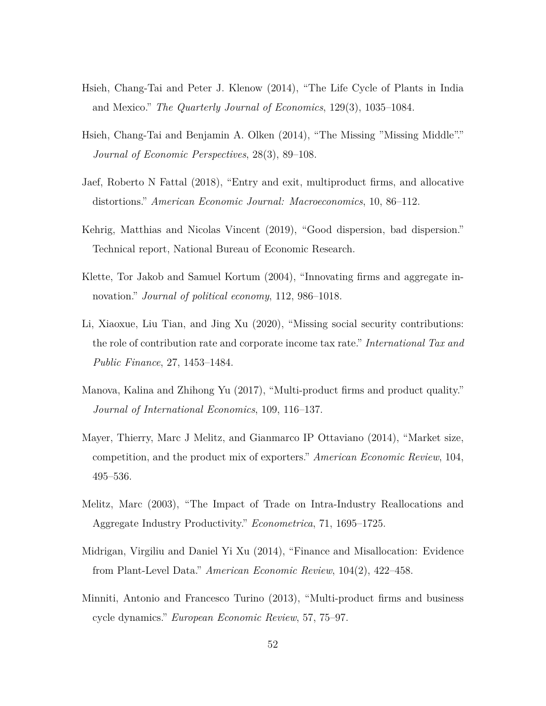- <span id="page-52-9"></span>Hsieh, Chang-Tai and Peter J. Klenow (2014), "The Life Cycle of Plants in India and Mexico." *The Quarterly Journal of Economics*, 129(3), 1035–1084.
- <span id="page-52-5"></span>Hsieh, Chang-Tai and Benjamin A. Olken (2014), "The Missing "Missing Middle"." *Journal of Economic Perspectives*, 28(3), 89–108.
- <span id="page-52-4"></span>Jaef, Roberto N Fattal (2018), "Entry and exit, multiproduct firms, and allocative distortions." *American Economic Journal: Macroeconomics*, 10, 86–112.
- <span id="page-52-8"></span>Kehrig, Matthias and Nicolas Vincent (2019), "Good dispersion, bad dispersion." Technical report, National Bureau of Economic Research.
- <span id="page-52-6"></span>Klette, Tor Jakob and Samuel Kortum (2004), "Innovating firms and aggregate innovation." *Journal of political economy*, 112, 986–1018.
- <span id="page-52-10"></span>Li, Xiaoxue, Liu Tian, and Jing Xu (2020), "Missing social security contributions: the role of contribution rate and corporate income tax rate." *International Tax and Public Finance*, 27, 1453–1484.
- <span id="page-52-3"></span>Manova, Kalina and Zhihong Yu (2017), "Multi-product firms and product quality." *Journal of International Economics*, 109, 116–137.
- <span id="page-52-2"></span>Mayer, Thierry, Marc J Melitz, and Gianmarco IP Ottaviano (2014), "Market size, competition, and the product mix of exporters." *American Economic Review*, 104, 495–536.
- <span id="page-52-0"></span>Melitz, Marc (2003), "The Impact of Trade on Intra-Industry Reallocations and Aggregate Industry Productivity." *Econometrica*, 71, 1695–1725.
- <span id="page-52-1"></span>Midrigan, Virgiliu and Daniel Yi Xu (2014), "Finance and Misallocation: Evidence from Plant-Level Data." *American Economic Review*, 104(2), 422–458.
- <span id="page-52-7"></span>Minniti, Antonio and Francesco Turino (2013), "Multi-product firms and business cycle dynamics." *European Economic Review*, 57, 75–97.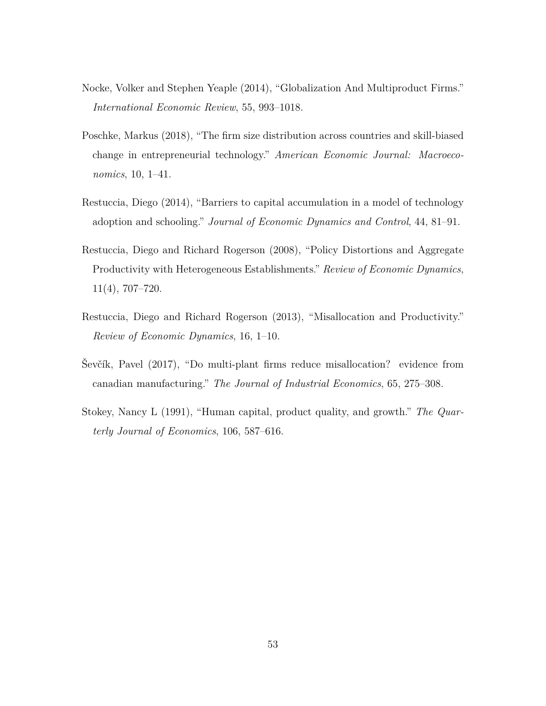- <span id="page-53-2"></span>Nocke, Volker and Stephen Yeaple (2014), "Globalization And Multiproduct Firms." *International Economic Review*, 55, 993–1018.
- <span id="page-53-1"></span>Poschke, Markus (2018), "The firm size distribution across countries and skill-biased change in entrepreneurial technology." *American Economic Journal: Macroeconomics*, 10, 1–41.
- <span id="page-53-5"></span>Restuccia, Diego (2014), "Barriers to capital accumulation in a model of technology adoption and schooling." *Journal of Economic Dynamics and Control*, 44, 81–91.
- <span id="page-53-0"></span>Restuccia, Diego and Richard Rogerson (2008), "Policy Distortions and Aggregate Productivity with Heterogeneous Establishments." *Review of Economic Dynamics*, 11(4), 707–720.
- <span id="page-53-3"></span>Restuccia, Diego and Richard Rogerson (2013), "Misallocation and Productivity." *Review of Economic Dynamics*, 16, 1–10.
- <span id="page-53-4"></span>Ševčík, Pavel (2017), "Do multi-plant firms reduce misallocation? evidence from canadian manufacturing." *The Journal of Industrial Economics*, 65, 275–308.
- <span id="page-53-6"></span>Stokey, Nancy L (1991), "Human capital, product quality, and growth." *The Quarterly Journal of Economics*, 106, 587–616.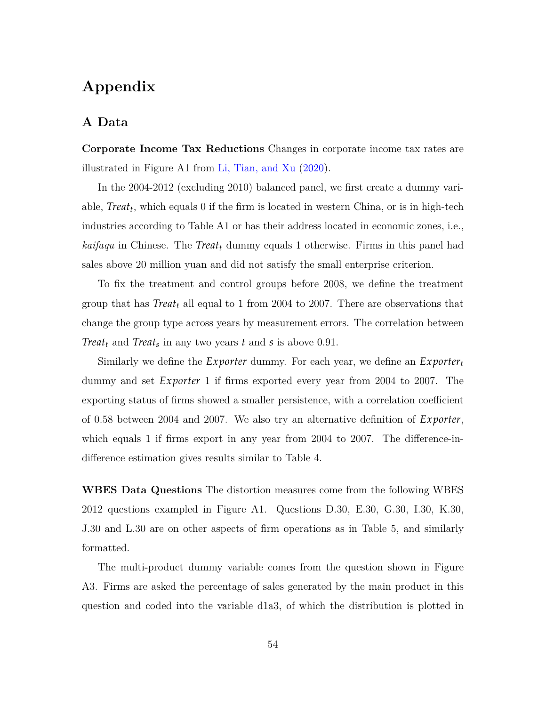# **Appendix**

## **A Data**

**Corporate Income Tax Reductions** Changes in corporate income tax rates are illustrated in Figure [A1](#page-55-0) from [Li, Tian, and Xu](#page-52-10) [\(2020\)](#page-52-10).

In the 2004-2012 (excluding 2010) balanced panel, we first create a dummy variable, *Treat<sup>t</sup>* , which equals 0 if the firm is located in western China, or is in high-tech industries according to Table [A1](#page-56-1) or has their address located in economic zones, i.e., *kaifaqu* in Chinese. The *Treat<sup>t</sup>* dummy equals 1 otherwise. Firms in this panel had sales above 20 million yuan and did not satisfy the small enterprise criterion.

To fix the treatment and control groups before 2008, we define the treatment group that has *Treat<sup>t</sup>* all equal to 1 from 2004 to 2007. There are observations that change the group type across years by measurement errors. The correlation between *Treat<sup>t</sup>* and *Treat<sup>s</sup>* in any two years *t* and *s* is above 0.91.

Similarly we define the *Exporter* dummy. For each year, we define an *Exporter<sup>t</sup>* dummy and set *Exporter* 1 if firms exported every year from 2004 to 2007. The exporting status of firms showed a smaller persistence, with a correlation coefficient of 0.58 between 2004 and 2007. We also try an alternative definition of *Exporter*, which equals 1 if firms export in any year from 2004 to 2007. The difference-indifference estimation gives results similar to Table 4.

**WBES Data Questions** The distortion measures come from the following WBES 2012 questions exampled in Figure A1. Questions D.30, E.30, G.30, I.30, K.30, J.30 and L.30 are on other aspects of firm operations as in Table [5,](#page-20-0) and similarly formatted.

The multi-product dummy variable comes from the question shown in Figure [A3.](#page-57-0) Firms are asked the percentage of sales generated by the main product in this question and coded into the variable d1a3, of which the distribution is plotted in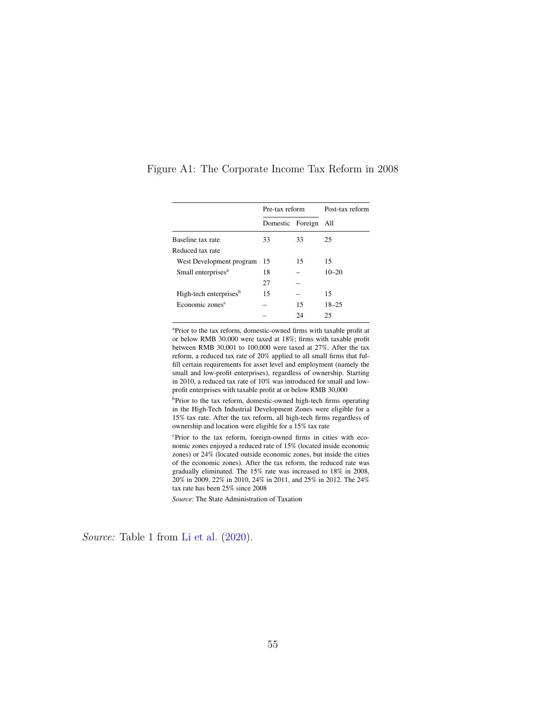|                                    | Pre-tax reform   |    | Post-tax reform |  |
|------------------------------------|------------------|----|-----------------|--|
|                                    | Domestic Foreign |    | All             |  |
| Baseline tax rate                  | 33               | 33 | 25              |  |
| Reduced tax rate                   |                  |    |                 |  |
| West Development program           | 15               | 15 | 15              |  |
| Small enterprises <sup>a</sup>     | 18               |    | $10 - 20$       |  |
|                                    | 27               |    |                 |  |
| High-tech enterprises <sup>b</sup> | 15               |    | 15              |  |
| Economic zones <sup>c</sup>        |                  | 15 | $18 - 25$       |  |
|                                    |                  | 24 | 25              |  |
|                                    |                  |    |                 |  |

<span id="page-55-0"></span>Figure A1: The Corporate Income Tax Reform in 2008

a Prior to the tax reform, domestic-owned frms with taxable proft at or below RMB 30,000 were taxed at 18%; frms with taxable proft between RMB 30,001 to 100,000 were taxed at 27%. After the tax reform, a reduced tax rate of 20% applied to all small frms that fulfll certain requirements for asset level and employment (namely the small and low-proft enterprises), regardless of ownership. Starting in 2010, a reduced tax rate of 10% was introduced for small and lowproft enterprises with taxable proft at or below RMB 30,000

b Prior to the tax reform, domestic-owned high-tech frms operating in the High-Tech Industrial Development Zones were eligible for a 15% tax rate. After the tax reform, all high-tech frms regardless of ownership and location were eligible for a 15% tax rate

c Prior to the tax reform, foreign-owned frms in cities with economic zones enjoyed a reduced rate of 15% (located inside economic zones) or 24% (located outside economic zones, but inside the cities of the economic zones). After the tax reform, the reduced rate was gradually eliminated. The 15% rate was increased to 18% in 2008, 20% in 2009, 22% in 2010, 24% in 2011, and 25% in 2012. The 24% tax rate has been 25% since 2008

*Source*: The State Administration of Taxation

 $\alpha$  changes in effective corporate tax rates. Figure 4 shows the time pattern in  $(2000)$ *Source:* Table 1 from [Li et al.](#page-52-10) [\(2020\)](#page-52-10).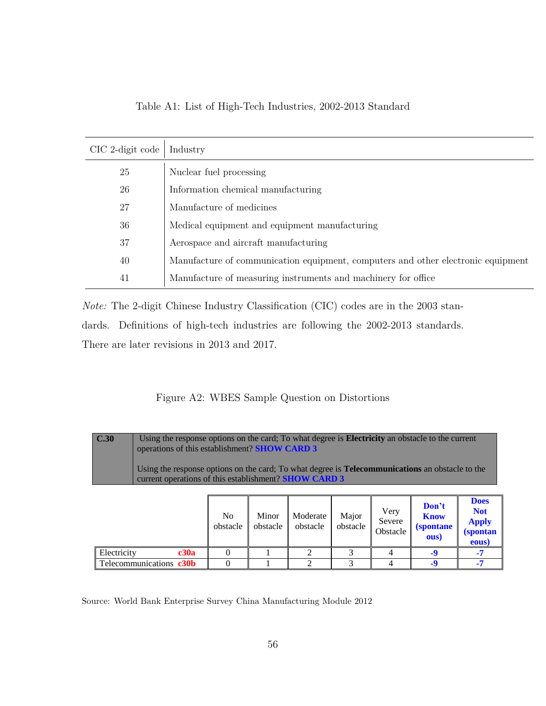<span id="page-56-1"></span>

| CIC 2-digit code | Industry                                                                         |
|------------------|----------------------------------------------------------------------------------|
| 25               | Nuclear fuel processing                                                          |
| 26               | Information chemical manufacturing                                               |
| 27               | Manufacture of medicines                                                         |
| 36               | Medical equipment and equipment manufacturing                                    |
| 37               | Aerospace and aircraft manufacturing                                             |
| 40               | Manufacture of communication equipment, computers and other electronic equipment |
| 41               | Manufacture of measuring instruments and machinery for office                    |
|                  |                                                                                  |

**(spontane**

Table A1: List of High-Tech Industries, 2002-2013 Standard

*Note:* The 2-digit Chinese Industry Classification (CIC) codes are in the 2003 standards. Definitions of high-tech industries are following the 2002-2013 standards. **ous)** Definitions of mgn-tecn muustries are following the 2002-2015 standards.

<span id="page-56-0"></span>There are later revisions in 2013 and 2017.

#### Figure A2: WBES Sample Question on Distortions **Don't know (spontaneous) -9**

| $\overline{C.30}$<br>Using the response options on the card; To what degree is <b>Electricity</b> an obstacle to the current<br>operations of this establishment? <b>SHOW CARD 3</b><br>Using the response options on the card; To what degree is <b>Telecommunications</b> an obstacle to the<br>current operations of this establishment? <b>SHOW CARD 3</b> |                         |                            |                   |                             |                   |                                   |                                                   |                                                                        |
|----------------------------------------------------------------------------------------------------------------------------------------------------------------------------------------------------------------------------------------------------------------------------------------------------------------------------------------------------------------|-------------------------|----------------------------|-------------------|-----------------------------|-------------------|-----------------------------------|---------------------------------------------------|------------------------------------------------------------------------|
|                                                                                                                                                                                                                                                                                                                                                                |                         | N <sub>0</sub><br>obstacle | Minor<br>obstacle | Moderate<br>obstacle        | Major<br>obstacle | Very<br>Severe<br><b>Obstacle</b> | Don't<br><b>Know</b><br><i>(spontane)</i><br>ous) | <b>Does</b><br><b>Not</b><br><b>Apply</b><br><i>(spontan)</i><br>eous) |
| Electricity                                                                                                                                                                                                                                                                                                                                                    | c30a                    | 0                          |                   | $\mathcal{D}_{\mathcal{L}}$ | 3                 | 4                                 | $-9$                                              | $-7$                                                                   |
|                                                                                                                                                                                                                                                                                                                                                                | Telecommunications c30b |                            |                   | $\mathfrak{D}$              | 3                 | 4                                 | $-9$                                              | $-7$                                                                   |

Source: World Bank Enterprise Survey China Manufacturing Module 2012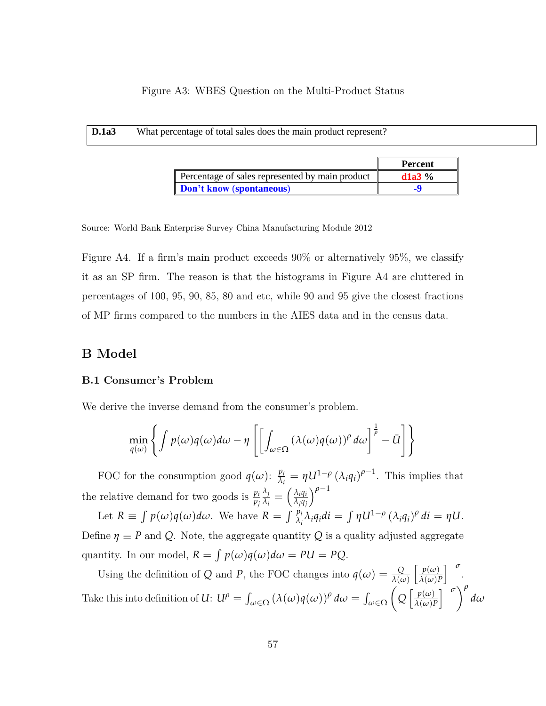### Figure A3: WBES Question on the Multi-Product Status **Code**

<span id="page-57-0"></span>

| D.1a3 | What percentage of total sales does the main product represent? |                |  |  |  |
|-------|-----------------------------------------------------------------|----------------|--|--|--|
|       |                                                                 | <b>Percent</b> |  |  |  |

|                                                 | Percent  |
|-------------------------------------------------|----------|
| Percentage of sales represented by main product | $d1a3\%$ |
| <b>Don't know (spontaneous)</b>                 |          |

Source: World Bank Enterprise Survey China Manufacturing Module 2012

Figure [A4.](#page-58-0) If a firm's main product exceeds  $90\%$  or alternatively  $95\%$ , we classify  $\lim$  The reason is that the histograms in Figure  $\Delta A$  are clui **Please also write out the number (i.e. 50,000 as Fifty Thousand)** percentages of 100, 95, 90, 85, 80 and etc, while 90 and 95 give the closest fractions it as an SP firm. The reason is that the histograms in Figure [A4](#page-58-0) are cluttered in of MP firms compared to the numbers in the AIES data and in the census data.

## **B Model**

### **B.1 Consumer's Problem business** the years ago **-7**

We derive the inverse demand from the consumer's problem.

$$
\min_{q(\omega)} \left\{ \int p(\omega)q(\omega)d\omega - \eta \left[ \left[ \int_{\omega \in \Omega} (\lambda(\omega)q(\omega))^{\rho} d\omega \right]^{\frac{1}{\rho}} - \bar{U} \right] \right\}
$$

FOC for the consumption good  $q(\omega)$ :  $\frac{p_i}{\lambda}$  $\frac{p_i}{\lambda_i} = \eta U^{1-\rho} (\lambda_i q_i)^{\rho-1}$ . This implies that the relative demand for two goods is  $\frac{p_i}{p_j}$ *λj*  $\frac{\lambda_j}{\lambda_i} = \left( \frac{\lambda_i q_i}{\lambda_j q_j} \right)$ *λjq<sup>j</sup> ρ*−<sup>1</sup>

Let  $R \equiv \int p(\omega)q(\omega)d\omega$ . We have  $R = \int \frac{p_i}{\lambda_i} \lambda_i q_i di = \int \eta U^{1-\rho} (\lambda_i q_i)^{\rho} di = \eta U$ . Define  $\eta \equiv P$  and Q. Note, the aggregate quantity Q is a quality adjusted aggregate quantity. In our model,  $R = \int p(\omega)q(\omega)d\omega = PU = PQ$ .

Using the definition of *Q* and *P*, the FOC changes into  $q(\omega) = \frac{Q}{\lambda(\omega)}$  $\int p(\omega)$ *λ*(*ω*)*P*  $\big]^{-\sigma}$ . Take this into definition of *U*:  $U^{\rho} = \int_{\omega \in \Omega} (\lambda(\omega)q(\omega))^{\rho} d\omega = \int_{\omega \in \Omega}$  $\sqrt{ }$  $Q\left[\frac{p(\omega)}{\lambda(\omega)}\right]$ *λ*(*ω*)*P*  $\left[ -\sigma \right)^{\rho}$ *dω*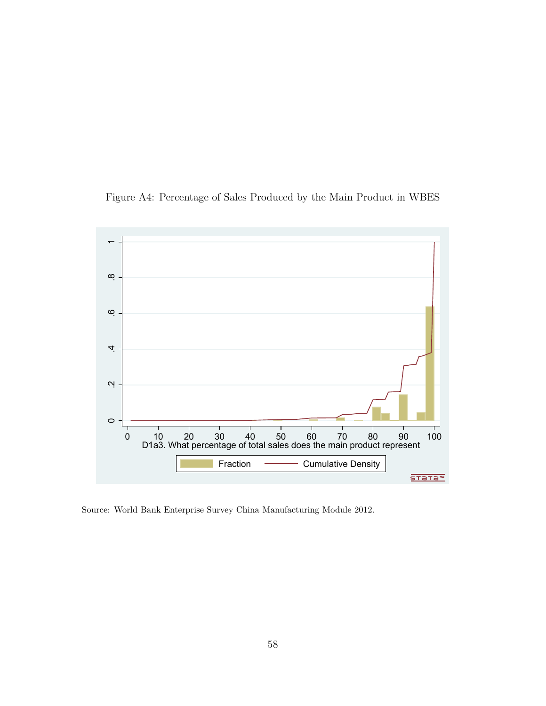<span id="page-58-0"></span>Figure A4: Percentage of Sales Produced by the Main Product in WBES



Source: World Bank Enterprise Survey China Manufacturing Module 2012.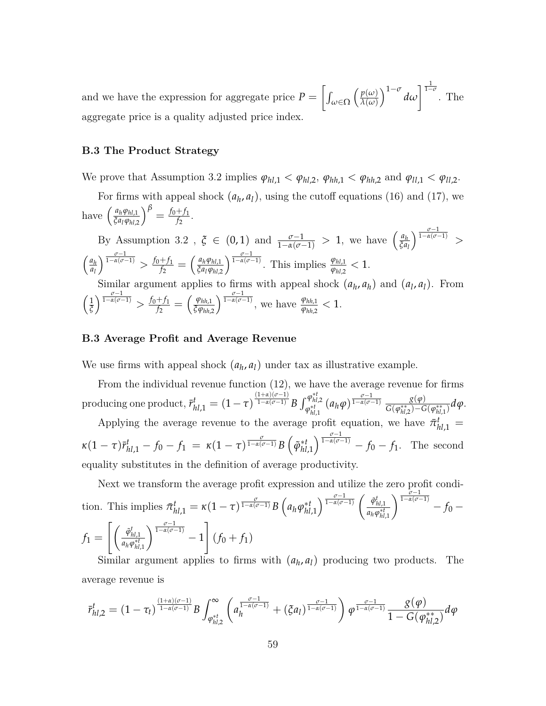and we have the expression for aggregate price  $P = \left[\int_{\omega \in \Omega}$  $\int p(\omega)$ *λ*(*ω*)  $\int$ <sup>1- $\sigma$ </sup> d $\omega$  $\int^{\frac{1}{1-\sigma}}$ . The aggregate price is a quality adjusted price index.

#### **B.3 The Product Strategy**

We prove that Assumption 3.2 implies  $\varphi_{hl,1} < \varphi_{hl,2}$ ,  $\varphi_{hh,1} < \varphi_{hh,2}$  and  $\varphi_{ll,1} < \varphi_{ll,2}$ .

For firms with appeal shock  $(a_h, a_l)$ , using the cutoff equations [\(16\)](#page-27-0) and [\(17\)](#page-27-1), we  $\left(\frac{a_h \varphi_{hl,1}}{\xi a_l \varphi_{hl,2}}\right)^{\beta} = \frac{f_0 + f_1}{f_2}$  $\frac{+f_1}{f_2}$ .

By Assumption 3.2,  $\xi \in (0,1)$  and  $\frac{\sigma-1}{1-\alpha(\sigma-1)} > 1$ , we have  $\left(\frac{a_h}{\xi a}\right)$ *ξa<sup>l</sup>*  $\int_0^{\frac{\sigma-1}{1-\alpha(\sigma-1)}}$  >  $\frac{a_h}{2}$ *al*  $\int_0^{\frac{\sigma-1}{1-\alpha(\sigma-1)}} > f_0+f_1$  $\frac{f_{f_1}}{f_2} = \left(\frac{a_h \varphi_{hl,1}}{\xi a_l \varphi_{hl,2}}\right)^{\frac{\sigma-1}{1-\alpha(\sigma-1)}}$ . This implies  $\frac{\varphi_{hl,1}}{\varphi_{hl,2}} < 1$ .

Similar argument applies to firms with appeal shock  $(a_h, a_h)$  and  $(a_l, a_l)$ . From  $\sqrt{1}$ *ξ*  $\int_0^{\frac{\sigma-1}{1-\alpha(\sigma-1)}} > f_0+f_1$  $\frac{f_{f_1}}{f_2} = \left(\frac{\varphi_{hh,1}}{\xi \varphi_{hh,2}}\right)^{\frac{\sigma-1}{1-\alpha(\sigma-1)}},$  we have  $\frac{\varphi_{hh,1}}{\varphi_{hh,2}} < 1.$ 

#### **B.3 Average Profit and Average Revenue**

We use firms with appeal shock  $(a_h, a_l)$  under tax as illustrative example.

From the individual revenue function [\(12\)](#page-24-0), we have the average revenue for firms producing one product,  $\bar{r}^t_{hl,1} = (1 - \tau)^{\frac{(1 + \alpha)(\sigma - 1)}{1 - \alpha(\sigma - 1)}}$  $\frac{1+\alpha)(σ-1)}{1-\alpha(σ-1)}$  *B*  $\int_{\alpha^{*}}^{\varphi_{hl,2}^{*}}$ *,*• $\varphi_{hl,2}^{*t}$  (*a*<sub>*h*</sub>*ϕ*)<sup>*τ*</sup>*-α*(*σ*−1) *σ*(*φ*<sub>*ht*,*γ*</sub>)*−G*<br>*φ*<sub>*hl*</sub>,*γ*</sub>  $\frac{g(\varphi)}{G(\varphi_{hl,2}^{**})-G(\varphi_{hl,1}^{**})}d\varphi.$ 

Applying the average revenue to the average profit equation, we have  $\bar{\pi}_{hl,1}^t$  $\kappa(1-\tau)\bar{r}_{hl,1}^t-f_0-f_1 = \kappa(1-\tau)^{\frac{\sigma}{1-\alpha(\sigma-1)}}B\left(\tilde{\varphi}_{hl,1}^{*t}\right)^{\frac{\sigma-1}{1-\alpha(\sigma-1)}}-f_0-f_1.$  The second equality substitutes in the definition of average productivity.

Next we transform the average profit expression and utilize the zero profit condition. This implies  $\bar{\pi}_{hl,1}^t = \kappa (1 - \tau)^{\frac{\sigma}{1 - \alpha(\sigma - 1)}} B\left(a_h \varphi_{hl,1}^{*t}\right)^{\frac{\sigma - 1}{1 - \alpha(\sigma - 1)}} \left(\frac{\tilde{\varphi}_{hl,1}^t}{a_h \varphi_{hl}^{*t}}\right)$ *ahϕ* ∗*t hl*,1 *<sup>σ</sup>*−<sup>1</sup> 1−*α*(*σ*−1) − *f*<sup>0</sup> −  $f_1 =$  $\int$   $\tilde{\varphi}^t_{hl,1}$  $\left(\frac{\widetilde{\varphi}_{hl,1}^t}{a_h\varphi_{hl,1}^{*t}}\right)^{\frac{\sigma-1}{1-\alpha(\sigma-1)}}-1$ 1  $(f_0 + f_1)$ 

Similar argument applies to firms with  $(a_h, a_l)$  producing two products. The average revenue is

$$
\bar{r}_{hl,2}^t = (1 - \tau_t)^{\frac{(1 + \alpha)(\sigma - 1)}{1 - \alpha(\sigma - 1)}} B \int_{\varphi_{hl,2}^{*t}}^{\infty} \left( a_n^{\frac{\sigma - 1}{1 - \alpha(\sigma - 1)}} + (\xi a_l)^{\frac{\sigma - 1}{1 - \alpha(\sigma - 1)}} \right) \varphi^{\frac{\sigma - 1}{1 - \alpha(\sigma - 1)}} \frac{g(\varphi)}{1 - G(\varphi_{hl,2}^{**})} d\varphi
$$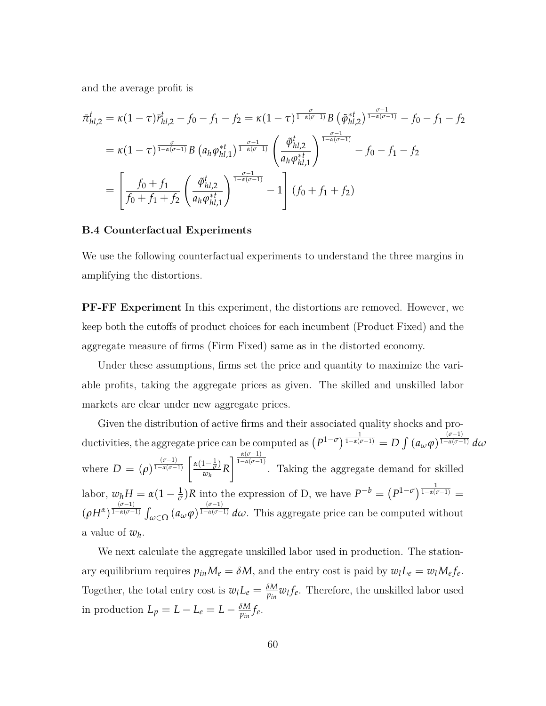and the average profit is

$$
\begin{split} \bar{\pi}_{hl,2}^{t} &= \kappa (1-\tau) \bar{r}_{hl,2}^{t} - f_{0} - f_{1} - f_{2} = \kappa (1-\tau)^{\frac{\sigma}{1-\alpha(\sigma-1)}} B \left( \tilde{\varphi}_{hl,2}^{*t} \right)^{\frac{\sigma-1}{1-\alpha(\sigma-1)}} - f_{0} - f_{1} - f_{2} \\ &= \kappa (1-\tau)^{\frac{\sigma}{1-\alpha(\sigma-1)}} B \left( a_{h} \varphi_{hl,1}^{*t} \right)^{\frac{\sigma-1}{1-\alpha(\sigma-1)}} \left( \frac{\tilde{\varphi}_{hl,2}^{t}}{a_{h} \varphi_{hl,1}^{*t}} \right)^{\frac{\sigma-1}{1-\alpha(\sigma-1)}} - f_{0} - f_{1} - f_{2} \\ &= \left[ \frac{f_{0} + f_{1}}{f_{0} + f_{1} + f_{2}} \left( \frac{\tilde{\varphi}_{hl,2}^{t}}{a_{h} \varphi_{hl,1}^{*t}} \right)^{\frac{\sigma-1}{1-\alpha(\sigma-1)}} - 1 \right] \left( f_{0} + f_{1} + f_{2} \right) \end{split}
$$

#### **B.4 Counterfactual Experiments**

We use the following counterfactual experiments to understand the three margins in amplifying the distortions.

**PF-FF Experiment** In this experiment, the distortions are removed. However, we keep both the cutoffs of product choices for each incumbent (Product Fixed) and the aggregate measure of firms (Firm Fixed) same as in the distorted economy.

Under these assumptions, firms set the price and quantity to maximize the variable profits, taking the aggregate prices as given. The skilled and unskilled labor markets are clear under new aggregate prices.

Given the distribution of active firms and their associated quality shocks and productivities, the aggregate price can be computed as  $(P^{1-\sigma})^{\frac{1}{1-\alpha(\sigma-1)}} = D \int (a_{\omega}\varphi)^{\frac{(\sigma-1)}{1-\alpha(\sigma-1)}}$ <sup>1</sup>−*α*(*σ*−1) *dω* where  $D = (\rho)^{\frac{(\sigma-1)}{1-\alpha(\sigma-1)}}$  $\frac{(\sigma-1)}{1-\alpha(\sigma-1)}$   $\left[\frac{\alpha(1-\frac{1}{\sigma})}{\alpha(1-\frac{1}{\sigma})}\right]$  $\frac{d}{w_h}$  R  $\int_0^{\frac{\alpha(\sigma-1)}{1-\alpha(\sigma-1)}}$ . Taking the aggregate demand for skilled labor,  $w_h H = \alpha (1 - \frac{1}{\sigma}) R$  into the expression of D, we have  $P^{-b} = (P^{1-\sigma})^{\frac{1}{1-\alpha(\sigma-1)}}$  $(\rho H^{\alpha})^{\frac{(\sigma-1)}{1-\alpha(\sigma-1)}}$  $\int_{-\alpha(\sigma-1)}^{(\sigma-1)} \int_{\omega \in \Omega} (a_{\omega} \varphi)^{\frac{(\sigma-1)}{1-\alpha(\sigma-1)}} d\omega$ . This aggregate price can be computed without a value of  $w_h$ .

We next calculate the aggregate unskilled labor used in production. The stationary equilibrium requires  $p_{in}M_e = \delta M$ , and the entry cost is paid by  $w_lL_e = w_lM_e f_e$ . Together, the total entry cost is  $w_l L_e = \frac{\delta M}{p_{in}} w_l f_e$ . Therefore, the unskilled labor used in production  $L_p = L - L_e = L - \frac{\delta M}{p_{in}} f_e$ .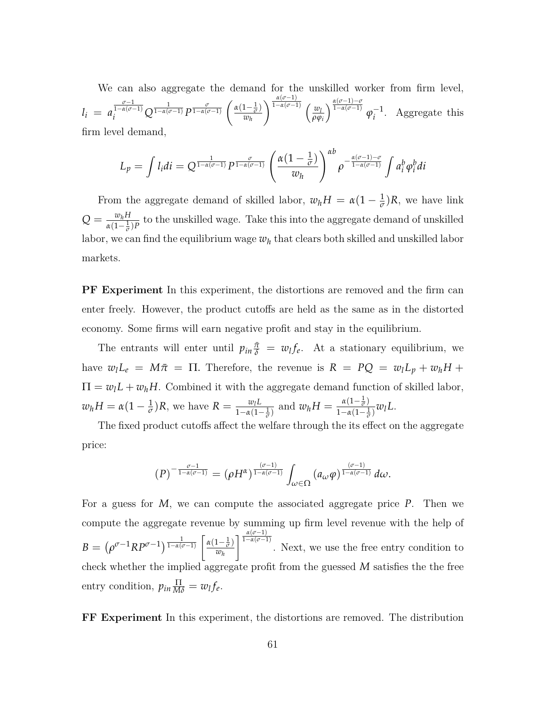We can also aggregate the demand for the unskilled worker from firm level,  $l_i = a$  $\int_{i}^{\frac{\sigma-1}{1-\alpha(\sigma-1)}} Q^{\frac{1}{1-\alpha(\sigma-1)}} P^{\frac{\sigma}{1-\alpha(\sigma-1)}}\left(\frac{\alpha(1-\frac{1}{\sigma})}{w_h}\right)$ *wh*  $\sqrt{\frac{\alpha(\sigma-1)}{1-\alpha(\sigma-1)}}$  (*w*<sub>*l*</sub> *ρϕi*  $\int^{\frac{\alpha(\sigma-1)-\sigma}{1-\alpha(\sigma-1)}} \varphi_i^{-1}$  $i^{\text{-}1}$ . Aggregate this firm level demand,

$$
L_p = \int l_i di = Q^{\frac{1}{1-\alpha(\sigma-1)}} P^{\frac{\sigma}{1-\alpha(\sigma-1)}} \left( \frac{\alpha(1-\frac{1}{\sigma})}{w_h} \right)^{\alpha b} \rho^{-\frac{\alpha(\sigma-1)-\sigma}{1-\alpha(\sigma-1)}} \int a_i^b \varphi_i^b di
$$

From the aggregate demand of skilled labor,  $w_h H = \alpha (1 - \frac{1}{\sigma})R$ , we have link  $Q = \frac{w_h H}{r(1 - 1)}$  $\frac{w_h H}{\alpha(1-\frac{1}{\sigma})P}$  to the unskilled wage. Take this into the aggregate demand of unskilled labor, we can find the equilibrium wage  $w_h$  that clears both skilled and unskilled labor markets.

**PF Experiment** In this experiment, the distortions are removed and the firm can enter freely. However, the product cutoffs are held as the same as in the distorted economy. Some firms will earn negative profit and stay in the equilibrium.

The entrants will enter until  $p_{in} \frac{\pi}{\delta} = w_l f_e$ . At a stationary equilibrium, we have  $w_l L_e = M \bar{\pi} = \Pi$ . Therefore, the revenue is  $R = PQ = w_l L_p + w_h H +$  $\Pi = w_l L + w_h H$ . Combined it with the aggregate demand function of skilled labor,  $w_h H = \alpha(1 - \frac{1}{\sigma})R$ , we have  $R = \frac{w_l L}{1 - \alpha(1 - \frac{1}{\sigma})}$  $\frac{w_l L}{1-\alpha(1-\frac{1}{\sigma})}$  and  $w_h H = \frac{\alpha(1-\frac{1}{\sigma})}{1-\alpha(1-\frac{1}{\sigma})}$  $rac{\alpha(1-\overline{\sigma})}{1-\alpha(1-\frac{1}{\sigma})}w_lL$ .

The fixed product cutoffs affect the welfare through the its effect on the aggregate price:

$$
(P)^{-\frac{\sigma-1}{1-\alpha(\sigma-1)}}=(\rho H^{\alpha})^{\frac{(\sigma-1)}{1-\alpha(\sigma-1)}}\int_{\omega\in\Omega}(a_{\omega}\varphi)^{\frac{(\sigma-1)}{1-\alpha(\sigma-1)}}d\omega.
$$

For a guess for *M*, we can compute the associated aggregate price *P*. Then we compute the aggregate revenue by summing up firm level revenue with the help of  $B=\left(\rho^{\sigma-1}R P^{\sigma-1}\right)^{\frac{1}{1-\alpha(\sigma-1)}}\left[\frac{\alpha(1-\frac{1}{\sigma})}{w_{\nu}}\right]$ *wh*  $\int_0^{\frac{\alpha(\sigma-1)}{1-\alpha(\sigma-1)}}$ . Next, we use the free entry condition to check whether the implied aggregate profit from the guessed *M* satisfies the the free entry condition,  $p_{in} \frac{\Pi}{M\delta} = w_l f_e$ .

**FF Experiment** In this experiment, the distortions are removed. The distribution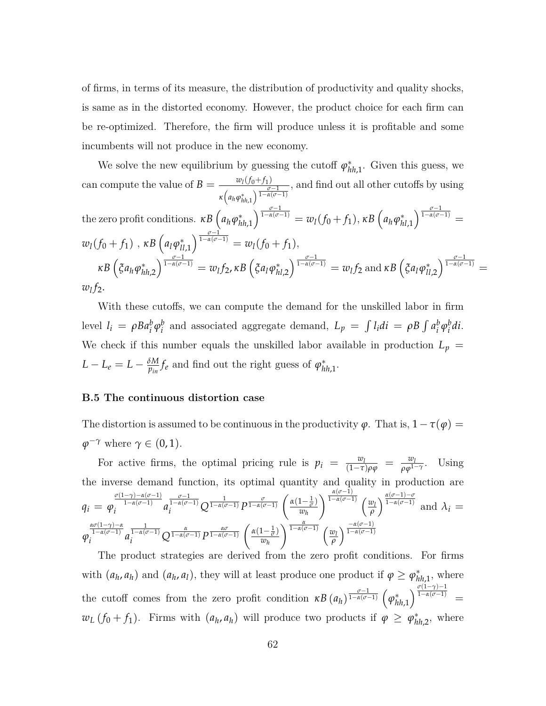of firms, in terms of its measure, the distribution of productivity and quality shocks, is same as in the distorted economy. However, the product choice for each firm can be re-optimized. Therefore, the firm will produce unless it is profitable and some incumbents will not produce in the new economy.

We solve the new equilibrium by guessing the cutoff  $\varphi_{hh,1}^*$ . Given this guess, we can compute the value of  $B = \frac{w_l(f_0+f_1)}{g}$  $\kappa\left(a_h \varphi_{hh,1}^*\right) \frac{\sigma-1}{1-\alpha(\sigma-1)}$ , and find out all other cutoffs by using the zero profit conditions.  $\kappa B\left(a_{h}\varphi_{hh,1}^{*}\right)^{\frac{\sigma-1}{1-\alpha(\sigma-1)}} = w_{l}(f_{0}+f_{1}), \kappa B\left(a_{h}\varphi_{hl,1}^{*}\right)^{\frac{\sigma-1}{1-\alpha(\sigma-1)}} =$  $w_l(f_0 + f_1)$ ,  $\kappa B\left(a_l\varphi_{ll,1}^*\right)^{\frac{\sigma-1}{1-\alpha(\sigma-1)}} = w_l(f_0 + f_1),$  $\kappa B\left(\xi a_h\varphi_{hh,2}^*\right)^{\frac{\sigma-1}{1-\alpha(\sigma-1)}}=w_lf_2, \kappa B\left(\xi a_l\varphi_{hl,2}^*\right)^{\frac{\sigma-1}{1-\alpha(\sigma-1)}}=w_lf_2 \text{ and } \kappa B\left(\xi a_l\varphi_{ll,2}^*\right)^{\frac{\sigma-1}{1-\alpha(\sigma-1)}}=$ *wl f*2.

With these cutoffs, we can compute the demand for the unskilled labor in firm level  $l_i = \rho B a_i^b \varphi_i^b$  $\int_a^b$  and associated aggregate demand,  $L_p = \int l_i di = \rho B \int a_i^b$  $\frac{b}{i} \varphi_i^b$ *i di*. We check if this number equals the unskilled labor available in production  $L_p =$  $L - L_e = L - \frac{\delta M}{p_{in}} f_e$  and find out the right guess of  $\varphi_{hh,1}^*$ .

#### **B.5 The continuous distortion case**

The distortion is assumed to be continuous in the productivity  $\varphi$ . That is,  $1-\tau(\varphi)$  =  $\varphi^{-\gamma}$  where  $\gamma \in (0, 1)$ .

For active firms, the optimal pricing rule is  $p_i = \frac{w_l}{(1-\tau)\rho\varphi} = \frac{w_l}{\rho\varphi^{1}}$  $\frac{w_l}{\rho \varphi^{1-\gamma}}$ . Using the inverse demand function, its optimal quantity and quality in production are  $q_i = \varphi$ *σ*(1−*γ*)−*α*(*σ*−1) 1−*α*(*σ*−1)  $i$ <sup> $1-\alpha(\sigma-1)$ </sup> a  $\frac{\sigma}{1-\alpha(\sigma-1)}$  *Q*  $\frac{1}{1-\alpha(\sigma-1)}$  *P*  $\frac{\sigma}{1-\alpha(\sigma-1)}$   $\left(\frac{\alpha(1-\frac{1}{\sigma})}{w_h}\right)$ *wh*  $\int_0^{\frac{\alpha(\sigma-1)}{1-\alpha(\sigma-1)}} f(y) dy$ *ρ*  $\int^{\frac{\alpha(\sigma-1)-\sigma}{1-\alpha(\sigma-1)}}$  and  $\lambda_i =$ *ϕ ασ*(1−*γ*)−*α* 1−*α*(*σ*−1)  $\int_{i}^{1-\alpha(\nu-1)} a$  $\int_{i}^{\frac{1}{1-\alpha(\sigma-1)}} Q^{\frac{\alpha}{1-\alpha(\sigma-1)}} P^{\frac{\alpha\sigma}{1-\alpha(\sigma-1)}}\left(\frac{\alpha(1-\frac{1}{\sigma})}{w_h}\right)$ *wh*  $\sqrt{\frac{\alpha}{1-\alpha(\sigma-1)}}$  (*w*<sub>*l*</sub> *ρ* <sup>−</sup>*α*(*σ*−1) 1−*α*(*σ*−1)

The product strategies are derived from the zero profit conditions. For firms with  $(a_h, a_h)$  and  $(a_h, a_l)$ , they will at least produce one product if  $\varphi \geq \varphi_{hh,1}^*$ , where the cutoff comes from the zero profit condition  $\kappa B$   $(a_h)^{\frac{\sigma-1}{1-\alpha(\sigma-1)}}$   $(\varphi_h^*$  $\binom{m}{h h,1}^{\frac{\sigma(1-\gamma)-1}{1-\alpha(\sigma-1)}} =$  $w_L(f_0 + f_1)$ . Firms with  $(a_h, a_h)$  will produce two products if  $\varphi \geq \varphi_{hh,2}^*$ , where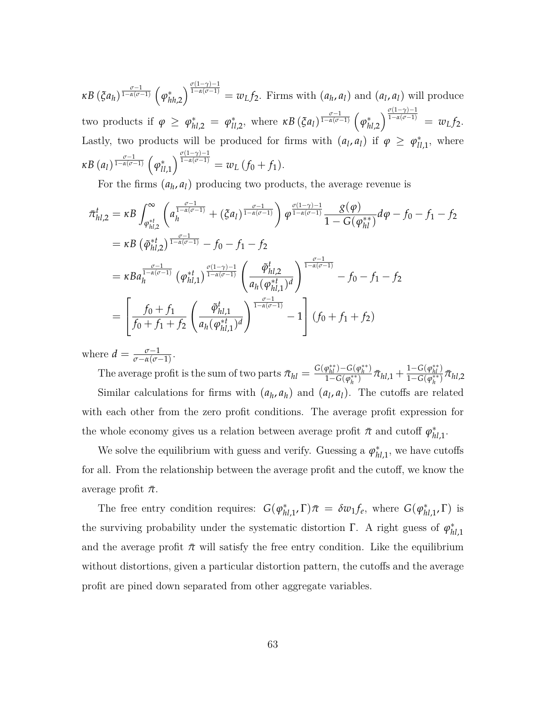$\kappa B\left(\xi a_h\right)^{\frac{\sigma-1}{1-\alpha(\sigma-1)}}\left(\varphi_h^*\right)$  $\int_{hh,2}^{0} \int_{1-\alpha(\sigma-1)}^{\alpha(1-\gamma)-1} = w_L f_2$ . Firms with  $(a_h, a_l)$  and  $(a_l, a_l)$  will produce two products if  $\varphi \geq \varphi_{hl,2}^* = \varphi_{ll,2}^*$ , where  $\kappa B(\xi a_l)^{\frac{\sigma-1}{1-\alpha(\sigma-1)}} \left(\varphi_h^* \right)$  $\int_{h,l,2}^{*\infty} \int_{0}^{\frac{\sigma(1-\gamma)-1}{1-\alpha(\sigma-1)}}$  =  $w_L f_2$ . Lastly, two products will be produced for firms with  $(a_l, a_l)$  if  $\varphi \geq \varphi_{ll,1}^*$ , where  $\kappa B$   $(a_l)$ <sup> $\frac{\sigma-1}{1-\alpha(\sigma-1)}$ </sup>  $(\varphi_{ll}^*)$  $\int_{ll,1}^{l} \int_{1-\alpha(\sigma-1)}^{\frac{\sigma(1-\gamma)-1}{1-\alpha(\sigma-1)}} = w_L(f_0+f_1).$ 

For the firms  $(a_h, a_l)$  producing two products, the average revenue is

$$
\begin{split}\n\bar{\pi}_{hl,2}^{t} &= \kappa B \int_{\varphi_{hl,2}^{*t}}^{\infty} \left( a_{h}^{\frac{\sigma-1}{1-\alpha(\sigma-1)}} + (\xi a_{l})^{\frac{\sigma-1}{1-\alpha(\sigma-1)}} \right) \varphi^{\frac{\sigma(1-\gamma)-1}{1-\alpha(\sigma-1)}} \frac{\mathcal{S}(\varphi)}{1 - G(\varphi_{hl}^{**})} d\varphi - f_{0} - f_{1} - f_{2} \\
&= \kappa B \left( \tilde{\varphi}_{hl,2}^{*t} \right)^{\frac{\sigma-1}{1-\alpha(\sigma-1)}} - f_{0} - f_{1} - f_{2} \\
&= \kappa B a_{h}^{\frac{\sigma-1}{1-\alpha(\sigma-1)}} \left( \varphi_{hl,1}^{*t} \right)^{\frac{\sigma(1-\gamma)-1}{1-\alpha(\sigma-1)}} \left( \frac{\tilde{\varphi}_{hl,2}^{t}}{a_{h}(\varphi_{hl,1}^{*t})^{d}} \right)^{\frac{\sigma-1}{1-\alpha(\sigma-1)}} - f_{0} - f_{1} - f_{2} \\
&= \left[ \frac{f_{0} + f_{1}}{f_{0} + f_{1} + f_{2}} \left( \frac{\tilde{\varphi}_{hl,1}^{t}}{a_{h}(\varphi_{hl,1}^{*t})^{d}} \right)^{\frac{\sigma-1}{1-\alpha(\sigma-1)}} - 1 \right] \left( f_{0} + f_{1} + f_{2} \right)\n\end{split}
$$

where  $d = \frac{\sigma - 1}{\sigma - \alpha(\sigma - 1)}$ .

The average profit is the sum of two parts  $\bar{\pi}_{hl} = \frac{G(\varphi_{hl}^{**}) - G(\varphi_h^{**})}{1 - G(\varphi_{l}^{**})}$  $\frac{\varphi_{hl}^{**})-G(\varphi_{h}^{**})}{1-G(\varphi_{h}^{**})}\bar{\pi}_{hl,1}+\frac{1-G(\varphi_{hl}^{**})}{1-G(\varphi_{h}^{**})}$  $\frac{1-G(\varphi_{hl}^{\ast})}{1-G(\varphi_h^{\ast\ast})}$   $\bar{\pi}_{hl,2}$ Similar calculations for firms with  $(a_h, a_h)$  and  $(a_l, a_l)$ . The cutoffs are related with each other from the zero profit conditions. The average profit expression for the whole economy gives us a relation between average profit  $\bar{\pi}$  and cutoff  $\varphi_{hl,1}^*$ .

We solve the equilibrium with guess and verify. Guessing a  $\varphi_{hl,1}^*$ , we have cutoffs for all. From the relationship between the average profit and the cutoff, we know the average profit  $\bar{\pi}$ .

The free entry condition requires:  $G(\varphi_{hl,1}^*, \Gamma) \bar{\pi} = \delta w_1 f_e$ , where  $G(\varphi_{hl,1}^*, \Gamma)$  is the surviving probability under the systematic distortion  $\Gamma$ . A right guess of  $\varphi_h^*$ *hl*,1 and the average profit  $\bar{\pi}$  will satisfy the free entry condition. Like the equilibrium without distortions, given a particular distortion pattern, the cutoffs and the average profit are pined down separated from other aggregate variables.